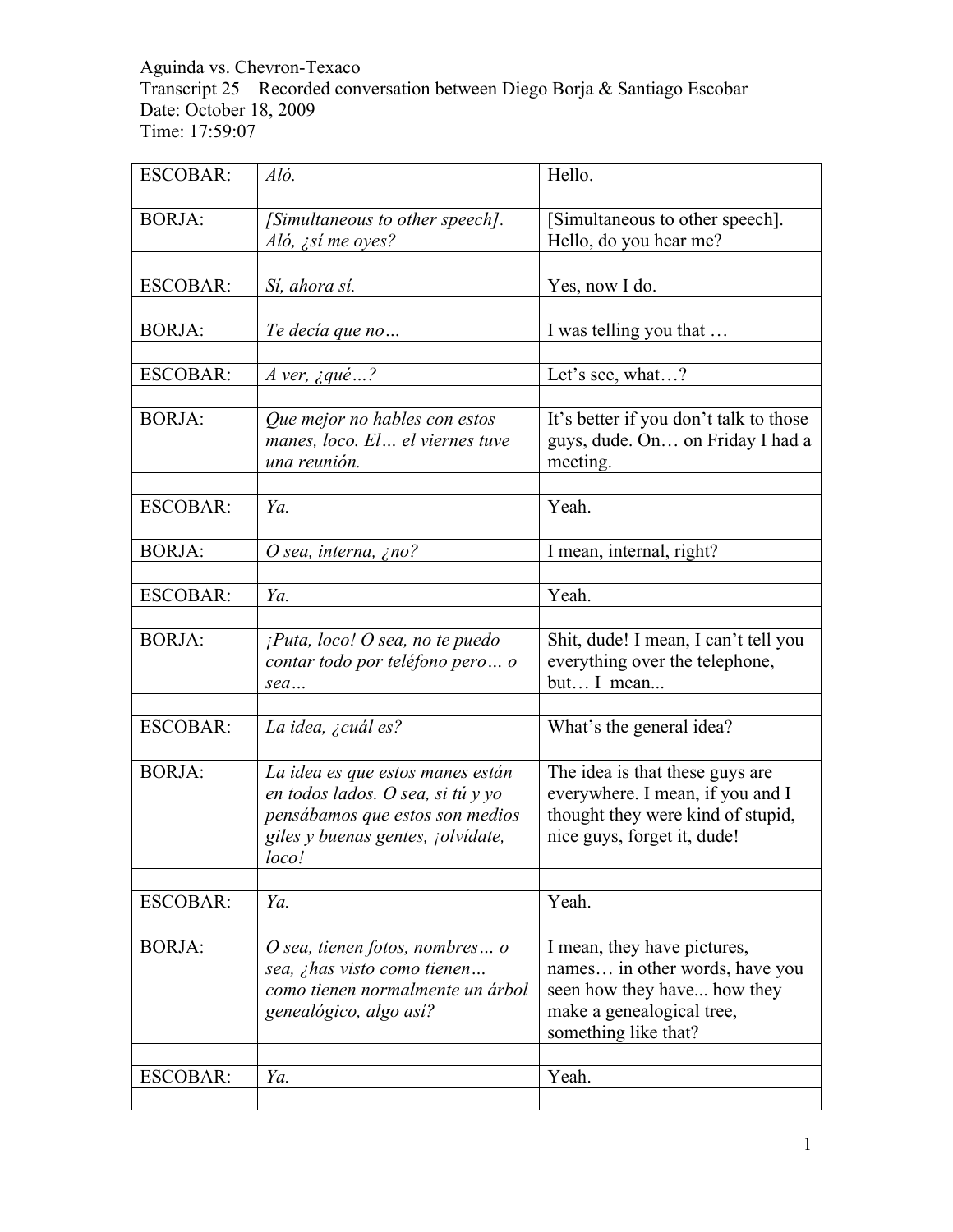Aguinda vs. Chevron-Texaco Transcript 25 – Recorded conversation between Diego Borja & Santiago Escobar Date: October 18, 2009 Time: 17:59:07

| <b>ESCOBAR:</b> | Aló.                               | Hello.                                 |
|-----------------|------------------------------------|----------------------------------------|
|                 |                                    |                                        |
| <b>BORJA:</b>   | [Simultaneous to other speech].    | [Simultaneous to other speech].        |
|                 | Aló, ¿sí me oyes?                  | Hello, do you hear me?                 |
|                 |                                    |                                        |
| <b>ESCOBAR:</b> | Sí, ahora sí.                      | Yes, now I do.                         |
|                 |                                    |                                        |
| <b>BORJA:</b>   | Te decía que no                    | I was telling you that                 |
|                 |                                    |                                        |
| <b>ESCOBAR:</b> | A ver, $\text{gue} \dots?$         | Let's see, what?                       |
|                 |                                    |                                        |
| <b>BORJA:</b>   | Que mejor no hables con estos      | It's better if you don't talk to those |
|                 | manes, loco. El el viernes tuve    | guys, dude. On on Friday I had a       |
|                 | una reunión.                       | meeting.                               |
|                 |                                    |                                        |
| <b>ESCOBAR:</b> | Ya.                                | Yeah.                                  |
|                 |                                    |                                        |
| <b>BORJA:</b>   |                                    |                                        |
|                 | O sea, interna, ¿no?               | I mean, internal, right?               |
|                 |                                    |                                        |
| <b>ESCOBAR:</b> | Ya.                                | Yeah.                                  |
|                 |                                    |                                        |
| <b>BORJA:</b>   | $i$ Puta, loco! O sea, no te puedo | Shit, dude! I mean, I can't tell you   |
|                 | contar todo por teléfono pero o    | everything over the telephone,         |
|                 | sea                                | but I mean                             |
|                 |                                    |                                        |
| <b>ESCOBAR:</b> | La idea, ¿cuál es?                 | What's the general idea?               |
|                 |                                    |                                        |
| <b>BORJA:</b>   | La idea es que estos manes están   | The idea is that these guys are        |
|                 | en todos lados. O sea, si tú y yo  | everywhere. I mean, if you and I       |
|                 | pensábamos que estos son medios    | thought they were kind of stupid,      |
|                 | giles y buenas gentes, jolvídate,  | nice guys, forget it, dude!            |
|                 | loco!                              |                                        |
|                 |                                    |                                        |
| <b>ESCOBAR:</b> | Ya.                                | Yeah.                                  |
|                 |                                    |                                        |
| <b>BORJA:</b>   | O sea, tienen fotos, nombres o     | I mean, they have pictures,            |
|                 | sea, ¿has visto como tienen        | names in other words, have you         |
|                 | como tienen normalmente un árbol   | seen how they have how they            |
|                 | genealógico, algo así?             | make a genealogical tree,              |
|                 |                                    | something like that?                   |
|                 |                                    |                                        |
| <b>ESCOBAR:</b> | Ya.                                | Yeah.                                  |
|                 |                                    |                                        |
|                 |                                    |                                        |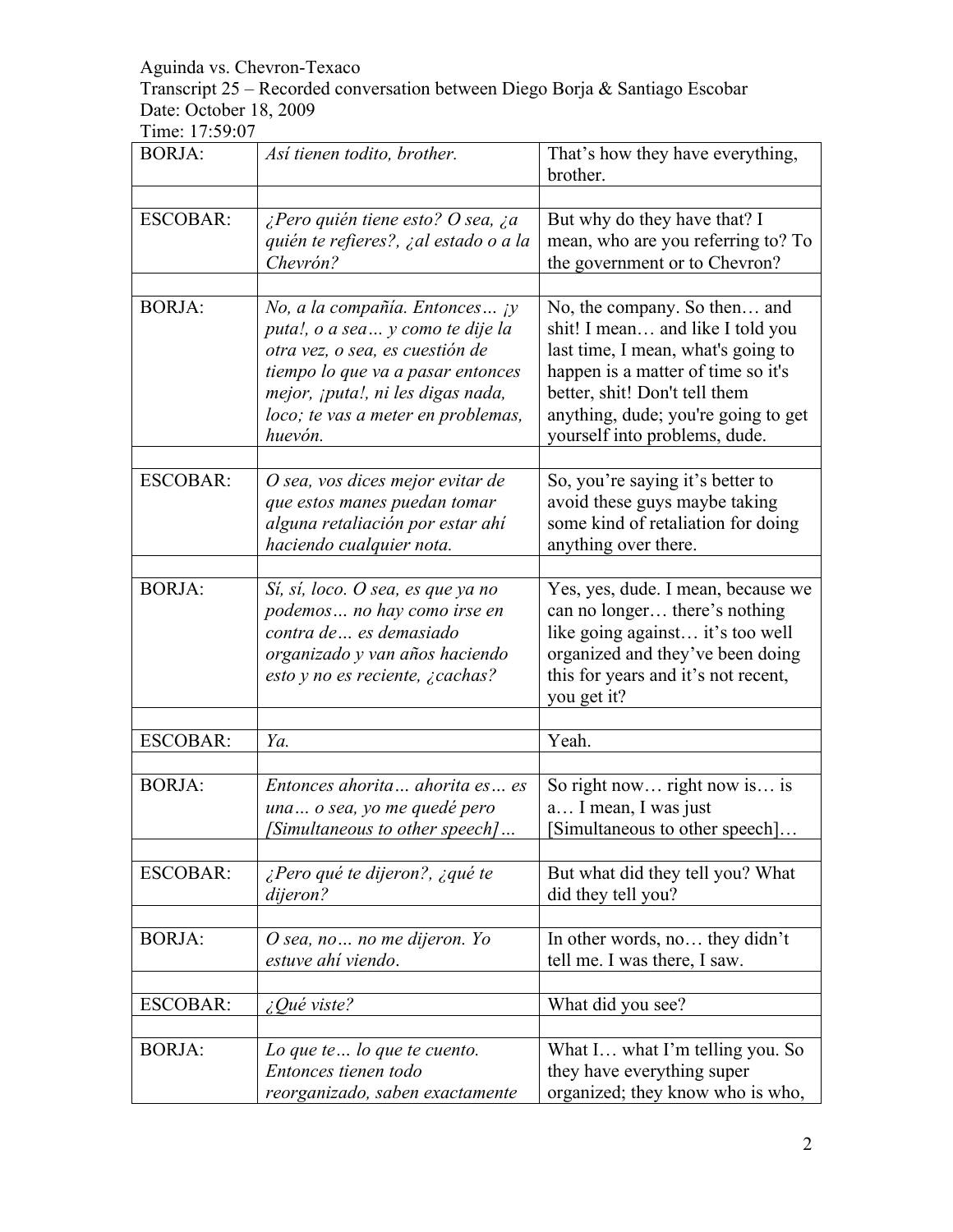Transcript 25 – Recorded conversation between Diego Borja & Santiago Escobar Date: October 18, 2009

| <b>BORJA:</b>   | Así tienen todito, brother.                                                                                                                                                                                                      | That's how they have everything,<br>brother.                                                                                                                                                                                                          |
|-----------------|----------------------------------------------------------------------------------------------------------------------------------------------------------------------------------------------------------------------------------|-------------------------------------------------------------------------------------------------------------------------------------------------------------------------------------------------------------------------------------------------------|
|                 |                                                                                                                                                                                                                                  |                                                                                                                                                                                                                                                       |
| <b>ESCOBAR:</b> | ¿Pero quién tiene esto? O sea, ¿a<br>quién te refieres?, ¿al estado o a la<br>Chevrón?                                                                                                                                           | But why do they have that? I<br>mean, who are you referring to? To<br>the government or to Chevron?                                                                                                                                                   |
| <b>BORJA:</b>   | No, a la compañía. Entonces jy<br>puta!, o a sea y como te dije la<br>otra vez, o sea, es cuestión de<br>tiempo lo que va a pasar entonces<br>mejor, ¡puta!, ni les digas nada,<br>loco; te vas a meter en problemas,<br>huevón. | No, the company. So then and<br>shit! I mean and like I told you<br>last time, I mean, what's going to<br>happen is a matter of time so it's<br>better, shit! Don't tell them<br>anything, dude; you're going to get<br>yourself into problems, dude. |
| <b>ESCOBAR:</b> | O sea, vos dices mejor evitar de<br>que estos manes puedan tomar<br>alguna retaliación por estar ahí<br>haciendo cualquier nota.                                                                                                 | So, you're saying it's better to<br>avoid these guys maybe taking<br>some kind of retaliation for doing<br>anything over there.                                                                                                                       |
| <b>BORJA:</b>   | Sí, sí, loco. O sea, es que ya no<br>podemos no hay como irse en<br>contra de  es demasiado<br>organizado y van años haciendo<br>esto y no es reciente, ¿cachas?                                                                 | Yes, yes, dude. I mean, because we<br>can no longer there's nothing<br>like going against it's too well<br>organized and they've been doing<br>this for years and it's not recent,<br>you get it?                                                     |
|                 |                                                                                                                                                                                                                                  |                                                                                                                                                                                                                                                       |
| <b>ESCOBAR:</b> | Ya.                                                                                                                                                                                                                              | Yeah.                                                                                                                                                                                                                                                 |
| <b>BORJA:</b>   | Entonces ahorita ahorita es es<br>una o sea, yo me quedé pero<br>[Simultaneous to other speech]                                                                                                                                  | So right now right now is is<br>a I mean, I was just<br>Simultaneous to other speech]                                                                                                                                                                 |
| <b>ESCOBAR:</b> | ¿Pero qué te dijeron?, ¿qué te<br>dijeron?                                                                                                                                                                                       | But what did they tell you? What<br>did they tell you?                                                                                                                                                                                                |
| <b>BORJA:</b>   | O sea, no  no me dijeron. Yo<br>estuve ahí viendo.                                                                                                                                                                               | In other words, no they didn't<br>tell me. I was there, I saw.                                                                                                                                                                                        |
| <b>ESCOBAR:</b> | $\angle Q$ ué viste?                                                                                                                                                                                                             | What did you see?                                                                                                                                                                                                                                     |
| <b>BORJA:</b>   | Lo que te $\ldots$ lo que te cuento.<br>Entonces tienen todo<br>reorganizado, saben exactamente                                                                                                                                  | What I what I'm telling you. So<br>they have everything super<br>organized; they know who is who,                                                                                                                                                     |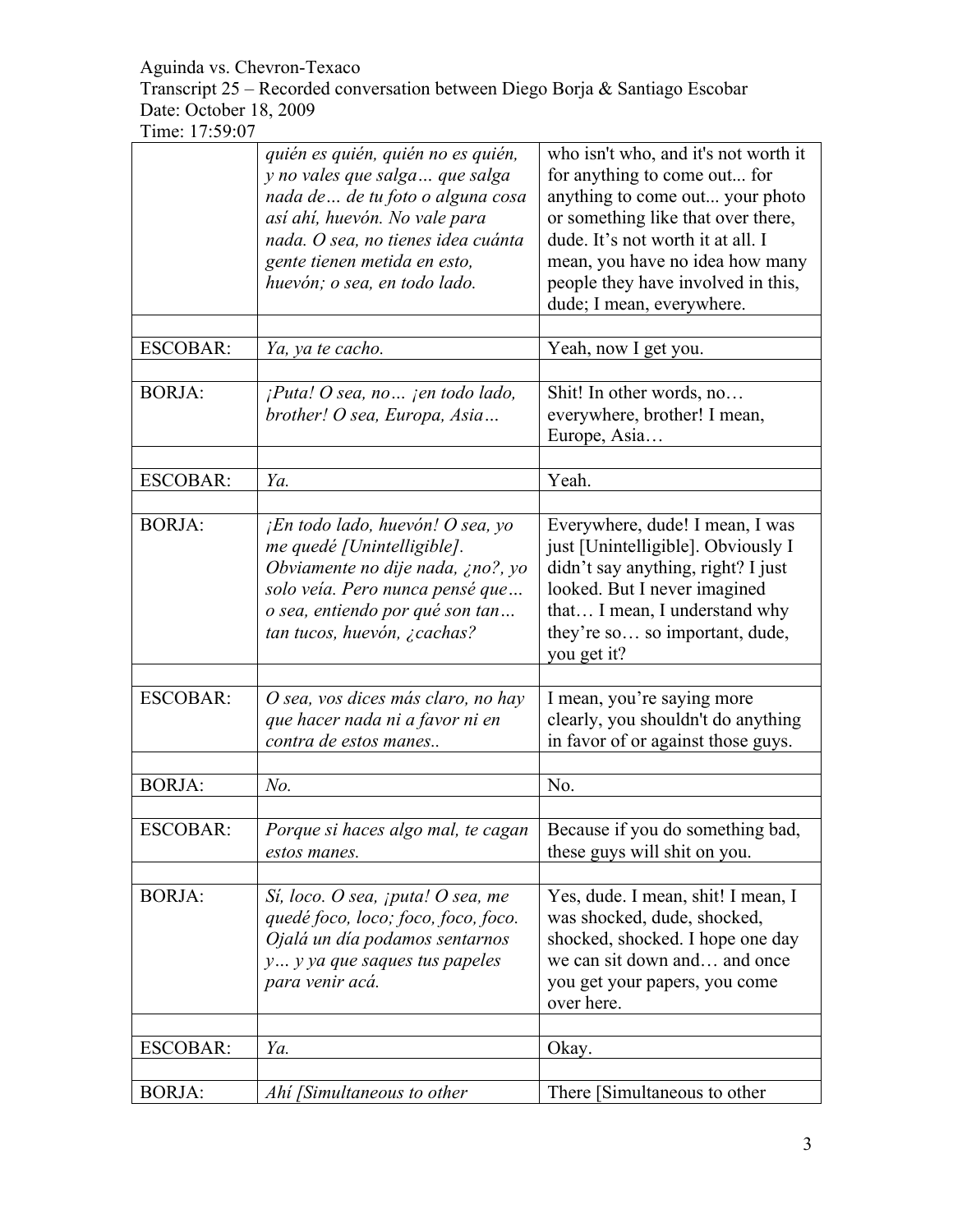Transcript 25 – Recorded conversation between Diego Borja & Santiago Escobar Date: October 18, 2009

|                 | quién es quién, quién no es quién,<br>y no vales que salga que salga<br>nada de  de tu foto o alguna cosa<br>así ahí, huevón. No vale para<br>nada. O sea, no tienes idea cuánta<br>gente tienen metida en esto,<br>huevón; o sea, en todo lado. | who isn't who, and it's not worth it<br>for anything to come out for<br>anything to come out your photo<br>or something like that over there,<br>dude. It's not worth it at all. I<br>mean, you have no idea how many<br>people they have involved in this,<br>dude; I mean, everywhere. |
|-----------------|--------------------------------------------------------------------------------------------------------------------------------------------------------------------------------------------------------------------------------------------------|------------------------------------------------------------------------------------------------------------------------------------------------------------------------------------------------------------------------------------------------------------------------------------------|
| <b>ESCOBAR:</b> | Ya, ya te cacho.                                                                                                                                                                                                                                 | Yeah, now I get you.                                                                                                                                                                                                                                                                     |
|                 |                                                                                                                                                                                                                                                  |                                                                                                                                                                                                                                                                                          |
| <b>BORJA:</b>   | $i$ Puta! O sea, no $i$ en todo lado,<br>brother! O sea, Europa, Asia                                                                                                                                                                            | Shit! In other words, no<br>everywhere, brother! I mean,<br>Europe, Asia                                                                                                                                                                                                                 |
| <b>ESCOBAR:</b> | Ya.                                                                                                                                                                                                                                              | Yeah.                                                                                                                                                                                                                                                                                    |
|                 |                                                                                                                                                                                                                                                  |                                                                                                                                                                                                                                                                                          |
| <b>BORJA:</b>   | $iiEn todo lado, huevón! O sea, yo$<br>me quedé [Unintelligible].<br>Obviamente no dije nada, ¿no?, yo<br>solo veía. Pero nunca pensé que<br>o sea, entiendo por qué son tan<br>tan tucos, huevón, ¿cachas?                                      | Everywhere, dude! I mean, I was<br>just [Unintelligible]. Obviously I<br>didn't say anything, right? I just<br>looked. But I never imagined<br>that I mean, I understand why<br>they're so so important, dude,<br>you get it?                                                            |
|                 |                                                                                                                                                                                                                                                  |                                                                                                                                                                                                                                                                                          |
| <b>ESCOBAR:</b> | O sea, vos dices más claro, no hay<br>que hacer nada ni a favor ni en<br>contra de estos manes                                                                                                                                                   | I mean, you're saying more<br>clearly, you shouldn't do anything<br>in favor of or against those guys.                                                                                                                                                                                   |
|                 |                                                                                                                                                                                                                                                  |                                                                                                                                                                                                                                                                                          |
| <b>BORJA:</b>   | $No$ .                                                                                                                                                                                                                                           | No.                                                                                                                                                                                                                                                                                      |
| <b>ESCOBAR:</b> | Porque si haces algo mal, te cagan<br>estos manes.                                                                                                                                                                                               | Because if you do something bad,<br>these guys will shit on you.                                                                                                                                                                                                                         |
| <b>BORJA:</b>   | Sí, loco. O sea, <i>jputa!</i> O sea, me<br>quedé foco, loco; foco, foco, foco.<br>Ojalá un día podamos sentarnos<br>y y ya que saques tus papeles<br>para venir acá.                                                                            | Yes, dude. I mean, shit! I mean, I<br>was shocked, dude, shocked,<br>shocked, shocked. I hope one day<br>we can sit down and and once<br>you get your papers, you come<br>over here.                                                                                                     |
| ESCOBAR:        | Ya.                                                                                                                                                                                                                                              | Okay.                                                                                                                                                                                                                                                                                    |
|                 |                                                                                                                                                                                                                                                  |                                                                                                                                                                                                                                                                                          |
| <b>BORJA:</b>   | Ahí [Simultaneous to other                                                                                                                                                                                                                       | There [Simultaneous to other                                                                                                                                                                                                                                                             |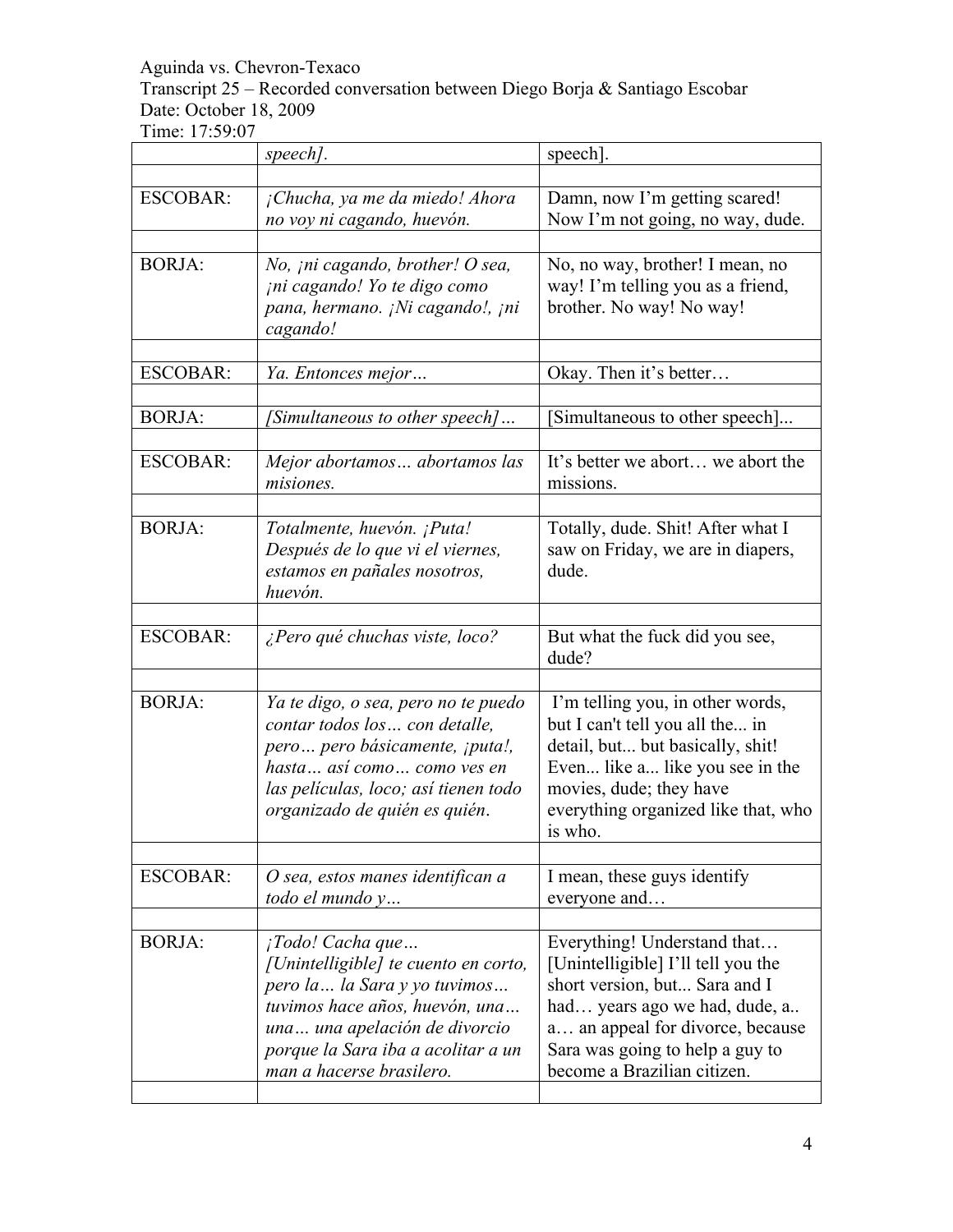Transcript 25 – Recorded conversation between Diego Borja & Santiago Escobar Date: October 18, 2009

|                 | speech].                                                                                                                                                                                                                       | speech].                                                                                                                                                                                                                                  |
|-----------------|--------------------------------------------------------------------------------------------------------------------------------------------------------------------------------------------------------------------------------|-------------------------------------------------------------------------------------------------------------------------------------------------------------------------------------------------------------------------------------------|
| <b>ESCOBAR:</b> | ¡Chucha, ya me da miedo! Ahora<br>no voy ni cagando, huevón.                                                                                                                                                                   | Damn, now I'm getting scared!<br>Now I'm not going, no way, dude.                                                                                                                                                                         |
| <b>BORJA:</b>   | No, <i>ini cagando</i> , <i>brother! O sea</i> ,<br>ini cagando! Yo te digo como<br>pana, hermano. ¡Ni cagando!, ¡ni<br>cagando!                                                                                               | No, no way, brother! I mean, no<br>way! I'm telling you as a friend,<br>brother. No way! No way!                                                                                                                                          |
| <b>ESCOBAR:</b> | Ya. Entonces mejor                                                                                                                                                                                                             | Okay. Then it's better                                                                                                                                                                                                                    |
| <b>BORJA:</b>   | [Simultaneous to other speech]                                                                                                                                                                                                 | Simultaneous to other speech]                                                                                                                                                                                                             |
| <b>ESCOBAR:</b> | Mejor abortamos abortamos las<br>misiones.                                                                                                                                                                                     | It's better we abort we abort the<br>missions.                                                                                                                                                                                            |
| <b>BORJA:</b>   | Totalmente, huevón. ¡Puta!<br>Después de lo que vi el viernes,<br>estamos en pañales nosotros,<br>huevón.                                                                                                                      | Totally, dude. Shit! After what I<br>saw on Friday, we are in diapers,<br>dude.                                                                                                                                                           |
| <b>ESCOBAR:</b> | ¿Pero qué chuchas viste, loco?                                                                                                                                                                                                 | But what the fuck did you see,<br>dude?                                                                                                                                                                                                   |
| <b>BORJA:</b>   | Ya te digo, o sea, pero no te puedo<br>contar todos los  con detalle,<br>pero pero básicamente, ¡puta!,<br>hasta  así como  como ves en<br>las películas, loco; así tienen todo<br>organizado de quién es quién.               | I'm telling you, in other words,<br>but I can't tell you all the in<br>detail, but but basically, shit!<br>Even like a like you see in the<br>movies, dude; they have<br>everything organized like that, who<br>is who.                   |
| <b>ESCOBAR:</b> | O sea, estos manes identifican a<br>todo el mundo y                                                                                                                                                                            | I mean, these guys identify<br>everyone and                                                                                                                                                                                               |
| <b>BORJA:</b>   | ¡Todo! Cacha que<br>[Unintelligible] te cuento en corto,<br>pero la  la Sara y yo tuvimos<br>tuvimos hace años, huevón, una<br>una una apelación de divorcio<br>porque la Sara iba a acolitar a un<br>man a hacerse brasilero. | Everything! Understand that<br>[Unintelligible] I'll tell you the<br>short version, but Sara and I<br>had years ago we had, dude, a<br>a an appeal for divorce, because<br>Sara was going to help a guy to<br>become a Brazilian citizen. |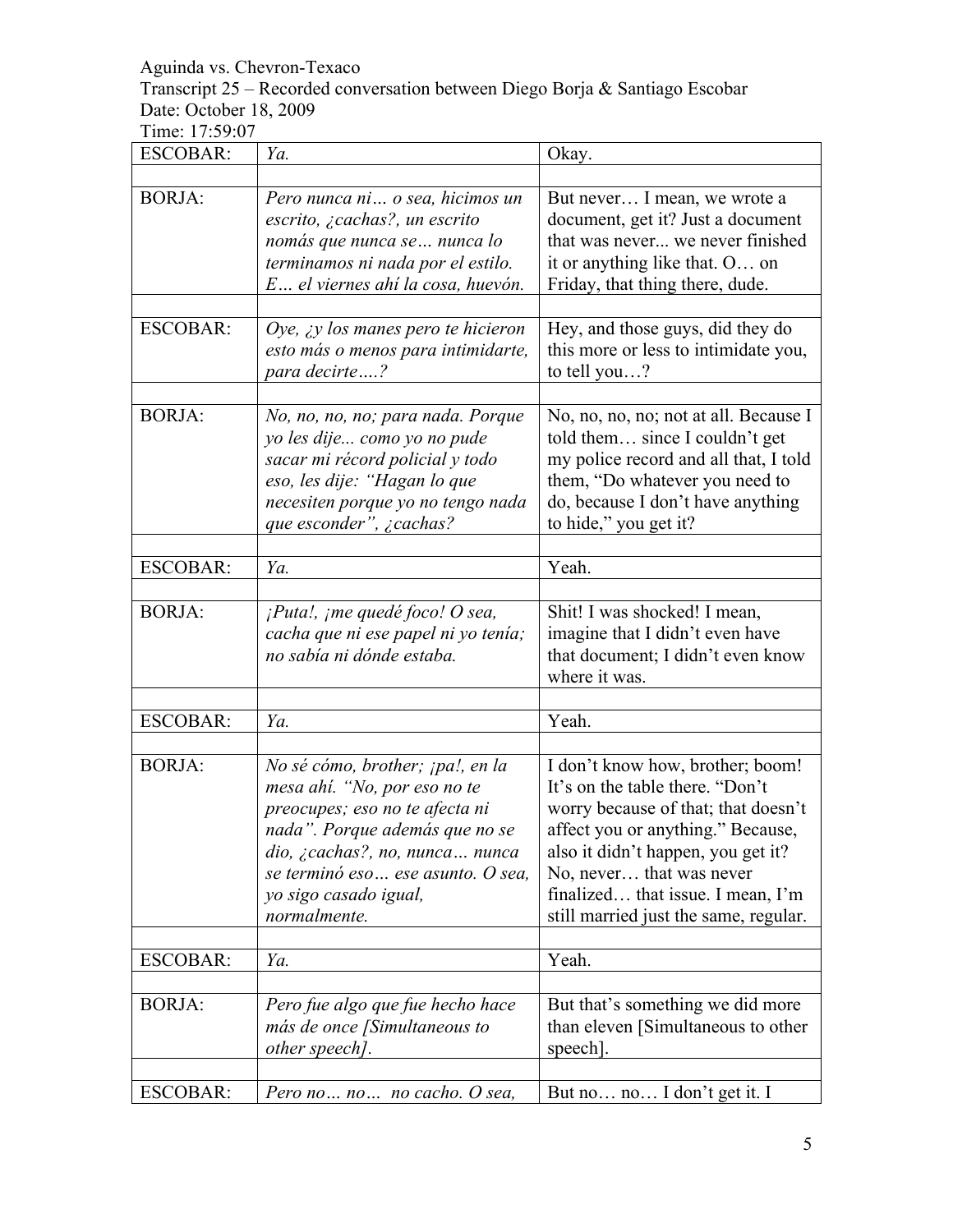Transcript 25 – Recorded conversation between Diego Borja & Santiago Escobar Date: October 18, 2009

| <b>ESCOBAR:</b> | Ya.                                                                                                                                                                                                                                                   | Okay.                                                                                                                                                                                                                                                                                           |
|-----------------|-------------------------------------------------------------------------------------------------------------------------------------------------------------------------------------------------------------------------------------------------------|-------------------------------------------------------------------------------------------------------------------------------------------------------------------------------------------------------------------------------------------------------------------------------------------------|
| <b>BORJA:</b>   | Pero nunca ni o sea, hicimos un<br>escrito, ¿cachas?, un escrito<br>nomás que nunca se  nunca lo<br>terminamos ni nada por el estilo.<br>E el viernes ahí la cosa, huevón.                                                                            | But never I mean, we wrote a<br>document, get it? Just a document<br>that was never we never finished<br>it or anything like that. O on<br>Friday, that thing there, dude.                                                                                                                      |
| <b>ESCOBAR:</b> | Oye, $\lambda$ y los manes pero te hicieron<br>esto más o menos para intimidarte,<br>para decirte?                                                                                                                                                    | Hey, and those guys, did they do<br>this more or less to intimidate you,<br>to tell you?                                                                                                                                                                                                        |
| <b>BORJA:</b>   | No, no, no, no; para nada. Porque<br>yo les dije como yo no pude<br>sacar mi récord policial y todo<br>eso, les dije: "Hagan lo que<br>necesiten porque yo no tengo nada<br>que esconder", ¿cachas?                                                   | No, no, no, no; not at all. Because I<br>told them since I couldn't get<br>my police record and all that, I told<br>them, "Do whatever you need to<br>do, because I don't have anything<br>to hide," you get it?                                                                                |
| <b>ESCOBAR:</b> | Ya.                                                                                                                                                                                                                                                   | Yeah.                                                                                                                                                                                                                                                                                           |
| <b>BORJA:</b>   | $i$ Puta!, $j$ me quedé foco! O sea,<br>cacha que ni ese papel ni yo tenía;<br>no sabía ni dónde estaba.                                                                                                                                              | Shit! I was shocked! I mean,<br>imagine that I didn't even have<br>that document; I didn't even know<br>where it was.                                                                                                                                                                           |
|                 |                                                                                                                                                                                                                                                       |                                                                                                                                                                                                                                                                                                 |
| <b>ESCOBAR:</b> | Ya.                                                                                                                                                                                                                                                   | Yeah.                                                                                                                                                                                                                                                                                           |
| <b>BORJA:</b>   | No sé cómo, brother; ¡pa!, en la<br>mesa ahí. "No, por eso no te<br>preocupes; eso no te afecta ni<br>nada". Porque además que no se<br>dio, ¿cachas?, no, nunca nunca<br>se terminó eso  ese asunto. O sea,<br>yo sigo casado igual,<br>normalmente. | I don't know how, brother; boom!<br>It's on the table there. "Don't<br>worry because of that; that doesn't<br>affect you or anything." Because,<br>also it didn't happen, you get it?<br>No, never that was never<br>finalized that issue. I mean, I'm<br>still married just the same, regular. |
| <b>ESCOBAR:</b> | Ya.                                                                                                                                                                                                                                                   | Yeah.                                                                                                                                                                                                                                                                                           |
|                 |                                                                                                                                                                                                                                                       |                                                                                                                                                                                                                                                                                                 |
| <b>BORJA:</b>   | Pero fue algo que fue hecho hace<br>más de once [Simultaneous to<br>other speech].                                                                                                                                                                    | But that's something we did more<br>than eleven [Simultaneous to other<br>speech.                                                                                                                                                                                                               |
| <b>ESCOBAR:</b> | Pero no no no cacho. O sea,                                                                                                                                                                                                                           | But no no I don't get it. I                                                                                                                                                                                                                                                                     |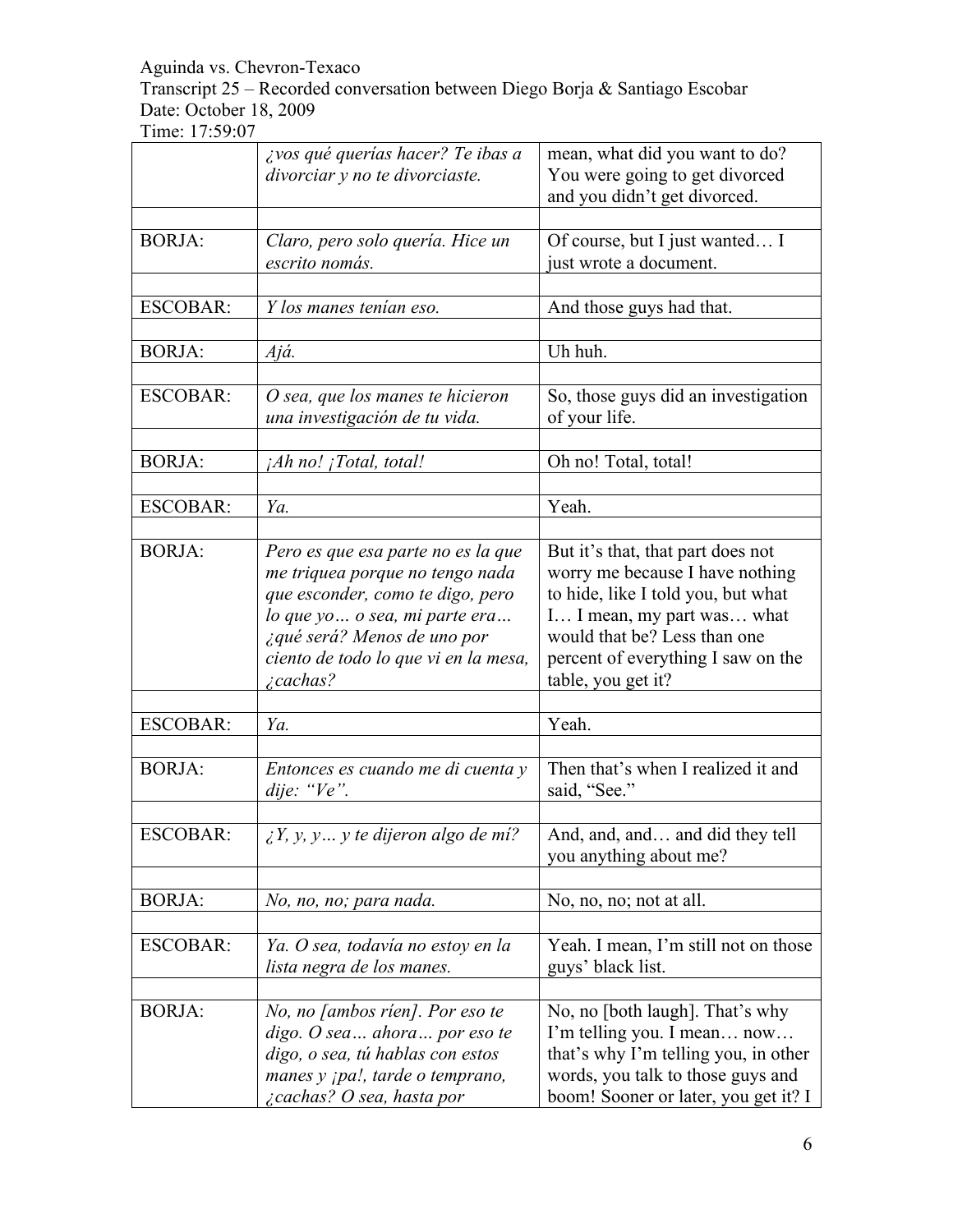Transcript 25 – Recorded conversation between Diego Borja & Santiago Escobar Date: October 18, 2009

|                 | ¿vos qué querías hacer? Te ibas a<br>divorciar y no te divorciaste.                                                                                                                                                                    | mean, what did you want to do?<br>You were going to get divorced<br>and you didn't get divorced.                                                                                                                                     |
|-----------------|----------------------------------------------------------------------------------------------------------------------------------------------------------------------------------------------------------------------------------------|--------------------------------------------------------------------------------------------------------------------------------------------------------------------------------------------------------------------------------------|
|                 |                                                                                                                                                                                                                                        |                                                                                                                                                                                                                                      |
| <b>BORJA:</b>   | Claro, pero solo quería. Hice un<br>escrito nomás.                                                                                                                                                                                     | Of course, but I just wanted I<br>just wrote a document.                                                                                                                                                                             |
| <b>ESCOBAR:</b> | Y los manes tenían eso.                                                                                                                                                                                                                | And those guys had that.                                                                                                                                                                                                             |
| <b>BORJA:</b>   | Ajá.                                                                                                                                                                                                                                   | Uh huh.                                                                                                                                                                                                                              |
| <b>ESCOBAR:</b> | O sea, que los manes te hicieron<br>una investigación de tu vida.                                                                                                                                                                      | So, those guys did an investigation<br>of your life.                                                                                                                                                                                 |
| <b>BORJA:</b>   | $iAh$ no! $iTotal$ , total!                                                                                                                                                                                                            | Oh no! Total, total!                                                                                                                                                                                                                 |
| <b>ESCOBAR:</b> | Ya.                                                                                                                                                                                                                                    | Yeah.                                                                                                                                                                                                                                |
| <b>BORJA:</b>   | Pero es que esa parte no es la que<br>me triquea porque no tengo nada<br>que esconder, como te digo, pero<br>lo que yo  o sea, mi parte era<br>¿qué será? Menos de uno por<br>ciento de todo lo que vi en la mesa,<br><i>i</i> cachas? | But it's that, that part does not<br>worry me because I have nothing<br>to hide, like I told you, but what<br>I I mean, my part was what<br>would that be? Less than one<br>percent of everything I saw on the<br>table, you get it? |
|                 |                                                                                                                                                                                                                                        |                                                                                                                                                                                                                                      |
| <b>ESCOBAR:</b> | Ya.                                                                                                                                                                                                                                    | Yeah.                                                                                                                                                                                                                                |
| <b>BORJA:</b>   | Entonces es cuando me di cuenta y<br>dije: " $Ve$ ".                                                                                                                                                                                   | Then that's when I realized it and<br>said, "See."                                                                                                                                                                                   |
| <b>ESCOBAR:</b> | $\lambda$ Y, y, y  y te dijeron algo de mí?                                                                                                                                                                                            | And, and, and and did they tell<br>you anything about me?                                                                                                                                                                            |
| <b>BORJA:</b>   | No, no, no; para nada.                                                                                                                                                                                                                 | No, no, no; not at all.                                                                                                                                                                                                              |
| <b>ESCOBAR:</b> | Ya. O sea, todavía no estoy en la<br>lista negra de los manes.                                                                                                                                                                         | Yeah. I mean, I'm still not on those<br>guys' black list.                                                                                                                                                                            |
| <b>BORJA:</b>   | No, no <i>[ambos rien]</i> . Por eso te<br>digo. O sea ahora por eso te<br>digo, o sea, tú hablas con estos<br>manes y ¡pa!, tarde o temprano,<br>cachas? O sea, hasta por                                                             | No, no [both laugh]. That's why<br>I'm telling you. I mean now<br>that's why I'm telling you, in other<br>words, you talk to those guys and<br>boom! Sooner or later, you get it? I                                                  |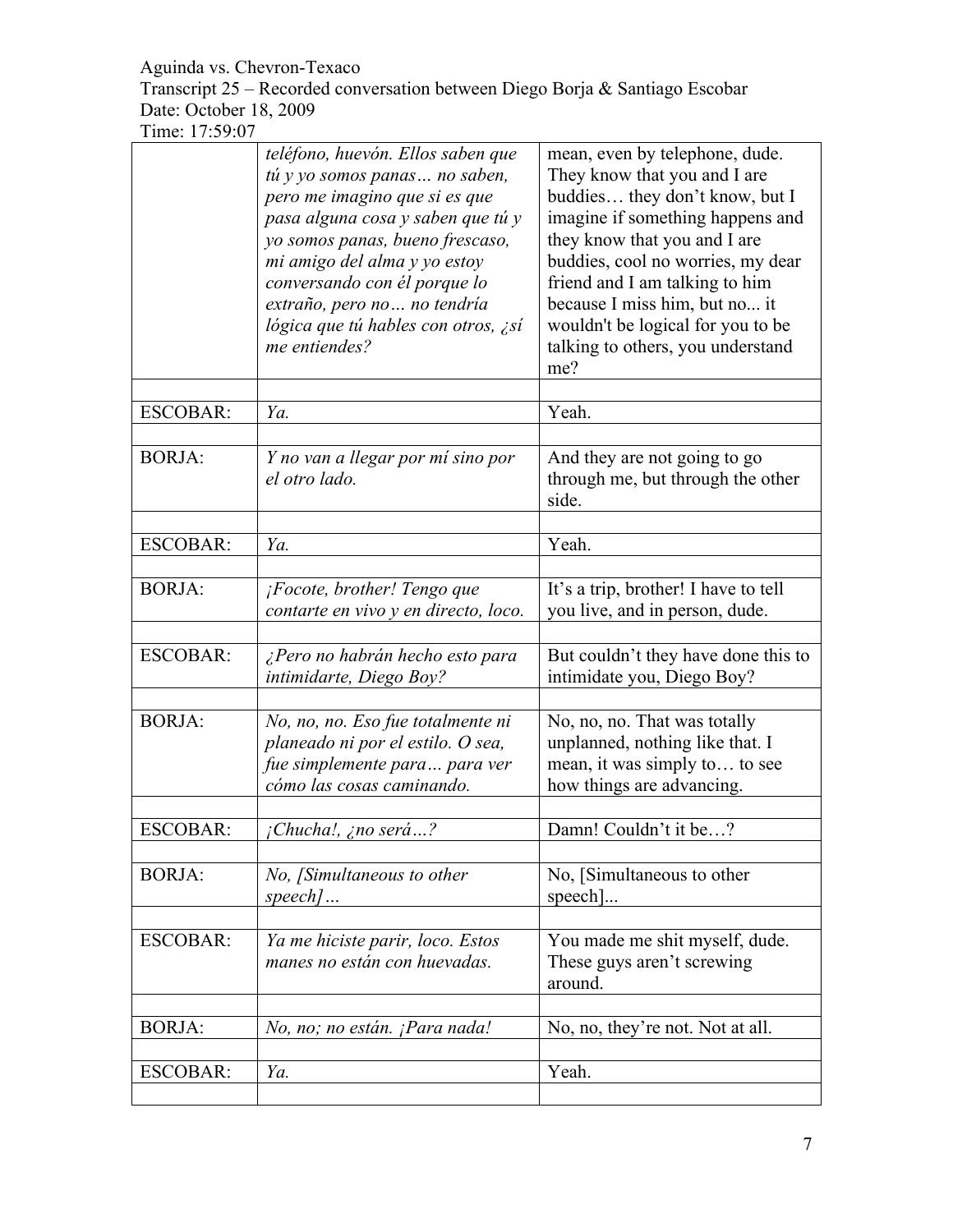Transcript 25 – Recorded conversation between Diego Borja & Santiago Escobar Date: October 18, 2009

|                 | teléfono, huevón. Ellos saben que<br>tú y yo somos panas no saben,<br>pero me imagino que si es que<br>pasa alguna cosa y saben que tú y<br>yo somos panas, bueno frescaso,<br>mi amigo del alma y yo estoy<br>conversando con él porque lo<br>extraño, pero no  no tendría<br>lógica que tú hables con otros, ¿sí<br>me entiendes? | mean, even by telephone, dude.<br>They know that you and I are<br>buddies they don't know, but I<br>imagine if something happens and<br>they know that you and I are<br>buddies, cool no worries, my dear<br>friend and I am talking to him<br>because I miss him, but no it<br>wouldn't be logical for you to be<br>talking to others, you understand<br>me? |
|-----------------|-------------------------------------------------------------------------------------------------------------------------------------------------------------------------------------------------------------------------------------------------------------------------------------------------------------------------------------|---------------------------------------------------------------------------------------------------------------------------------------------------------------------------------------------------------------------------------------------------------------------------------------------------------------------------------------------------------------|
| ESCOBAR:        | Ya.                                                                                                                                                                                                                                                                                                                                 | Yeah.                                                                                                                                                                                                                                                                                                                                                         |
| <b>BORJA:</b>   | Y no van a llegar por mí sino por<br>el otro lado.                                                                                                                                                                                                                                                                                  | And they are not going to go<br>through me, but through the other<br>side.                                                                                                                                                                                                                                                                                    |
| <b>ESCOBAR:</b> | Ya.                                                                                                                                                                                                                                                                                                                                 | Yeah.                                                                                                                                                                                                                                                                                                                                                         |
| <b>BORJA:</b>   | ¡Focote, brother! Tengo que<br>contarte en vivo y en directo, loco.                                                                                                                                                                                                                                                                 | It's a trip, brother! I have to tell<br>you live, and in person, dude.                                                                                                                                                                                                                                                                                        |
| <b>ESCOBAR:</b> | ¿Pero no habrán hecho esto para<br>intimidarte, Diego Boy?                                                                                                                                                                                                                                                                          | But couldn't they have done this to<br>intimidate you, Diego Boy?                                                                                                                                                                                                                                                                                             |
| <b>BORJA:</b>   | No, no, no. Eso fue totalmente ni<br>planeado ni por el estilo. O sea,<br>fue simplemente para para ver<br>cómo las cosas caminando.                                                                                                                                                                                                | No, no, no. That was totally<br>unplanned, nothing like that. I<br>mean, it was simply to to see<br>how things are advancing.                                                                                                                                                                                                                                 |
| <b>ESCOBAR:</b> | <i>¡Chucha!, ¿no será</i> ?                                                                                                                                                                                                                                                                                                         | Damn! Couldn't it be?                                                                                                                                                                                                                                                                                                                                         |
| <b>BORJA:</b>   | No, [Simultaneous to other<br>$speed$                                                                                                                                                                                                                                                                                               | No, [Simultaneous to other<br>speech]                                                                                                                                                                                                                                                                                                                         |
| <b>ESCOBAR:</b> | Ya me hiciste parir, loco. Estos<br>manes no están con huevadas.                                                                                                                                                                                                                                                                    | You made me shit myself, dude.<br>These guys aren't screwing<br>around.                                                                                                                                                                                                                                                                                       |
| <b>BORJA:</b>   | No, no; no están. ¡Para nada!                                                                                                                                                                                                                                                                                                       | No, no, they're not. Not at all.                                                                                                                                                                                                                                                                                                                              |
| <b>ESCOBAR:</b> | Ya.                                                                                                                                                                                                                                                                                                                                 | Yeah.                                                                                                                                                                                                                                                                                                                                                         |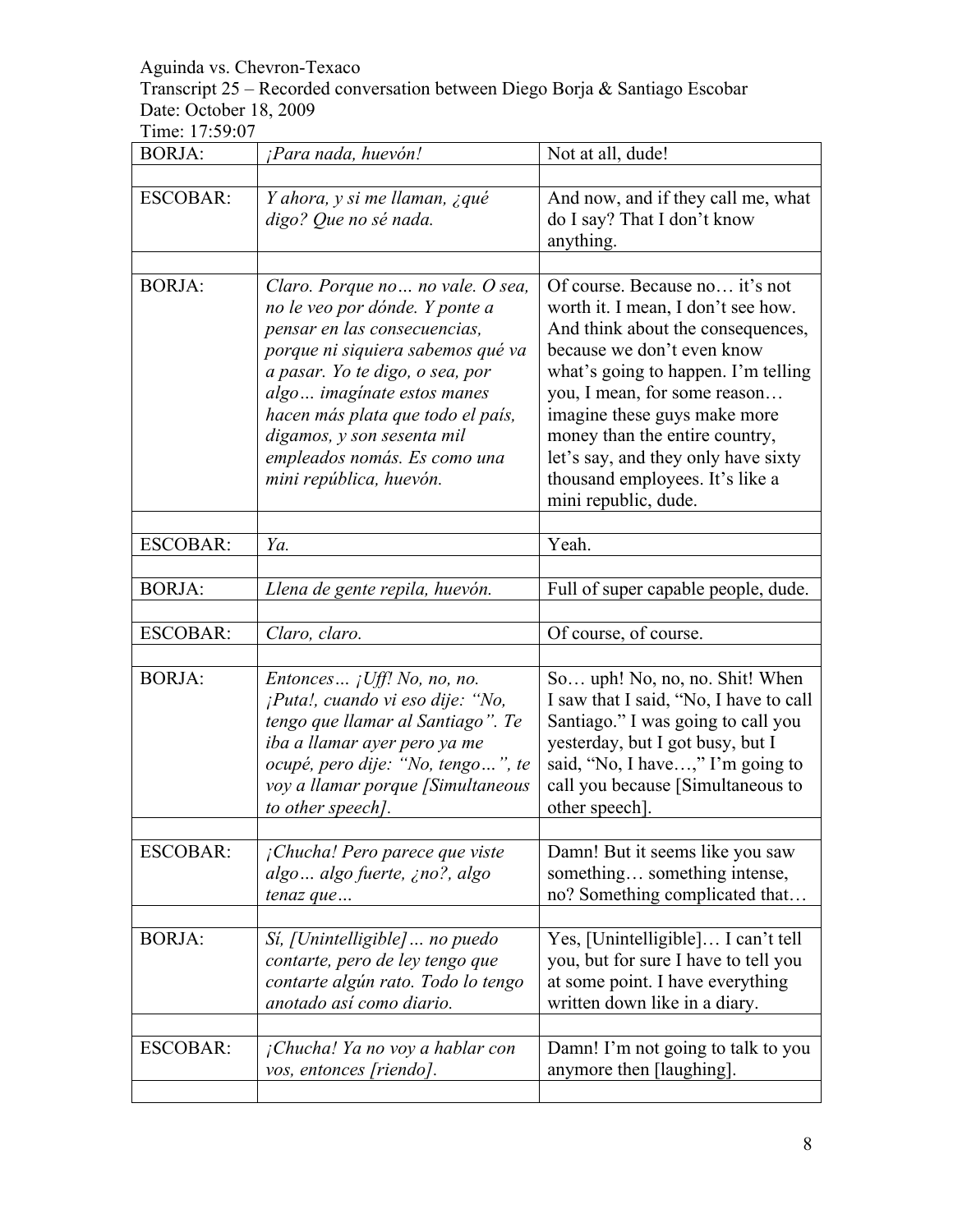# Transcript 25 – Recorded conversation between Diego Borja & Santiago Escobar Date: October 18, 2009

| <b>BORJA:</b>   | ¡Para nada, huevón!                                                                                                                                                                                                                                                                                                                     | Not at all, dude!                                                                                                                                                                                                                                                                                                                                                                  |
|-----------------|-----------------------------------------------------------------------------------------------------------------------------------------------------------------------------------------------------------------------------------------------------------------------------------------------------------------------------------------|------------------------------------------------------------------------------------------------------------------------------------------------------------------------------------------------------------------------------------------------------------------------------------------------------------------------------------------------------------------------------------|
| <b>ESCOBAR:</b> | Y ahora, y si me llaman, ¿qué<br>digo? Que no sé nada.                                                                                                                                                                                                                                                                                  | And now, and if they call me, what<br>do I say? That I don't know<br>anything.                                                                                                                                                                                                                                                                                                     |
| <b>BORJA:</b>   | Claro. Porque no  no vale. O sea,<br>no le veo por dónde. Y ponte a<br>pensar en las consecuencias,<br>porque ni siquiera sabemos qué va<br>a pasar. Yo te digo, o sea, por<br>algo imaginate estos manes<br>hacen más plata que todo el país,<br>digamos, y son sesenta mil<br>empleados nomás. Es como una<br>mini república, huevón. | Of course. Because no it's not<br>worth it. I mean, I don't see how.<br>And think about the consequences,<br>because we don't even know<br>what's going to happen. I'm telling<br>you, I mean, for some reason<br>imagine these guys make more<br>money than the entire country,<br>let's say, and they only have sixty<br>thousand employees. It's like a<br>mini republic, dude. |
| <b>ESCOBAR:</b> | Ya.                                                                                                                                                                                                                                                                                                                                     | Yeah.                                                                                                                                                                                                                                                                                                                                                                              |
| <b>BORJA:</b>   | Llena de gente repila, huevón.                                                                                                                                                                                                                                                                                                          | Full of super capable people, dude.                                                                                                                                                                                                                                                                                                                                                |
| <b>ESCOBAR:</b> | Claro, claro.                                                                                                                                                                                                                                                                                                                           | Of course, of course.                                                                                                                                                                                                                                                                                                                                                              |
| <b>BORJA:</b>   | Entonces $i$ Uff! No, no, no.<br>¡Puta!, cuando vi eso dije: "No,<br>tengo que llamar al Santiago". Te<br>iba a llamar ayer pero ya me<br>ocupé, pero dije: "No, tengo", te<br>voy a llamar porque [Simultaneous<br>to other speech].                                                                                                   | So uph! No, no, no. Shit! When<br>I saw that I said, "No, I have to call<br>Santiago." I was going to call you<br>yesterday, but I got busy, but I<br>said, "No, I have," I'm going to<br>call you because [Simultaneous to<br>other speech]                                                                                                                                       |
| <b>ESCOBAR:</b> | ¡Chucha! Pero parece que viste<br>algo  algo fuerte, ¿no?, algo<br>tenaz que                                                                                                                                                                                                                                                            | Damn! But it seems like you saw<br>something something intense,<br>no? Something complicated that                                                                                                                                                                                                                                                                                  |
| <b>BORJA:</b>   | Sí, [Unintelligible]  no puedo<br>contarte, pero de ley tengo que<br>contarte algún rato. Todo lo tengo<br>anotado así como diario.                                                                                                                                                                                                     | Yes, [Unintelligible] I can't tell<br>you, but for sure I have to tell you<br>at some point. I have everything<br>written down like in a diary.                                                                                                                                                                                                                                    |
| <b>ESCOBAR:</b> | ¡Chucha! Ya no voy a hablar con<br>vos, entonces [riendo].                                                                                                                                                                                                                                                                              | Damn! I'm not going to talk to you<br>anymore then [laughing].                                                                                                                                                                                                                                                                                                                     |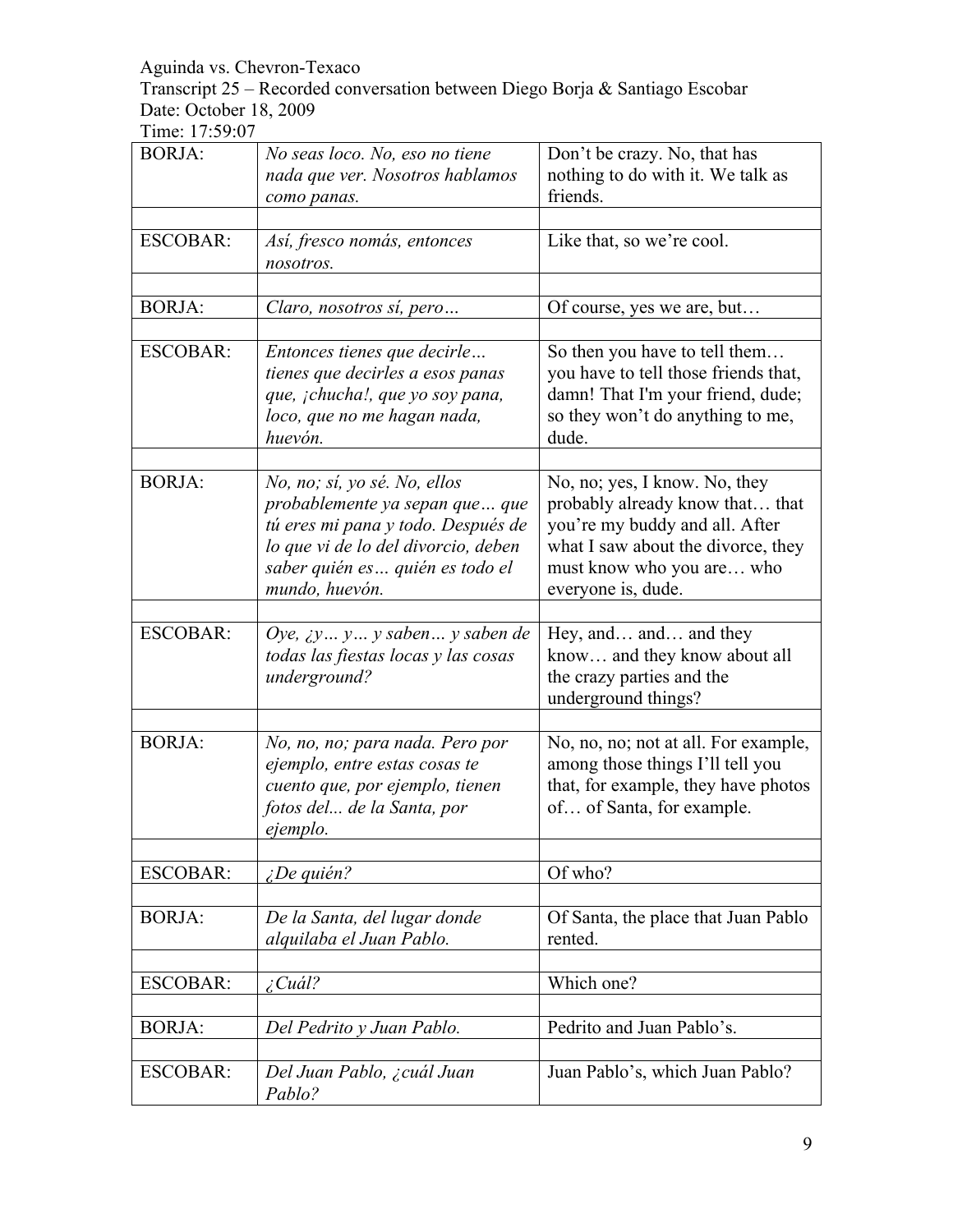Transcript 25 – Recorded conversation between Diego Borja & Santiago Escobar Date: October 18, 2009

| <b>BORJA:</b>   | No seas loco. No, eso no tiene<br>nada que ver. Nosotros hablamos<br>como panas.                                                                                                                  | Don't be crazy. No, that has<br>nothing to do with it. We talk as<br>friends.                                                                                                               |
|-----------------|---------------------------------------------------------------------------------------------------------------------------------------------------------------------------------------------------|---------------------------------------------------------------------------------------------------------------------------------------------------------------------------------------------|
| <b>ESCOBAR:</b> | Así, fresco nomás, entonces<br>nosotros.                                                                                                                                                          | Like that, so we're cool.                                                                                                                                                                   |
| <b>BORJA:</b>   | Claro, nosotros sí, pero                                                                                                                                                                          | Of course, yes we are, but                                                                                                                                                                  |
| <b>ESCOBAR:</b> | Entonces tienes que decirle<br>tienes que decirles a esos panas<br>que, ¡chucha!, que yo soy pana,<br>loco, que no me hagan nada,<br>huevón.                                                      | So then you have to tell them<br>you have to tell those friends that,<br>damn! That I'm your friend, dude;<br>so they won't do anything to me,<br>dude.                                     |
| <b>BORJA:</b>   | No, no; sí, yo sé. No, ellos<br>probablemente ya sepan que  que<br>tú eres mi pana y todo. Después de<br>lo que vi de lo del divorcio, deben<br>saber quién es quién es todo el<br>mundo, huevón. | No, no; yes, I know. No, they<br>probably already know that that<br>you're my buddy and all. After<br>what I saw about the divorce, they<br>must know who you are who<br>everyone is, dude. |
| <b>ESCOBAR:</b> | Oye, $\chi$ y y y saben y saben de<br>todas las fiestas locas y las cosas<br>underground?                                                                                                         | Hey, and and and they<br>know and they know about all<br>the crazy parties and the<br>underground things?                                                                                   |
| <b>BORJA:</b>   | No, no, no; para nada. Pero por<br>ejemplo, entre estas cosas te<br>cuento que, por ejemplo, tienen<br>fotos del de la Santa, por<br>ejemplo.                                                     | No, no, no; not at all. For example,<br>among those things I'll tell you<br>that, for example, they have photos<br>of of Santa, for example.                                                |
| <b>ESCOBAR:</b> | $i$ De quién?                                                                                                                                                                                     | Of who?                                                                                                                                                                                     |
| <b>BORJA:</b>   | De la Santa, del lugar donde<br>alquilaba el Juan Pablo.                                                                                                                                          | Of Santa, the place that Juan Pablo<br>rented.                                                                                                                                              |
| <b>ESCOBAR:</b> | $\angle$ Cuál?                                                                                                                                                                                    | Which one?                                                                                                                                                                                  |
| <b>BORJA:</b>   | Del Pedrito y Juan Pablo.                                                                                                                                                                         | Pedrito and Juan Pablo's.                                                                                                                                                                   |
| <b>ESCOBAR:</b> | Del Juan Pablo, ¿cuál Juan<br>Pablo?                                                                                                                                                              | Juan Pablo's, which Juan Pablo?                                                                                                                                                             |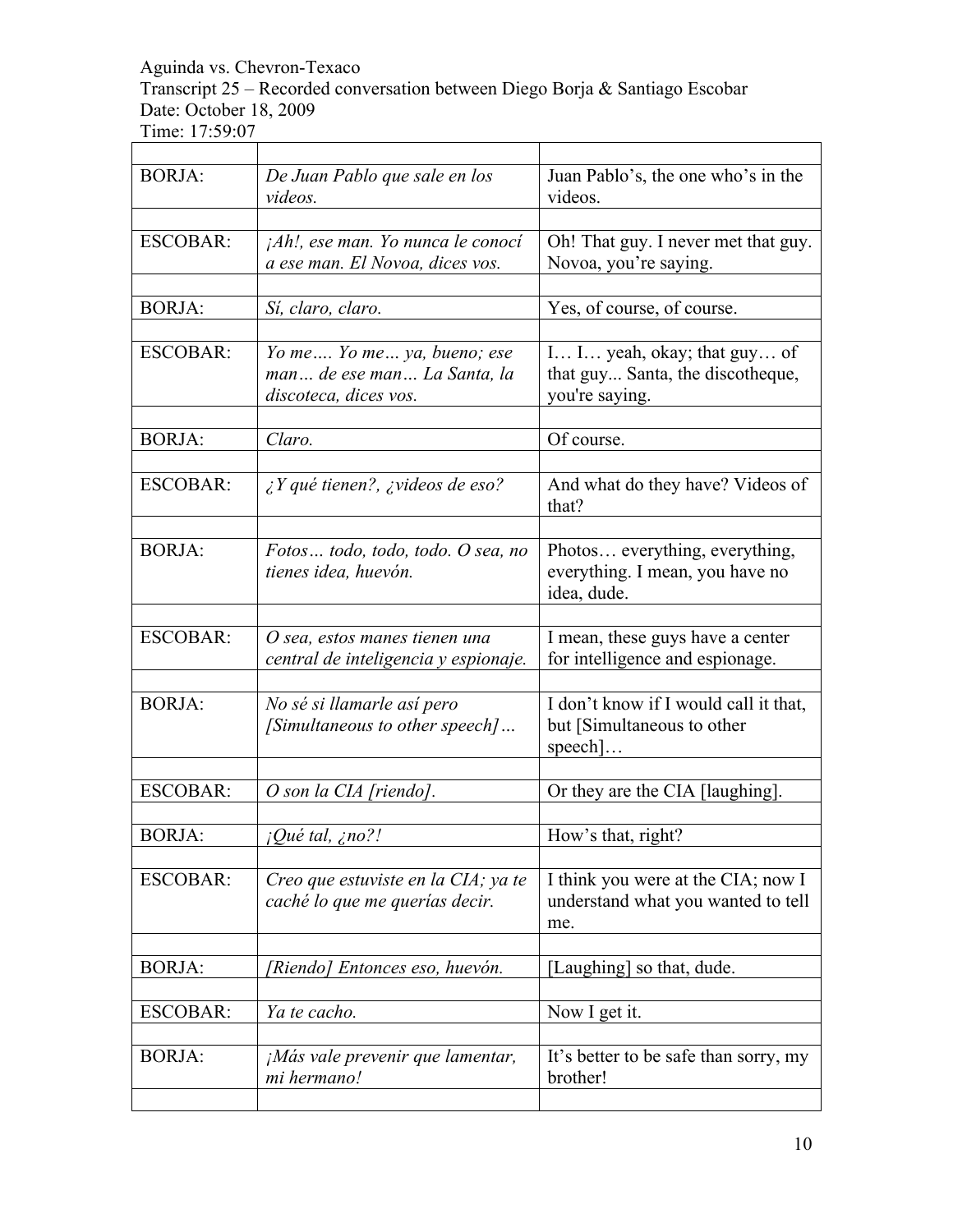Transcript 25 – Recorded conversation between Diego Borja & Santiago Escobar Date: October 18, 2009 

| 1110. <i>11.07.</i> 0 |                                                                                    |                                                                                         |
|-----------------------|------------------------------------------------------------------------------------|-----------------------------------------------------------------------------------------|
| <b>BORJA:</b>         | De Juan Pablo que sale en los<br>videos.                                           | Juan Pablo's, the one who's in the<br>videos.                                           |
| <b>ESCOBAR:</b>       | $jAh!$ , ese man. Yo nunca le conocí<br>a ese man. El Novoa, dices vos.            | Oh! That guy. I never met that guy.<br>Novoa, you're saying.                            |
| <b>BORJA:</b>         | Sí, claro, claro.                                                                  | Yes, of course, of course.                                                              |
| <b>ESCOBAR:</b>       | Yo me Yo me ya, bueno; ese<br>man de ese man La Santa, la<br>discoteca, dices vos. | I I yeah, okay; that guy of<br>that guy Santa, the discotheque,<br>you're saying.       |
| <b>BORJA:</b>         | Claro.                                                                             | Of course.                                                                              |
| <b>ESCOBAR:</b>       | $\lambda$ Y qué tienen?, $\lambda$ videos de eso?                                  | And what do they have? Videos of<br>that?                                               |
| <b>BORJA:</b>         | Fotos todo, todo, todo. O sea, no<br>tienes idea, huevón.                          | Photos everything, everything,<br>everything. I mean, you have no<br>idea, dude.        |
| <b>ESCOBAR:</b>       | O sea, estos manes tienen una<br>central de inteligencia y espionaje.              | I mean, these guys have a center<br>for intelligence and espionage.                     |
| <b>BORJA:</b>         | No sé si llamarle así pero<br>[Simultaneous to other speech]                       | I don't know if I would call it that,<br>but [Simultaneous to other<br>$\text{speed}$ ] |
| <b>ESCOBAR:</b>       | O son la CIA [riendo].                                                             | Or they are the CIA [laughing].                                                         |
| <b>BORJA:</b>         | ¿Qué tal, ¿no?!                                                                    | How's that, right?                                                                      |
| <b>ESCOBAR:</b>       | Creo que estuviste en la CIA; ya te<br>caché lo que me querías decir.              | I think you were at the CIA; now I<br>understand what you wanted to tell<br>me.         |
| <b>BORJA:</b>         | [Riendo] Entonces eso, huevón.                                                     | [Laughing] so that, dude.                                                               |
| <b>ESCOBAR:</b>       | Ya te cacho.                                                                       | Now I get it.                                                                           |
| <b>BORJA:</b>         | $jMás vale prevenir que lamentar,$<br>mi hermano!                                  | It's better to be safe than sorry, my<br>brother!                                       |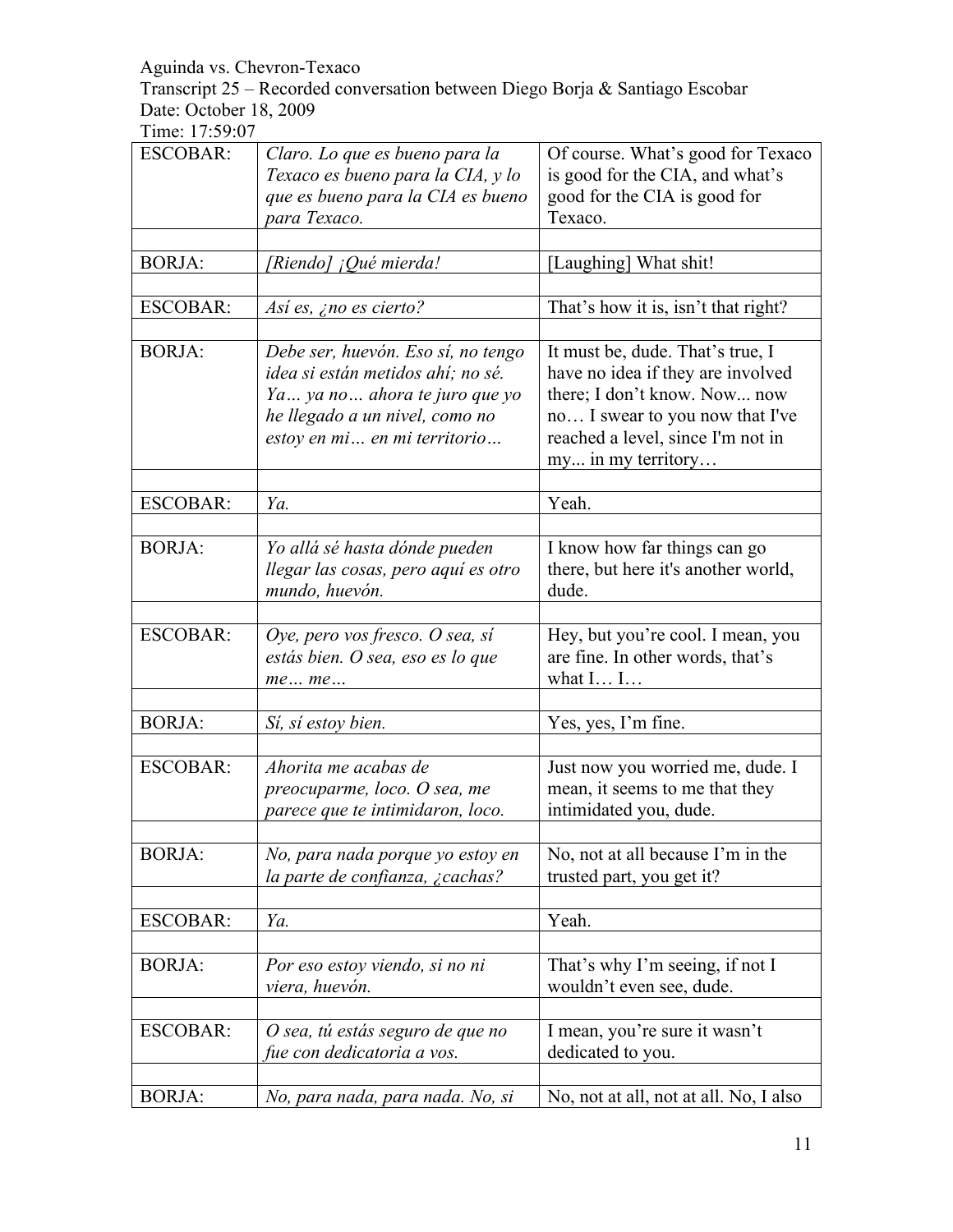Transcript 25 – Recorded conversation between Diego Borja & Santiago Escobar Date: October 18, 2009

| <b>ESCOBAR:</b> | Claro. Lo que es bueno para la<br>Texaco es bueno para la CIA, y lo<br>que es bueno para la CIA es bueno                                                                     | Of course. What's good for Texaco<br>is good for the CIA, and what's<br>good for the CIA is good for                                                                                                |
|-----------------|------------------------------------------------------------------------------------------------------------------------------------------------------------------------------|-----------------------------------------------------------------------------------------------------------------------------------------------------------------------------------------------------|
|                 | para Texaco.                                                                                                                                                                 | Texaco.                                                                                                                                                                                             |
| <b>BORJA:</b>   |                                                                                                                                                                              |                                                                                                                                                                                                     |
|                 | [Riendo] ¡Qué mierda!                                                                                                                                                        | [Laughing] What shit!                                                                                                                                                                               |
| <b>ESCOBAR:</b> | Así es, ¿no es cierto?                                                                                                                                                       | That's how it is, isn't that right?                                                                                                                                                                 |
| <b>BORJA:</b>   | Debe ser, huevón. Eso sí, no tengo<br>idea si están metidos ahí; no sé.<br>Ya  ya no  ahora te juro que yo<br>he llegado a un nivel, como no<br>estoy en mi en mi territorio | It must be, dude. That's true, I<br>have no idea if they are involved<br>there; I don't know. Now now<br>no I swear to you now that I've<br>reached a level, since I'm not in<br>my in my territory |
| <b>ESCOBAR:</b> | Ya.                                                                                                                                                                          | Yeah.                                                                                                                                                                                               |
|                 |                                                                                                                                                                              |                                                                                                                                                                                                     |
| <b>BORJA:</b>   | Yo allá sé hasta dónde pueden<br>llegar las cosas, pero aquí es otro<br>mundo, huevón.                                                                                       | I know how far things can go<br>there, but here it's another world,<br>dude.                                                                                                                        |
| <b>ESCOBAR:</b> | Oye, pero vos fresco. O sea, sí<br>estás bien. O sea, eso es lo que<br>meme                                                                                                  | Hey, but you're cool. I mean, you<br>are fine. In other words, that's<br>what $I I$                                                                                                                 |
|                 |                                                                                                                                                                              |                                                                                                                                                                                                     |
| <b>BORJA:</b>   | Sí, sí estoy bien.                                                                                                                                                           | Yes, yes, I'm fine.                                                                                                                                                                                 |
| <b>ESCOBAR:</b> | Ahorita me acabas de<br>preocuparme, loco. O sea, me<br>parece que te intimidaron, loco.                                                                                     | Just now you worried me, dude. I<br>mean, it seems to me that they<br>intimidated you, dude.                                                                                                        |
| <b>BORJA:</b>   | No, para nada porque yo estoy en<br>la parte de confianza, ¿cachas?                                                                                                          | No, not at all because I'm in the<br>trusted part, you get it?                                                                                                                                      |
| <b>ESCOBAR:</b> | Ya.                                                                                                                                                                          | Yeah.                                                                                                                                                                                               |
|                 |                                                                                                                                                                              |                                                                                                                                                                                                     |
| <b>BORJA:</b>   | Por eso estoy viendo, si no ni<br>viera, huevón.                                                                                                                             | That's why I'm seeing, if not I<br>wouldn't even see, dude.                                                                                                                                         |
| <b>ESCOBAR:</b> | O sea, tú estás seguro de que no<br>fue con dedicatoria a vos.                                                                                                               | I mean, you're sure it wasn't<br>dedicated to you.                                                                                                                                                  |
| <b>BORJA:</b>   | No, para nada, para nada. No, si                                                                                                                                             | No, not at all, not at all. No, I also                                                                                                                                                              |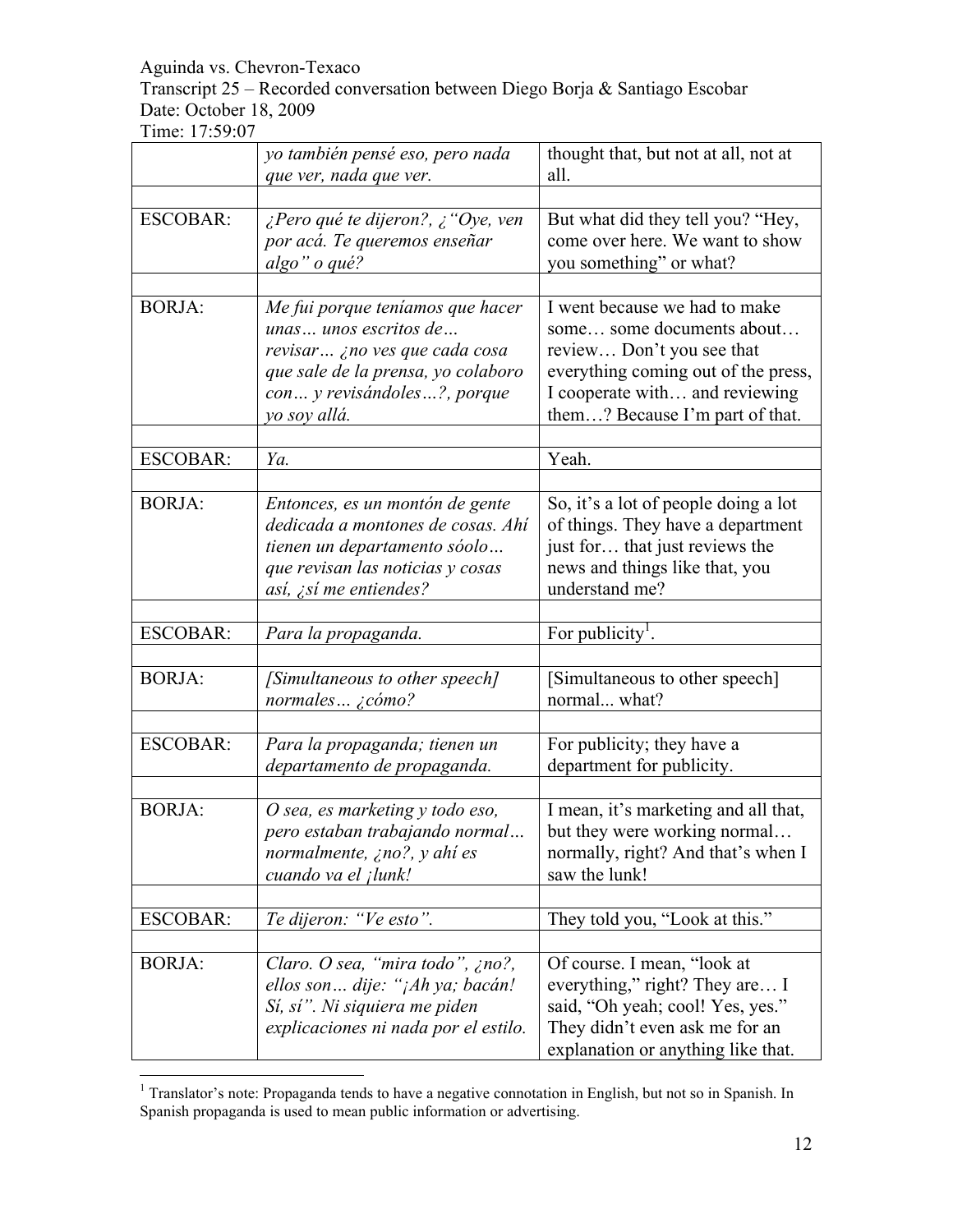Transcript 25 – Recorded conversation between Diego Borja & Santiago Escobar Date: October 18, 2009

|                 | yo también pensé eso, pero nada<br>que ver, nada que ver.                                                                                                                       | thought that, but not at all, not at<br>all.                                                                                                                                                        |
|-----------------|---------------------------------------------------------------------------------------------------------------------------------------------------------------------------------|-----------------------------------------------------------------------------------------------------------------------------------------------------------------------------------------------------|
|                 |                                                                                                                                                                                 |                                                                                                                                                                                                     |
| <b>ESCOBAR:</b> | ¿Pero qué te dijeron?, ¿ "Oye, ven<br>por acá. Te queremos enseñar<br>algo" o qué?                                                                                              | But what did they tell you? "Hey,<br>come over here. We want to show<br>you something" or what?                                                                                                     |
|                 |                                                                                                                                                                                 |                                                                                                                                                                                                     |
| <b>BORJA:</b>   | Me fui porque teníamos que hacer<br>unas unos escritos de<br>revisar ¿no ves que cada cosa<br>que sale de la prensa, yo colaboro<br>con y revisándoles?, porque<br>yo soy allá. | I went because we had to make<br>some some documents about<br>review Don't you see that<br>everything coming out of the press,<br>I cooperate with and reviewing<br>them? Because I'm part of that. |
|                 |                                                                                                                                                                                 |                                                                                                                                                                                                     |
| <b>ESCOBAR:</b> | Ya.                                                                                                                                                                             | Yeah.                                                                                                                                                                                               |
| <b>BORJA:</b>   | Entonces, es un montón de gente<br>dedicada a montones de cosas. Ahí<br>tienen un departamento sóolo<br>que revisan las noticias y cosas<br>así, ¿sí me entiendes?              | So, it's a lot of people doing a lot<br>of things. They have a department<br>just for that just reviews the<br>news and things like that, you<br>understand me?                                     |
|                 |                                                                                                                                                                                 |                                                                                                                                                                                                     |
| <b>ESCOBAR:</b> | Para la propaganda.                                                                                                                                                             | For publicity <sup>1</sup> .                                                                                                                                                                        |
|                 |                                                                                                                                                                                 |                                                                                                                                                                                                     |
| <b>BORJA:</b>   | [Simultaneous to other speech]<br>normales $\zeta$ cómo?                                                                                                                        | [Simultaneous to other speech]<br>normal what?                                                                                                                                                      |
|                 |                                                                                                                                                                                 |                                                                                                                                                                                                     |
| <b>ESCOBAR:</b> | Para la propaganda; tienen un<br>departamento de propaganda.                                                                                                                    | For publicity; they have a<br>department for publicity.                                                                                                                                             |
|                 |                                                                                                                                                                                 |                                                                                                                                                                                                     |
| <b>BORJA:</b>   | O sea, es marketing y todo eso,<br>pero estaban trabajando normal<br>normalmente, ¿no?, y ahí es<br>cuando va el <i>jlunk!</i>                                                  | I mean, it's marketing and all that,<br>but they were working normal<br>normally, right? And that's when I<br>saw the lunk!                                                                         |
|                 |                                                                                                                                                                                 |                                                                                                                                                                                                     |
| <b>ESCOBAR:</b> | Te dijeron: "Ve esto".                                                                                                                                                          | They told you, "Look at this."                                                                                                                                                                      |
|                 |                                                                                                                                                                                 |                                                                                                                                                                                                     |
| <b>BORJA:</b>   | Claro. O sea, "mira todo", ¿no?,<br>ellos son dije: "¡Ah ya; bacán!<br>Sí, sí". Ni siquiera me piden<br>explicaciones ni nada por el estilo.                                    | Of course. I mean, "look at<br>everything," right? They are I<br>said, "Oh yeah; cool! Yes, yes."<br>They didn't even ask me for an<br>explanation or anything like that.                           |

 $\frac{1}{1}$  Translator's note: Propaganda tends to have a negative connotation in English, but not so in Spanish. In Spanish propaganda is used to mean public information or advertising.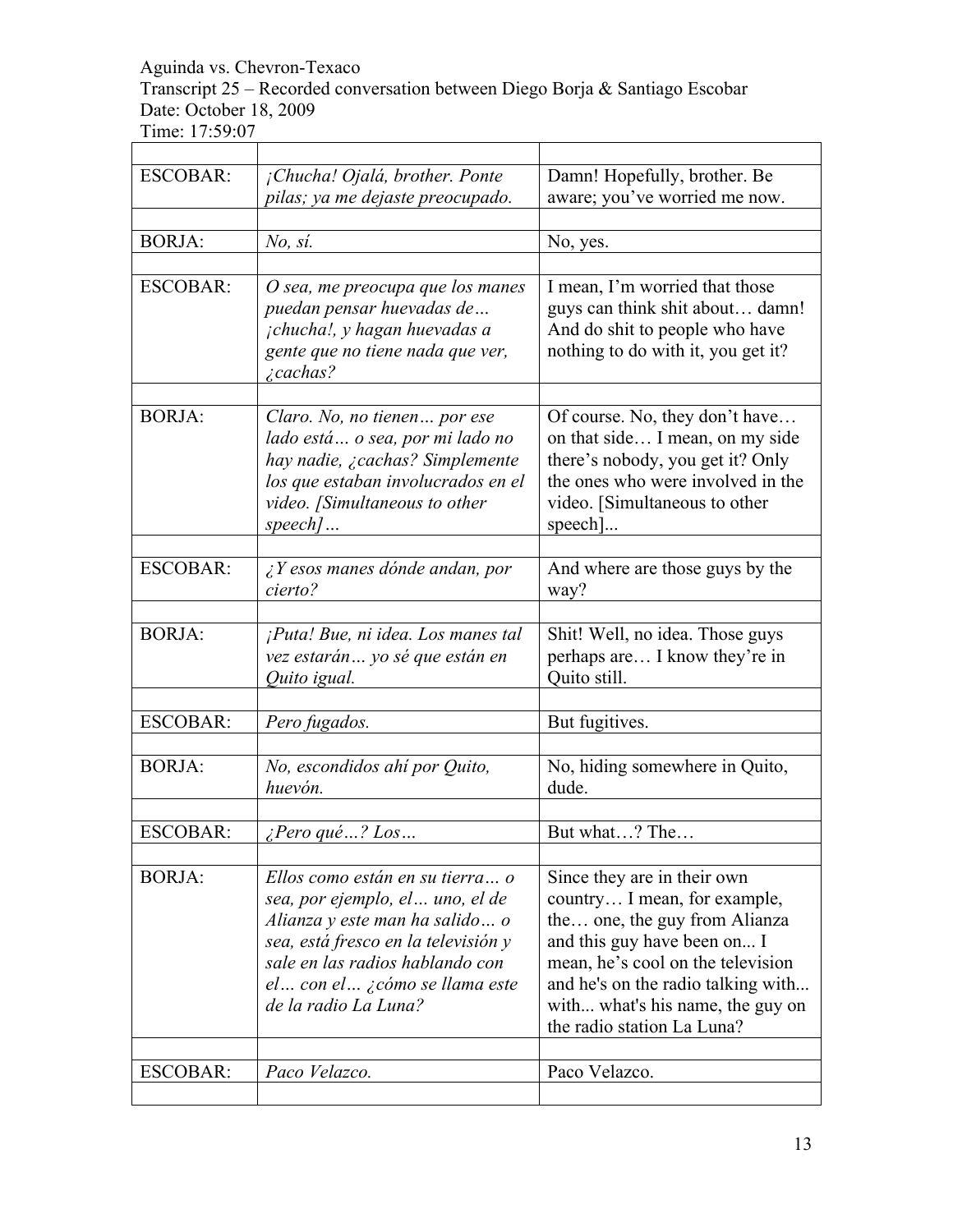Transcript 25 – Recorded conversation between Diego Borja & Santiago Escobar Date: October 18, 2009

| <b>ESCOBAR:</b> | ¡Chucha! Ojalá, brother. Ponte<br>pilas; ya me dejaste preocupado.                                                                                                                                                                        | Damn! Hopefully, brother. Be<br>aware; you've worried me now.                                                                                                                                                                                                            |
|-----------------|-------------------------------------------------------------------------------------------------------------------------------------------------------------------------------------------------------------------------------------------|--------------------------------------------------------------------------------------------------------------------------------------------------------------------------------------------------------------------------------------------------------------------------|
|                 |                                                                                                                                                                                                                                           |                                                                                                                                                                                                                                                                          |
| <b>BORJA:</b>   | No, si.                                                                                                                                                                                                                                   | No, yes.                                                                                                                                                                                                                                                                 |
| <b>ESCOBAR:</b> | O sea, me preocupa que los manes<br>puedan pensar huevadas de<br>jchucha!, y hagan huevadas a<br>gente que no tiene nada que ver,<br>$\zeta$ cachas?                                                                                      | I mean, I'm worried that those<br>guys can think shit about damn!<br>And do shit to people who have<br>nothing to do with it, you get it?                                                                                                                                |
| <b>BORJA:</b>   | Claro. No, no tienen por ese<br>lado está o sea, por mi lado no<br>hay nadie, ¿cachas? Simplemente<br>los que estaban involucrados en el<br>video. [Simultaneous to other<br>$speed$                                                      | Of course. No, they don't have<br>on that side I mean, on my side<br>there's nobody, you get it? Only<br>the ones who were involved in the<br>video. [Simultaneous to other<br>speed1                                                                                    |
| <b>ESCOBAR:</b> | $ii$ Y esos manes dónde andan, por<br>cierto?                                                                                                                                                                                             | And where are those guys by the<br>way?                                                                                                                                                                                                                                  |
| <b>BORJA:</b>   | ¡Puta! Bue, ni idea. Los manes tal<br>vez estarán yo sé que están en<br>Quito igual.                                                                                                                                                      | Shit! Well, no idea. Those guys<br>perhaps are I know they're in<br>Quito still.                                                                                                                                                                                         |
| <b>ESCOBAR:</b> |                                                                                                                                                                                                                                           |                                                                                                                                                                                                                                                                          |
|                 | Pero fugados.                                                                                                                                                                                                                             | But fugitives.                                                                                                                                                                                                                                                           |
| <b>BORJA:</b>   | No, escondidos ahí por Quito,<br>huevón.                                                                                                                                                                                                  | No, hiding somewhere in Quito,<br>dude.                                                                                                                                                                                                                                  |
|                 |                                                                                                                                                                                                                                           |                                                                                                                                                                                                                                                                          |
| <b>ESCOBAR:</b> | $i$ Pero qué ? Los                                                                                                                                                                                                                        | But what? The                                                                                                                                                                                                                                                            |
| <b>BORJA:</b>   | Ellos como están en su tierra o<br>sea, por ejemplo, el  uno, el de<br>Alianza y este man ha salido  o<br>sea, está fresco en la televisión y<br>sale en las radios hablando con<br>el con el ¿cómo se llama este<br>de la radio La Luna? | Since they are in their own<br>country I mean, for example,<br>the one, the guy from Alianza<br>and this guy have been on I<br>mean, he's cool on the television<br>and he's on the radio talking with<br>with what's his name, the guy on<br>the radio station La Luna? |
| <b>ESCOBAR:</b> | Paco Velazco.                                                                                                                                                                                                                             | Paco Velazco.                                                                                                                                                                                                                                                            |
|                 |                                                                                                                                                                                                                                           |                                                                                                                                                                                                                                                                          |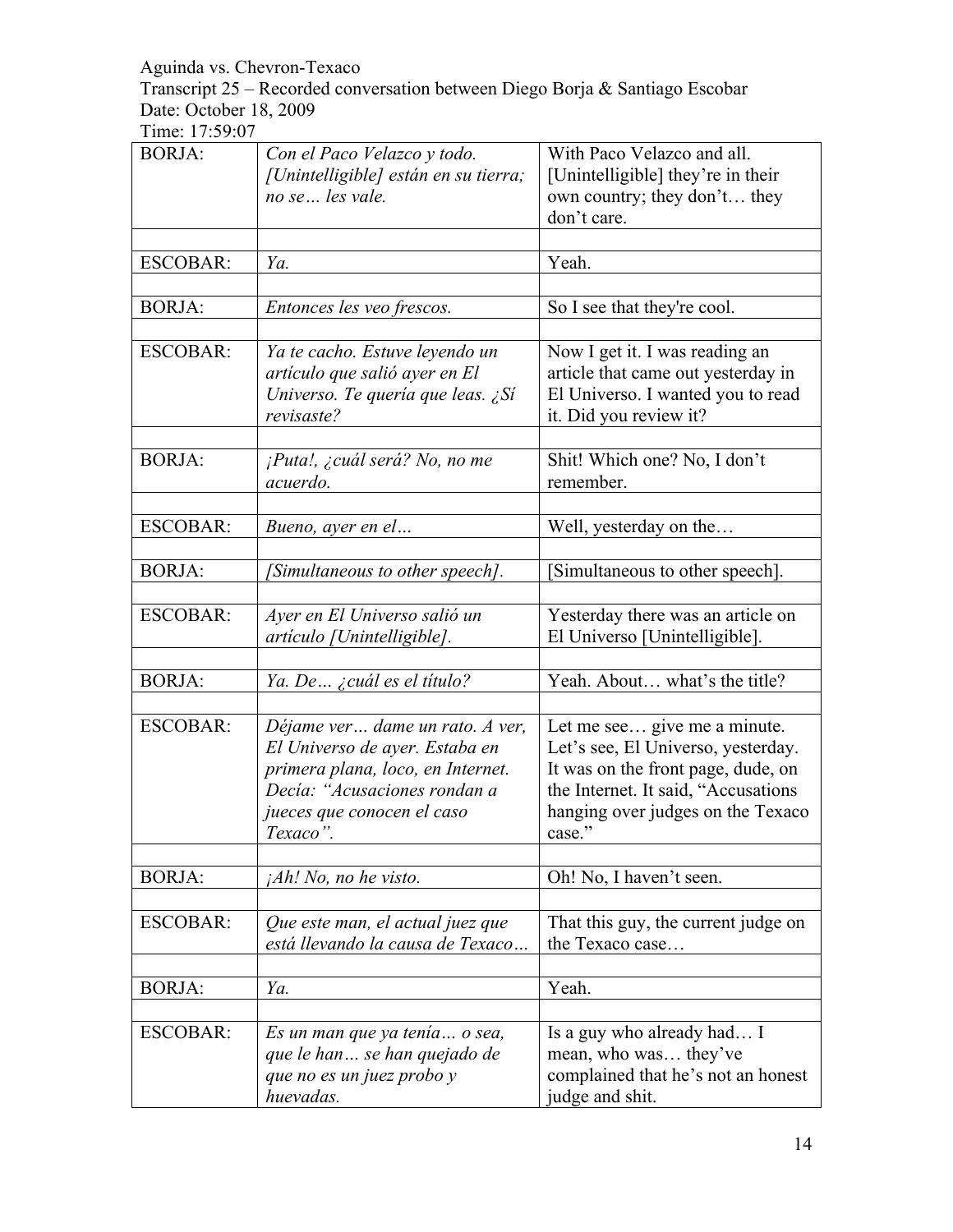Transcript 25 – Recorded conversation between Diego Borja & Santiago Escobar Date: October 18, 2009

| <b>BORJA:</b>   | Con el Paco Velazco y todo.<br>[Unintelligible] están en su tierra;                                                | With Paco Velazco and all.<br>[Unintelligible] they're in their                                                                     |
|-----------------|--------------------------------------------------------------------------------------------------------------------|-------------------------------------------------------------------------------------------------------------------------------------|
|                 | no se  les vale.                                                                                                   | own country; they don't they<br>don't care.                                                                                         |
|                 |                                                                                                                    |                                                                                                                                     |
| <b>ESCOBAR:</b> | Ya.                                                                                                                | Yeah.                                                                                                                               |
|                 |                                                                                                                    |                                                                                                                                     |
| <b>BORJA:</b>   | Entonces les veo frescos.                                                                                          | So I see that they're cool.                                                                                                         |
|                 |                                                                                                                    |                                                                                                                                     |
| <b>ESCOBAR:</b> | Ya te cacho. Estuve leyendo un<br>artículo que salió ayer en El<br>Universo. Te quería que leas. ¿Sí<br>revisaste? | Now I get it. I was reading an<br>article that came out yesterday in<br>El Universo. I wanted you to read<br>it. Did you review it? |
|                 |                                                                                                                    |                                                                                                                                     |
| <b>BORJA:</b>   | ¡Puta!, ¿cuál será? No, no me<br>acuerdo.                                                                          | Shit! Which one? No, I don't<br>remember.                                                                                           |
|                 |                                                                                                                    |                                                                                                                                     |
| <b>ESCOBAR:</b> | Bueno, ayer en el                                                                                                  | Well, yesterday on the                                                                                                              |
|                 |                                                                                                                    |                                                                                                                                     |
| <b>BORJA:</b>   | [Simultaneous to other speech].                                                                                    | [Simultaneous to other speech].                                                                                                     |
| <b>ESCOBAR:</b> | Ayer en El Universo salió un                                                                                       | Yesterday there was an article on                                                                                                   |
|                 | artículo [Unintelligible].                                                                                         | El Universo [Unintelligible].                                                                                                       |
|                 |                                                                                                                    |                                                                                                                                     |
| <b>BORJA:</b>   | Ya. De ¿cuál es el título?                                                                                         | Yeah. About what's the title?                                                                                                       |
|                 |                                                                                                                    |                                                                                                                                     |
| <b>ESCOBAR:</b> | Déjame ver dame un rato. A ver,                                                                                    | Let me see give me a minute.                                                                                                        |
|                 | El Universo de ayer. Estaba en                                                                                     | Let's see, El Universo, yesterday.                                                                                                  |
|                 | primera plana, loco, en Internet.                                                                                  | It was on the front page, dude, on                                                                                                  |
|                 | Decía: "Acusaciones rondan a                                                                                       | the Internet. It said, "Accusations                                                                                                 |
|                 | jueces que conocen el caso                                                                                         | hanging over judges on the Texaco                                                                                                   |
|                 | Texaco".                                                                                                           | case."                                                                                                                              |
|                 |                                                                                                                    |                                                                                                                                     |
| <b>BORJA:</b>   | $iAh!$ No, no he visto.                                                                                            | Oh! No, I haven't seen.                                                                                                             |
|                 |                                                                                                                    |                                                                                                                                     |
| <b>ESCOBAR:</b> | Que este man, el actual juez que                                                                                   | That this guy, the current judge on                                                                                                 |
|                 | está llevando la causa de Texaco                                                                                   | the Texaco case                                                                                                                     |
|                 |                                                                                                                    |                                                                                                                                     |
| <b>BORJA:</b>   | Ya.                                                                                                                | Yeah.                                                                                                                               |
|                 |                                                                                                                    |                                                                                                                                     |
| <b>ESCOBAR:</b> | Es un man que ya tenía o sea,                                                                                      | Is a guy who already had I                                                                                                          |
|                 | que le han se han quejado de                                                                                       | mean, who was they've                                                                                                               |
|                 | que no es un juez probo y                                                                                          | complained that he's not an honest                                                                                                  |
|                 | huevadas.                                                                                                          | judge and shit.                                                                                                                     |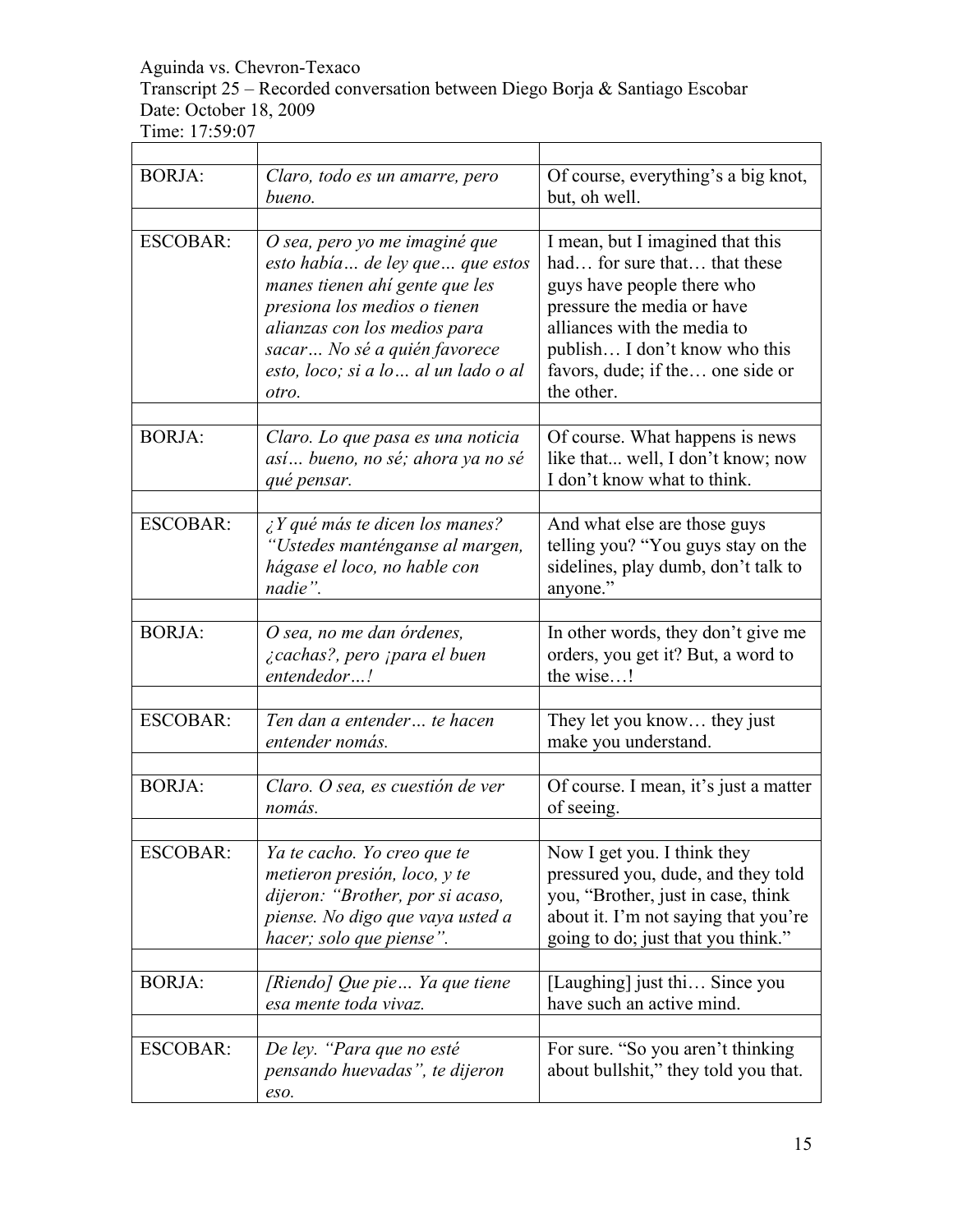Transcript 25 – Recorded conversation between Diego Borja & Santiago Escobar Date: October 18, 2009

Time: 17:59:07

| <b>BORJA:</b>   | Claro, todo es un amarre, pero<br>bueno.                                                                                                                                                                                                            | Of course, everything's a big knot,<br>but, oh well.                                                                                                                                                                                           |
|-----------------|-----------------------------------------------------------------------------------------------------------------------------------------------------------------------------------------------------------------------------------------------------|------------------------------------------------------------------------------------------------------------------------------------------------------------------------------------------------------------------------------------------------|
| <b>ESCOBAR:</b> | O sea, pero yo me imaginé que<br>esto había de ley que que estos<br>manes tienen ahí gente que les<br>presiona los medios o tienen<br>alianzas con los medios para<br>sacar No sé a quién favorece<br>esto, loco; si a lo  al un lado o al<br>otro. | I mean, but I imagined that this<br>had for sure that that these<br>guys have people there who<br>pressure the media or have<br>alliances with the media to<br>publish I don't know who this<br>favors, dude; if the one side or<br>the other. |
| <b>BORJA:</b>   | Claro. Lo que pasa es una noticia<br>así bueno, no sé; ahora ya no sé<br>qué pensar.                                                                                                                                                                | Of course. What happens is news<br>like that well, I don't know; now<br>I don't know what to think.                                                                                                                                            |
| <b>ESCOBAR:</b> | $\lambda$ Y qué más te dicen los manes?<br>"Ustedes manténganse al margen,<br>hágase el loco, no hable con<br>nadie".                                                                                                                               | And what else are those guys<br>telling you? "You guys stay on the<br>sidelines, play dumb, don't talk to<br>anyone."                                                                                                                          |
| <b>BORJA:</b>   | O sea, no me dan órdenes,<br><i>i</i> cachas?, pero <i>jpara el buen</i><br>entendedor!                                                                                                                                                             | In other words, they don't give me<br>orders, you get it? But, a word to<br>the wise!                                                                                                                                                          |
| <b>ESCOBAR:</b> | Ten dan a entender te hacen<br>entender nomás.                                                                                                                                                                                                      | They let you know they just<br>make you understand.                                                                                                                                                                                            |
| <b>BORJA:</b>   | Claro. O sea, es cuestión de ver<br>nomás.                                                                                                                                                                                                          | Of course. I mean, it's just a matter<br>of seeing.                                                                                                                                                                                            |
| <b>ESCOBAR:</b> | Ya te cacho. Yo creo que te<br>metieron presión, loco, y te<br>dijeron: "Brother, por si acaso,<br>piense. No digo que vaya usted a<br>hacer; solo que piense".                                                                                     | Now I get you. I think they<br>pressured you, dude, and they told<br>you, "Brother, just in case, think<br>about it. I'm not saying that you're<br>going to do; just that you think."                                                          |
| <b>BORJA:</b>   | [Riendo] Que pie Ya que tiene<br>esa mente toda vivaz.                                                                                                                                                                                              | [Laughing] just thi Since you<br>have such an active mind.                                                                                                                                                                                     |
| <b>ESCOBAR:</b> | De ley. "Para que no esté<br>pensando huevadas", te dijeron<br>eso.                                                                                                                                                                                 | For sure. "So you aren't thinking<br>about bullshit," they told you that.                                                                                                                                                                      |

٦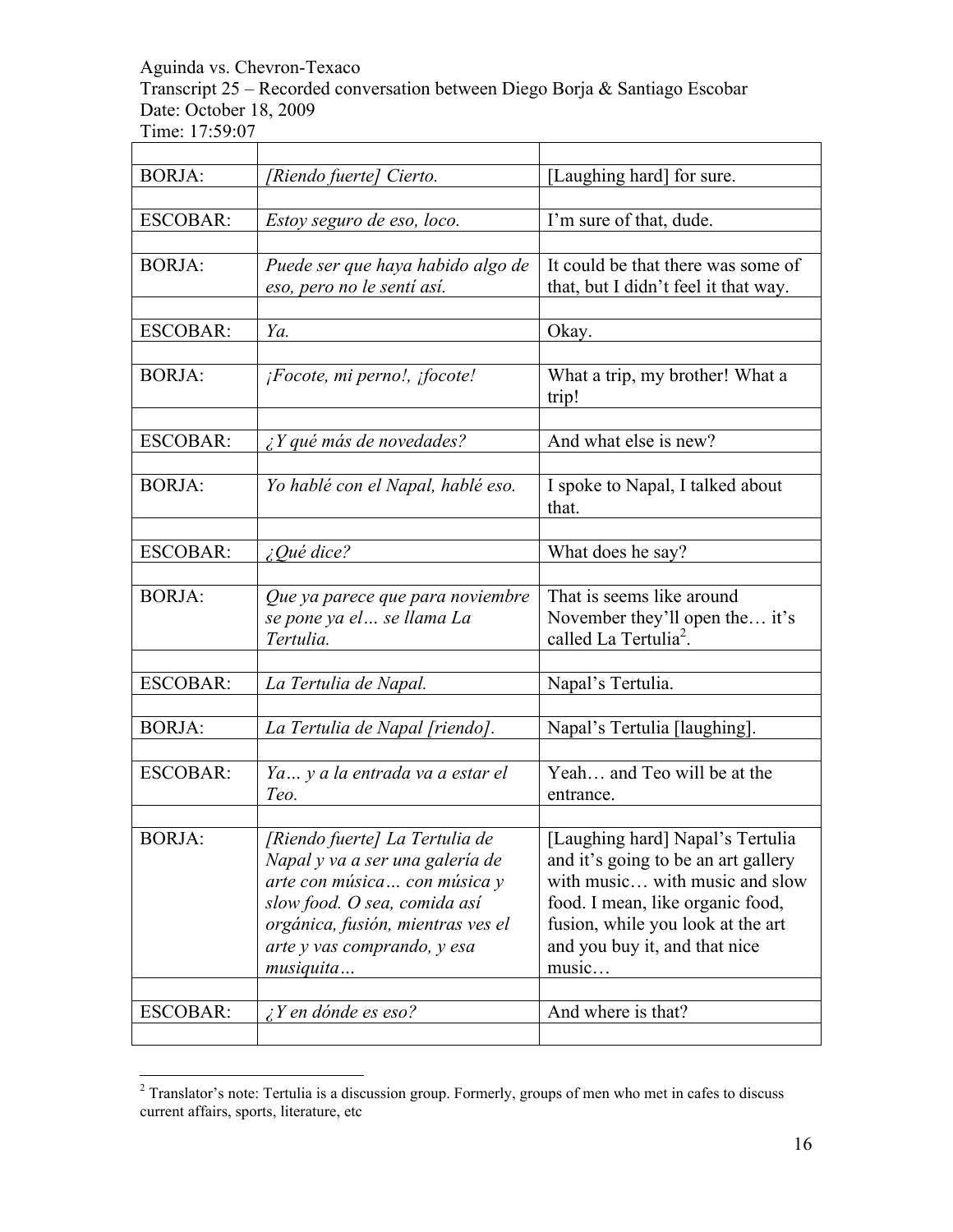Transcript 25 – Recorded conversation between Diego Borja & Santiago Escobar Date: October 18, 2009

| <b>BORJA:</b>   | [Riendo fuerte] Cierto.           | [Laughing hard] for sure.            |
|-----------------|-----------------------------------|--------------------------------------|
|                 |                                   |                                      |
| <b>ESCOBAR:</b> | Estoy seguro de eso, loco.        | I'm sure of that, dude.              |
|                 |                                   | It could be that there was some of   |
| <b>BORJA:</b>   | Puede ser que haya habido algo de | that, but I didn't feel it that way. |
|                 | eso, pero no le sentí así.        |                                      |
| <b>ESCOBAR:</b> | Ya.                               | Okay.                                |
|                 |                                   |                                      |
| <b>BORJA:</b>   | ¡Focote, mi perno!, ¡focote!      | What a trip, my brother! What a      |
|                 |                                   | trip!                                |
|                 |                                   |                                      |
| <b>ESCOBAR:</b> | $\lambda$ Y qué más de novedades? | And what else is new?                |
|                 |                                   |                                      |
| <b>BORJA:</b>   | Yo hablé con el Napal, hablé eso. | I spoke to Napal, I talked about     |
|                 |                                   | that.                                |
|                 |                                   |                                      |
| <b>ESCOBAR:</b> | $i$ Qué dice?                     | What does he say?                    |
|                 |                                   |                                      |
| <b>BORJA:</b>   | Que ya parece que para noviembre  | That is seems like around            |
|                 | se pone ya el  se llama La        | November they'll open the it's       |
|                 | Tertulia.                         | called La Tertulia <sup>2</sup> .    |
| <b>ESCOBAR:</b> |                                   |                                      |
|                 | La Tertulia de Napal.             | Napal's Tertulia.                    |
| <b>BORJA:</b>   | La Tertulia de Napal [riendo].    | Napal's Tertulia [laughing].         |
|                 |                                   |                                      |
| <b>ESCOBAR:</b> | Ya y a la entrada va a estar el   | Yeah and Teo will be at the          |
|                 | Teo.                              | entrance.                            |
|                 |                                   |                                      |
| <b>BORJA:</b>   | [Riendo fuerte] La Tertulia de    | [Laughing hard] Napal's Tertulia     |
|                 | Napal y va a ser una galería de   | and it's going to be an art gallery  |
|                 | arte con música con música y      | with music with music and slow       |
|                 | slow food. O sea, comida así      | food. I mean, like organic food,     |
|                 | orgánica, fusión, mientras ves el | fusion, while you look at the art    |
|                 | arte y vas comprando, y esa       | and you buy it, and that nice        |
|                 | musiquita                         | music                                |
|                 |                                   |                                      |
| <b>ESCOBAR:</b> | $\angle$ Y en dónde es eso?       | And where is that?                   |
|                 |                                   |                                      |

 $\frac{1}{2}$ <sup>2</sup> Translator's note: Tertulia is a discussion group. Formerly, groups of men who met in cafes to discuss current affairs, sports, literature, etc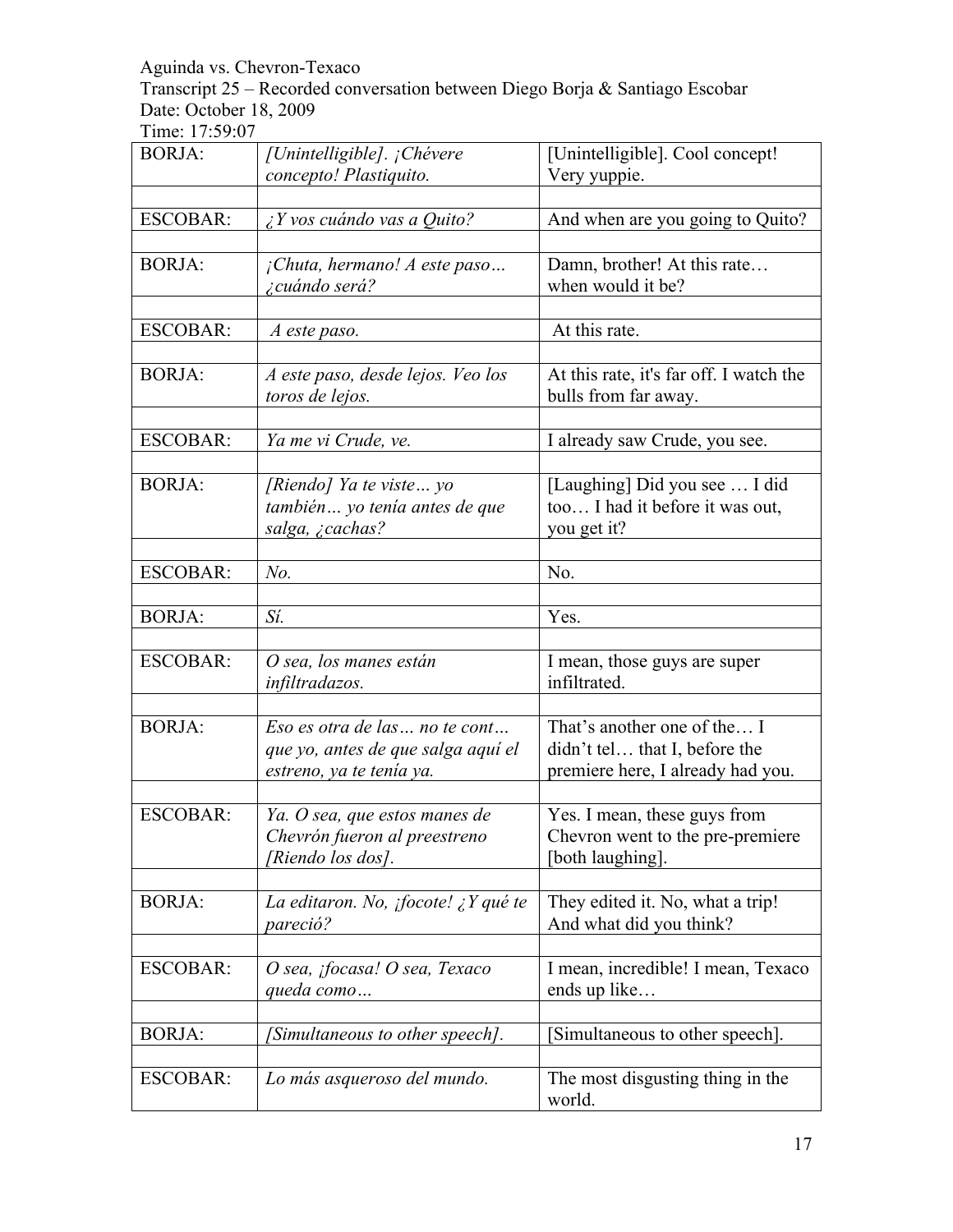Transcript 25 – Recorded conversation between Diego Borja & Santiago Escobar Date: October 18, 2009

| <b>BORJA:</b>   | [Unintelligible]. ¡Chévere                                                                      | [Unintelligible]. Cool concept!                                                                   |
|-----------------|-------------------------------------------------------------------------------------------------|---------------------------------------------------------------------------------------------------|
|                 | concepto! Plastiquito.                                                                          | Very yuppie.                                                                                      |
| <b>ESCOBAR:</b> | $\lambda$ Y vos cuándo vas a Quito?                                                             | And when are you going to Quito?                                                                  |
| <b>BORJA:</b>   | ¡Chuta, hermano! A este paso<br><i>i</i> cuándo será?                                           | Damn, brother! At this rate<br>when would it be?                                                  |
| <b>ESCOBAR:</b> | A este paso.                                                                                    | At this rate.                                                                                     |
| <b>BORJA:</b>   | A este paso, desde lejos. Veo los<br>toros de lejos.                                            | At this rate, it's far off. I watch the<br>bulls from far away.                                   |
| <b>ESCOBAR:</b> | Ya me vi Crude, ve.                                                                             | I already saw Crude, you see.                                                                     |
| <b>BORJA:</b>   | [Riendo] Ya te viste yo<br>también yo tenía antes de que<br>salga, ¿cachas?                     | [Laughing] Did you see  I did<br>too I had it before it was out,<br>you get it?                   |
| <b>ESCOBAR:</b> | $No$ .                                                                                          | No.                                                                                               |
| <b>BORJA:</b>   | Sí.                                                                                             | Yes.                                                                                              |
| <b>ESCOBAR:</b> | O sea, los manes están<br>infiltradazos.                                                        | I mean, those guys are super<br>infiltrated.                                                      |
| <b>BORJA:</b>   | Eso es otra de las no te cont<br>que yo, antes de que salga aquí el<br>estreno, ya te tenía ya. | That's another one of the I<br>didn't tel that I, before the<br>premiere here, I already had you. |
| <b>ESCOBAR:</b> | Ya. O sea, que estos manes de<br>Chevrón fueron al preestreno<br>[Riendo los dos].              | Yes. I mean, these guys from<br>Chevron went to the pre-premiere<br>[both laughing].              |
| <b>BORJA:</b>   | La editaron. No, ¡focote! ¿Y qué te<br>pareció?                                                 | They edited it. No, what a trip!<br>And what did you think?                                       |
| <b>ESCOBAR:</b> | O sea, ¡focasa! O sea, Texaco<br>queda como                                                     | I mean, incredible! I mean, Texaco<br>ends up like                                                |
| <b>BORJA:</b>   | [Simultaneous to other speech].                                                                 | [Simultaneous to other speech].                                                                   |
| <b>ESCOBAR:</b> | Lo más asqueroso del mundo.                                                                     | The most disgusting thing in the<br>world.                                                        |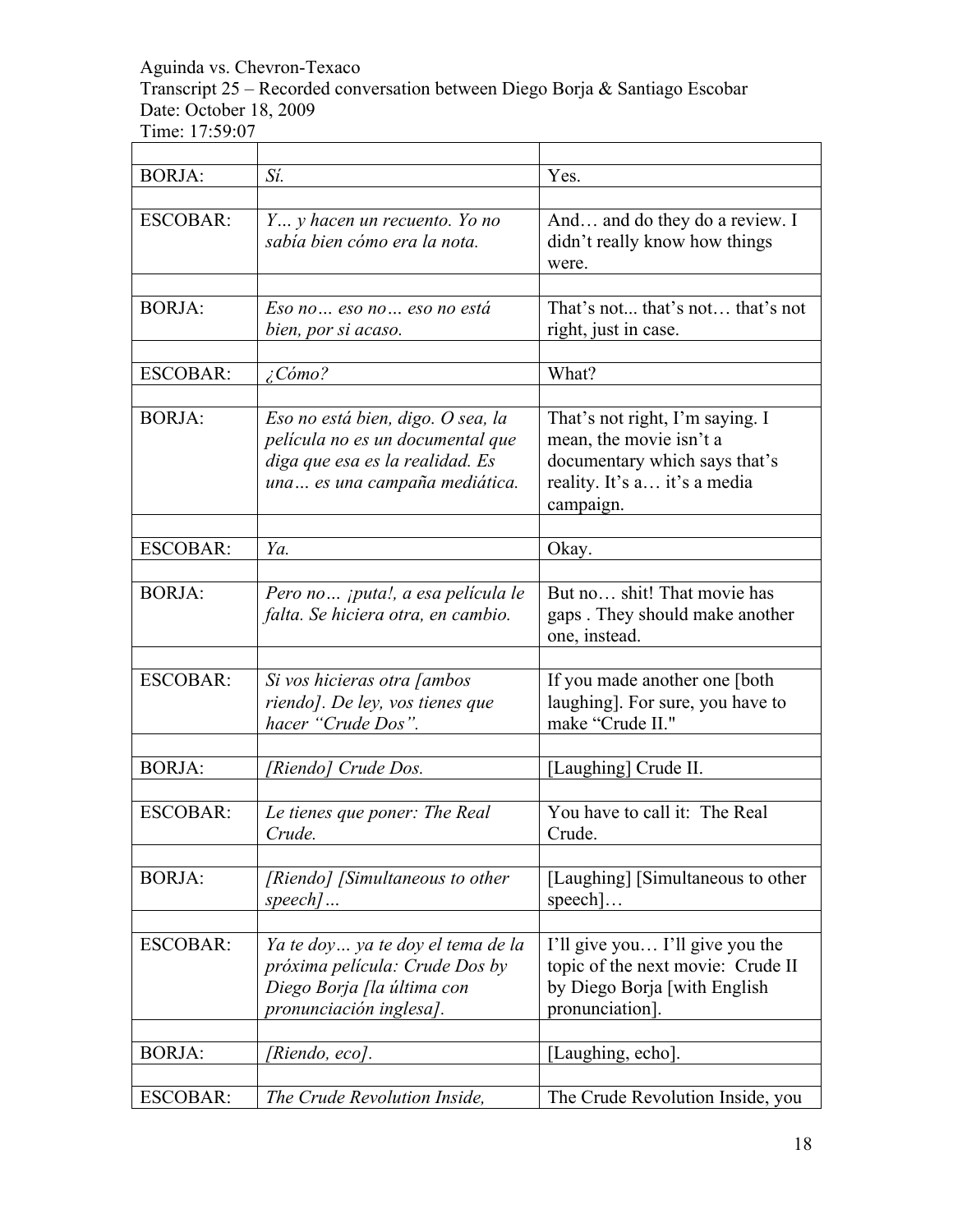Transcript 25 – Recorded conversation between Diego Borja & Santiago Escobar Date: October 18, 2009

 $\overline{\phantom{a}}$ 

Time: 17:59:07

| <b>BORJA:</b>   | Sí.                                                                                                                                       | Yes.                                                                                                                                     |
|-----------------|-------------------------------------------------------------------------------------------------------------------------------------------|------------------------------------------------------------------------------------------------------------------------------------------|
| <b>ESCOBAR:</b> | Y y hacen un recuento. Yo no<br>sabía bien cómo era la nota.                                                                              | And and do they do a review. I<br>didn't really know how things<br>were.                                                                 |
| <b>BORJA:</b>   | Eso no  eso no  eso no está<br>bien, por si acaso.                                                                                        | That's not that's not that's not<br>right, just in case.                                                                                 |
| <b>ESCOBAR:</b> | $\angle$ Cómo?                                                                                                                            | What?                                                                                                                                    |
| <b>BORJA:</b>   | Eso no está bien, digo. O sea, la<br>película no es un documental que<br>diga que esa es la realidad. Es<br>una es una campaña mediática. | That's not right, I'm saying. I<br>mean, the movie isn't a<br>documentary which says that's<br>reality. It's a it's a media<br>campaign. |
| <b>ESCOBAR:</b> | Ya.                                                                                                                                       | Okay.                                                                                                                                    |
|                 |                                                                                                                                           |                                                                                                                                          |
| <b>BORJA:</b>   | Pero no ¡puta!, a esa película le<br>falta. Se hiciera otra, en cambio.                                                                   | But no shit! That movie has<br>gaps. They should make another<br>one, instead.                                                           |
| <b>ESCOBAR:</b> | Si vos hicieras otra <i>[ambos</i><br>riendo]. De ley, vos tienes que<br>hacer "Crude Dos".                                               | If you made another one [both<br>laughing]. For sure, you have to<br>make "Crude II."                                                    |
| <b>BORJA:</b>   | [Riendo] Crude Dos.                                                                                                                       | [Laughing] Crude II.                                                                                                                     |
| <b>ESCOBAR:</b> | Le tienes que poner: The Real<br>Crude.                                                                                                   | You have to call it: The Real<br>Crude.                                                                                                  |
| <b>BORJA:</b>   | [Riendo] [Simultaneous to other<br>speech]                                                                                                | [Laughing] [Simultaneous to other<br>$\left\lceil \frac{1}{2} \right\rceil$                                                              |
| <b>ESCOBAR:</b> | Ya te doy ya te doy el tema de la<br>próxima película: Crude Dos by<br>Diego Borja [la última con<br>pronunciación inglesa].              | I'll give you I'll give you the<br>topic of the next movie: Crude II<br>by Diego Borja [with English<br>pronunciation].                  |
| <b>BORJA:</b>   | [Riendo, eco].                                                                                                                            | [Laughing, echo].                                                                                                                        |
| <b>ESCOBAR:</b> | The Crude Revolution Inside,                                                                                                              | The Crude Revolution Inside, you                                                                                                         |

٦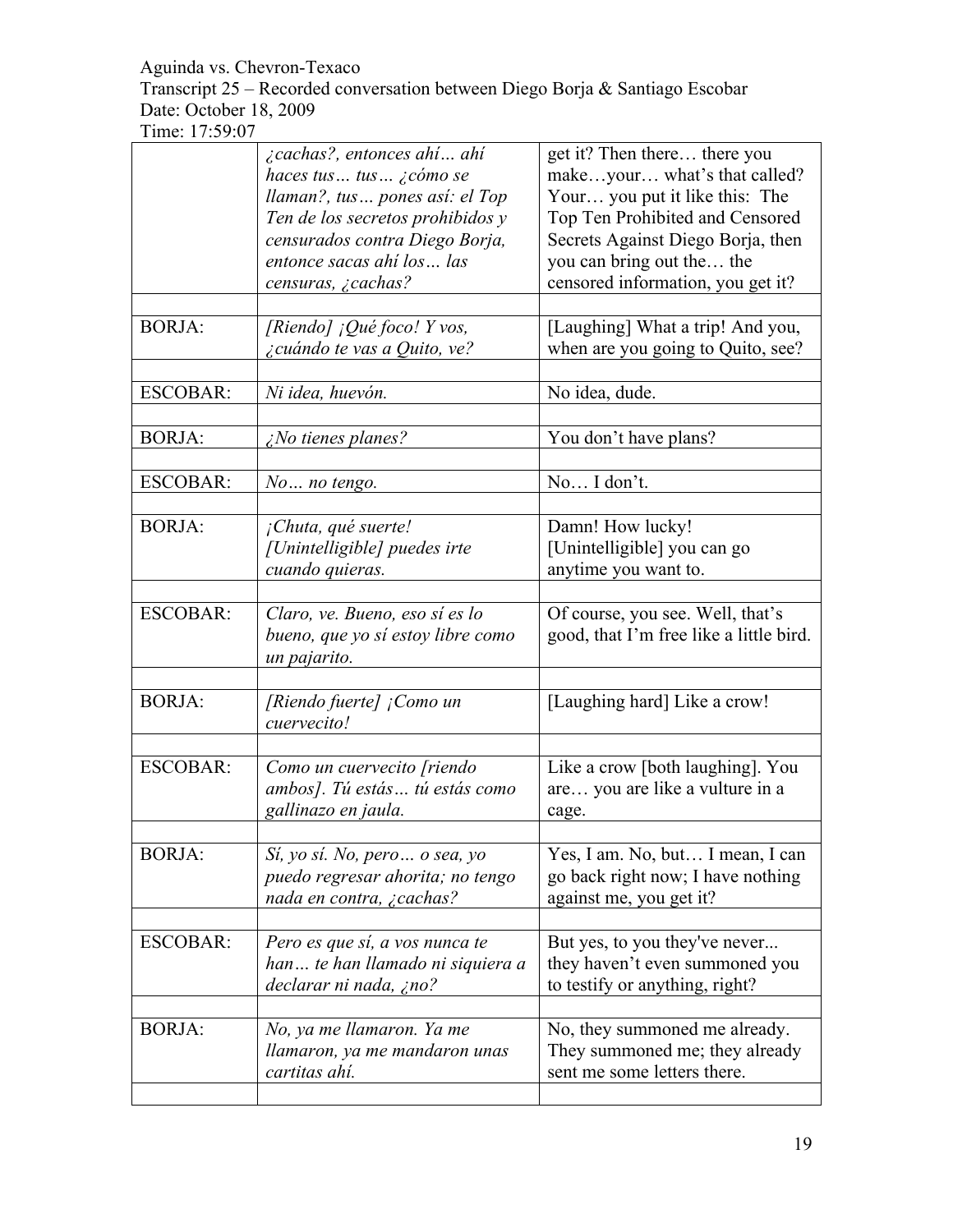Transcript 25 – Recorded conversation between Diego Borja & Santiago Escobar Date: October 18, 2009

|                 | ¿cachas?, entonces ahí ahí<br>haces tus tus ¿cómo se<br>llaman?, tus pones así: el Top<br>Ten de los secretos prohibidos y | get it? Then there there you<br>makeyour what's that called?<br>Your you put it like this: The<br>Top Ten Prohibited and Censored |
|-----------------|----------------------------------------------------------------------------------------------------------------------------|-----------------------------------------------------------------------------------------------------------------------------------|
|                 | censurados contra Diego Borja,<br>entonce sacas ahí los  las<br>censuras, ¿cachas?                                         | Secrets Against Diego Borja, then<br>you can bring out the the<br>censored information, you get it?                               |
| <b>BORJA:</b>   | [Riendo] ¡Qué foco! Y vos,<br><i>i</i> cuándo te vas a Quito, ve?                                                          | [Laughing] What a trip! And you,<br>when are you going to Quito, see?                                                             |
| <b>ESCOBAR:</b> | Ni idea, huevón.                                                                                                           | No idea, dude.                                                                                                                    |
| <b>BORJA:</b>   | $i$ No tienes planes?                                                                                                      | You don't have plans?                                                                                                             |
| <b>ESCOBAR:</b> | No no tengo.                                                                                                               | No I don't.                                                                                                                       |
| <b>BORJA:</b>   | ¡Chuta, qué suerte!<br>[Unintelligible] puedes irte<br>cuando quieras.                                                     | Damn! How lucky!<br>[Unintelligible] you can go<br>anytime you want to.                                                           |
| <b>ESCOBAR:</b> | Claro, ve. Bueno, eso sí es lo<br>bueno, que yo sí estoy libre como<br>un pajarito.                                        | Of course, you see. Well, that's<br>good, that I'm free like a little bird.                                                       |
| <b>BORJA:</b>   | [Riendo fuerte] ¡Como un<br>cuervecito!                                                                                    | [Laughing hard] Like a crow!                                                                                                      |
| <b>ESCOBAR:</b> | Como un cuervecito [riendo<br>ambos]. Tú estás tú estás como<br>gallinazo en jaula.                                        | Like a crow [both laughing]. You<br>are you are like a vulture in a<br>cage.                                                      |
| <b>BORJA:</b>   | Sí, yo sí. No, pero  o sea, yo<br>puedo regresar ahorita; no tengo<br>nada en contra, ¿cachas?                             | Yes, I am. No, but I mean, I can<br>go back right now; I have nothing<br>against me, you get it?                                  |
| <b>ESCOBAR:</b> | Pero es que sí, a vos nunca te<br>han te han llamado ni siquiera a<br>declarar ni nada, ¿no?                               | But yes, to you they've never<br>they haven't even summoned you<br>to testify or anything, right?                                 |
| <b>BORJA:</b>   | No, ya me llamaron. Ya me<br>llamaron, ya me mandaron unas<br>cartitas ahí.                                                | No, they summoned me already.<br>They summoned me; they already<br>sent me some letters there.                                    |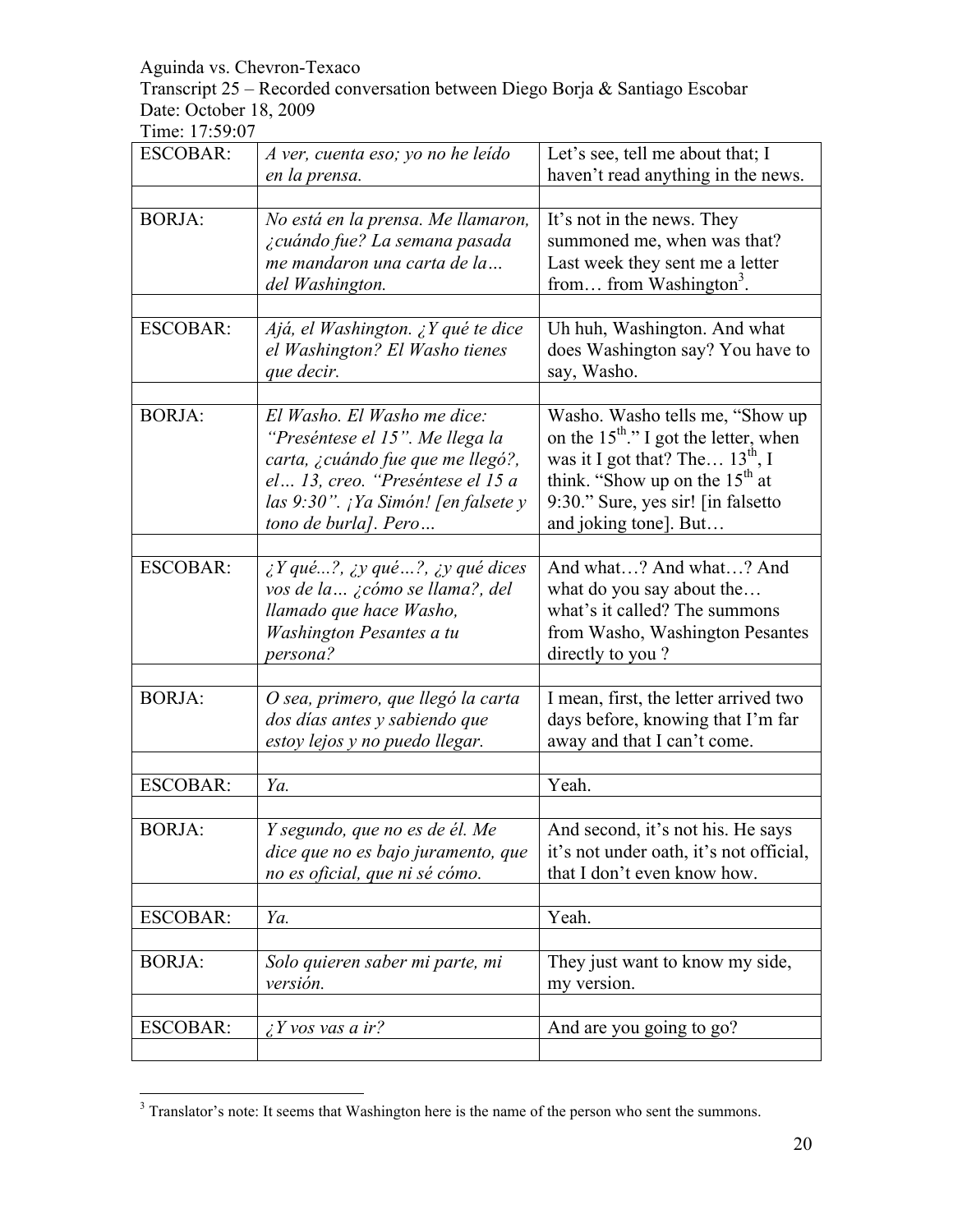Transcript 25 – Recorded conversation between Diego Borja & Santiago Escobar Date: October 18, 2009

Time: 17:59:07

| <b>ESCOBAR:</b> | A ver, cuenta eso; yo no he leído<br>en la prensa.                                                                                                                                                     | Let's see, tell me about that; I<br>haven't read anything in the news.                                                                                                                                                          |
|-----------------|--------------------------------------------------------------------------------------------------------------------------------------------------------------------------------------------------------|---------------------------------------------------------------------------------------------------------------------------------------------------------------------------------------------------------------------------------|
|                 |                                                                                                                                                                                                        |                                                                                                                                                                                                                                 |
| <b>BORJA:</b>   | No está en la prensa. Me llamaron,<br>¿cuándo fue? La semana pasada<br>me mandaron una carta de la<br>del Washington.                                                                                  | It's not in the news. They<br>summoned me, when was that?<br>Last week they sent me a letter<br>from from Washington <sup>3</sup> .                                                                                             |
| <b>ESCOBAR:</b> | Ajá, el Washington. ¿Y qué te dice<br>el Washington? El Washo tienes<br>que decir.                                                                                                                     | Uh huh, Washington. And what<br>does Washington say? You have to<br>say, Washo.                                                                                                                                                 |
| <b>BORJA:</b>   | El Washo. El Washo me dice:<br>"Preséntese el 15". Me llega la<br>carta, ¿cuándo fue que me llegó?,<br>el 13, creo. "Preséntese el 15 a<br>las 9:30". ¡Ya Simón! [en falsete y<br>tono de burla]. Pero | Washo. Washo tells me, "Show up<br>on the $15^{\text{th}}$ ." I got the letter, when<br>was it I got that? The $13^{th}$ , I<br>think. "Show up on the $15th$ at<br>9:30." Sure, yes sir! [in falsetto<br>and joking tone]. But |
| <b>ESCOBAR:</b> | $\lambda$ Y qué?, $\lambda$ y qué?, $\lambda$ y qué dices<br>vos de la  ¿cómo se llama?, del<br>llamado que hace Washo,<br>Washington Pesantes a tu<br>persona?                                        | And what? And what? And<br>what do you say about the<br>what's it called? The summons<br>from Washo, Washington Pesantes<br>directly to you?                                                                                    |
| <b>BORJA:</b>   | O sea, primero, que llegó la carta<br>dos días antes y sabiendo que<br>estoy lejos y no puedo llegar.                                                                                                  | I mean, first, the letter arrived two<br>days before, knowing that I'm far<br>away and that I can't come.                                                                                                                       |
| <b>ESCOBAR:</b> | Ya.                                                                                                                                                                                                    | Yeah.                                                                                                                                                                                                                           |
|                 |                                                                                                                                                                                                        |                                                                                                                                                                                                                                 |
| <b>BORJA:</b>   | Y segundo, que no es de él. Me<br>dice que no es bajo juramento, que<br>no es oficial, que ni sé cómo.                                                                                                 | And second, it's not his. He says<br>it's not under oath, it's not official,<br>that I don't even know how.                                                                                                                     |
| <b>ESCOBAR:</b> | Ya.                                                                                                                                                                                                    | Yeah.                                                                                                                                                                                                                           |
|                 |                                                                                                                                                                                                        |                                                                                                                                                                                                                                 |
| <b>BORJA:</b>   | Solo quieren saber mi parte, mi<br>versión.                                                                                                                                                            | They just want to know my side,<br>my version.                                                                                                                                                                                  |
|                 |                                                                                                                                                                                                        |                                                                                                                                                                                                                                 |
| <b>ESCOBAR:</b> | $\angle Y$ vos vas a ir?                                                                                                                                                                               | And are you going to go?                                                                                                                                                                                                        |

<sup>&</sup>lt;sup>3</sup> <sup>3</sup> Translator's note: It seems that Washington here is the name of the person who sent the summons.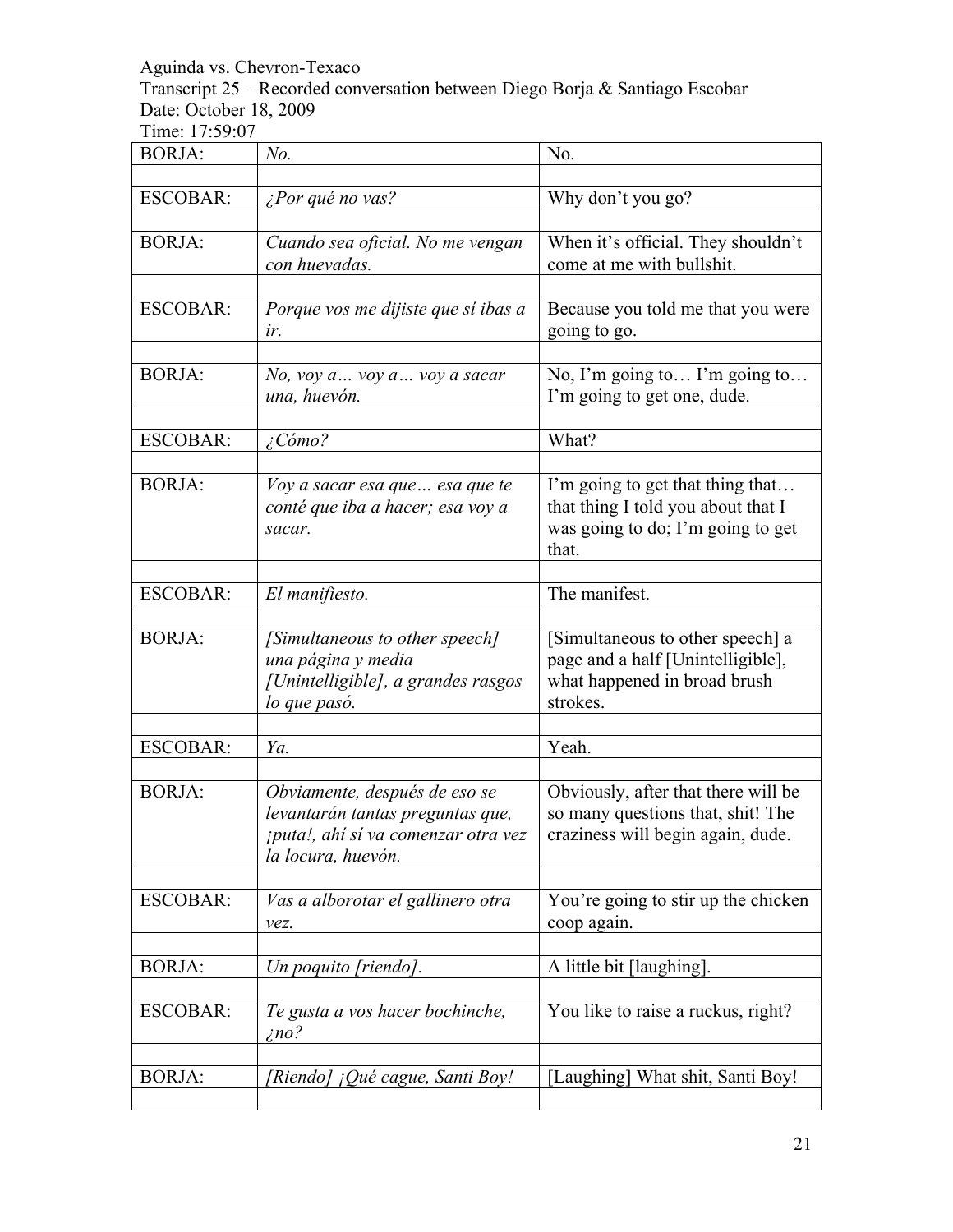Transcript 25 – Recorded conversation between Diego Borja & Santiago Escobar Date: October 18, 2009

| <b>BORJA:</b>   | No.                                                                                                                            | No.                                                                                                                  |
|-----------------|--------------------------------------------------------------------------------------------------------------------------------|----------------------------------------------------------------------------------------------------------------------|
|                 |                                                                                                                                |                                                                                                                      |
| <b>ESCOBAR:</b> | <i>iPor qué no vas?</i>                                                                                                        | Why don't you go?                                                                                                    |
| <b>BORJA:</b>   | Cuando sea oficial. No me vengan<br>con huevadas.                                                                              | When it's official. They shouldn't<br>come at me with bullshit.                                                      |
| <b>ESCOBAR:</b> | Porque vos me dijiste que sí ibas a<br>ir.                                                                                     | Because you told me that you were<br>going to go.                                                                    |
| <b>BORJA:</b>   | $No$ , voy $a$ voy $a$ voy a sacar<br>una, huevón.                                                                             | No, I'm going to I'm going to<br>I'm going to get one, dude.                                                         |
| <b>ESCOBAR:</b> | $\angle$ Cómo?                                                                                                                 | What?                                                                                                                |
|                 |                                                                                                                                |                                                                                                                      |
| <b>BORJA:</b>   | Voy a sacar esa que  esa que te<br>conté que iba a hacer; esa voy a<br>sacar.                                                  | I'm going to get that thing that<br>that thing I told you about that I<br>was going to do; I'm going to get<br>that. |
| <b>ESCOBAR:</b> | El manifiesto.                                                                                                                 | The manifest.                                                                                                        |
|                 |                                                                                                                                |                                                                                                                      |
| <b>BORJA:</b>   | [Simultaneous to other speech]<br>una página y media<br>[Unintelligible], a grandes rasgos<br>lo que pasó.                     | [Simultaneous to other speech] a<br>page and a half [Unintelligible],<br>what happened in broad brush<br>strokes.    |
|                 |                                                                                                                                |                                                                                                                      |
| <b>ESCOBAR:</b> | Ya.                                                                                                                            | Yeah.                                                                                                                |
| <b>BORJA:</b>   | Obviamente, después de eso se<br>levantarán tantas preguntas que,<br>¡puta!, ahí sí va comenzar otra vez<br>la locura, huevón. | Obviously, after that there will be<br>so many questions that, shit! The<br>craziness will begin again, dude.        |
| <b>ESCOBAR:</b> | Vas a alborotar el gallinero otra<br>vez.                                                                                      | You're going to stir up the chicken<br>coop again.                                                                   |
|                 |                                                                                                                                |                                                                                                                      |
| <b>BORJA:</b>   | Un poquito [riendo].                                                                                                           | A little bit [laughing].                                                                                             |
| <b>ESCOBAR:</b> | Te gusta a vos hacer bochinche,<br>$\zeta$ no?                                                                                 | You like to raise a ruckus, right?                                                                                   |
| <b>BORJA:</b>   | [Riendo] ¡Qué cague, Santi Boy!                                                                                                | [Laughing] What shit, Santi Boy!                                                                                     |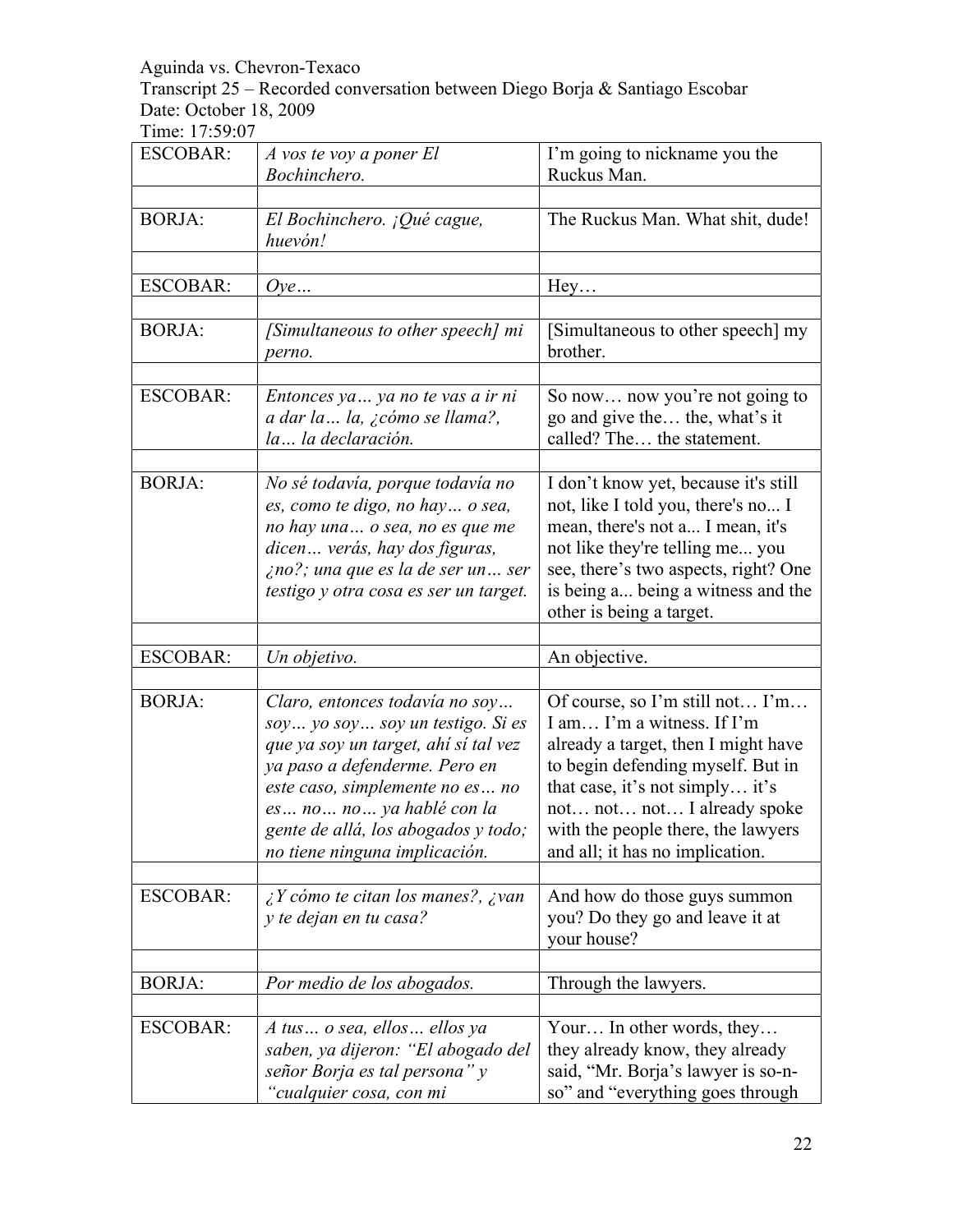Transcript 25 – Recorded conversation between Diego Borja & Santiago Escobar Date: October 18, 2009

| <b>ESCOBAR:</b> | A vos te voy a poner El<br>Bochinchero.                                                                                                                                                                                                                                            | I'm going to nickname you the<br>Ruckus Man.                                                                                                                                                                                                                                         |
|-----------------|------------------------------------------------------------------------------------------------------------------------------------------------------------------------------------------------------------------------------------------------------------------------------------|--------------------------------------------------------------------------------------------------------------------------------------------------------------------------------------------------------------------------------------------------------------------------------------|
|                 |                                                                                                                                                                                                                                                                                    |                                                                                                                                                                                                                                                                                      |
| <b>BORJA:</b>   | El Bochinchero. ¡Qué cague,<br>huevón!                                                                                                                                                                                                                                             | The Ruckus Man. What shit, dude!                                                                                                                                                                                                                                                     |
| <b>ESCOBAR:</b> | Oye                                                                                                                                                                                                                                                                                | Hey                                                                                                                                                                                                                                                                                  |
| <b>BORJA:</b>   | [Simultaneous to other speech] mi<br>perno.                                                                                                                                                                                                                                        | [Simultaneous to other speech] my<br>brother.                                                                                                                                                                                                                                        |
| <b>ESCOBAR:</b> | Entonces ya  ya no te vas a ir ni<br>a dar la  la, ¿cómo se llama?,<br>la la declaración.                                                                                                                                                                                          | So now now you're not going to<br>go and give the the, what's it<br>called? The the statement.                                                                                                                                                                                       |
| <b>BORJA:</b>   | No sé todavía, porque todavía no<br>es, como te digo, no hay  o sea,<br>no hay una o sea, no es que me<br>dicen verás, hay dos figuras,<br>ino?; una que es la de ser un ser<br>testigo y otra cosa es ser un target.                                                              | I don't know yet, because it's still<br>not, like I told you, there's no I<br>mean, there's not a I mean, it's<br>not like they're telling me you<br>see, there's two aspects, right? One<br>is being a being a witness and the<br>other is being a target.                          |
| <b>ESCOBAR:</b> | Un objetivo.                                                                                                                                                                                                                                                                       | An objective.                                                                                                                                                                                                                                                                        |
|                 |                                                                                                                                                                                                                                                                                    |                                                                                                                                                                                                                                                                                      |
| <b>BORJA:</b>   | Claro, entonces todavía no soy<br>soy yo soy soy un testigo. Si es<br>que ya soy un target, ahí sí tal vez<br>ya paso a defenderme. Pero en<br>este caso, simplemente no es no<br>es no no ya hablé con la<br>gente de allá, los abogados y todo;<br>no tiene ninguna implicación. | Of course, so I'm still not I'm<br>I am I'm a witness. If I'm<br>already a target, then I might have<br>to begin defending myself. But in<br>that case, it's not simply it's<br>not not not I already spoke<br>with the people there, the lawyers<br>and all; it has no implication. |
| <b>ESCOBAR:</b> | $\lambda$ Y cómo te citan los manes?, $\lambda$ van<br>y te dejan en tu casa?                                                                                                                                                                                                      | And how do those guys summon<br>you? Do they go and leave it at<br>your house?                                                                                                                                                                                                       |
| <b>BORJA:</b>   | Por medio de los abogados.                                                                                                                                                                                                                                                         | Through the lawyers.                                                                                                                                                                                                                                                                 |
| <b>ESCOBAR:</b> | A tus o sea, ellos ellos ya<br>saben, ya dijeron: "El abogado del<br>señor Borja es tal persona" y<br>"cualquier cosa, con mi                                                                                                                                                      | Your In other words, they<br>they already know, they already<br>said, "Mr. Borja's lawyer is so-n-<br>so" and "everything goes through                                                                                                                                               |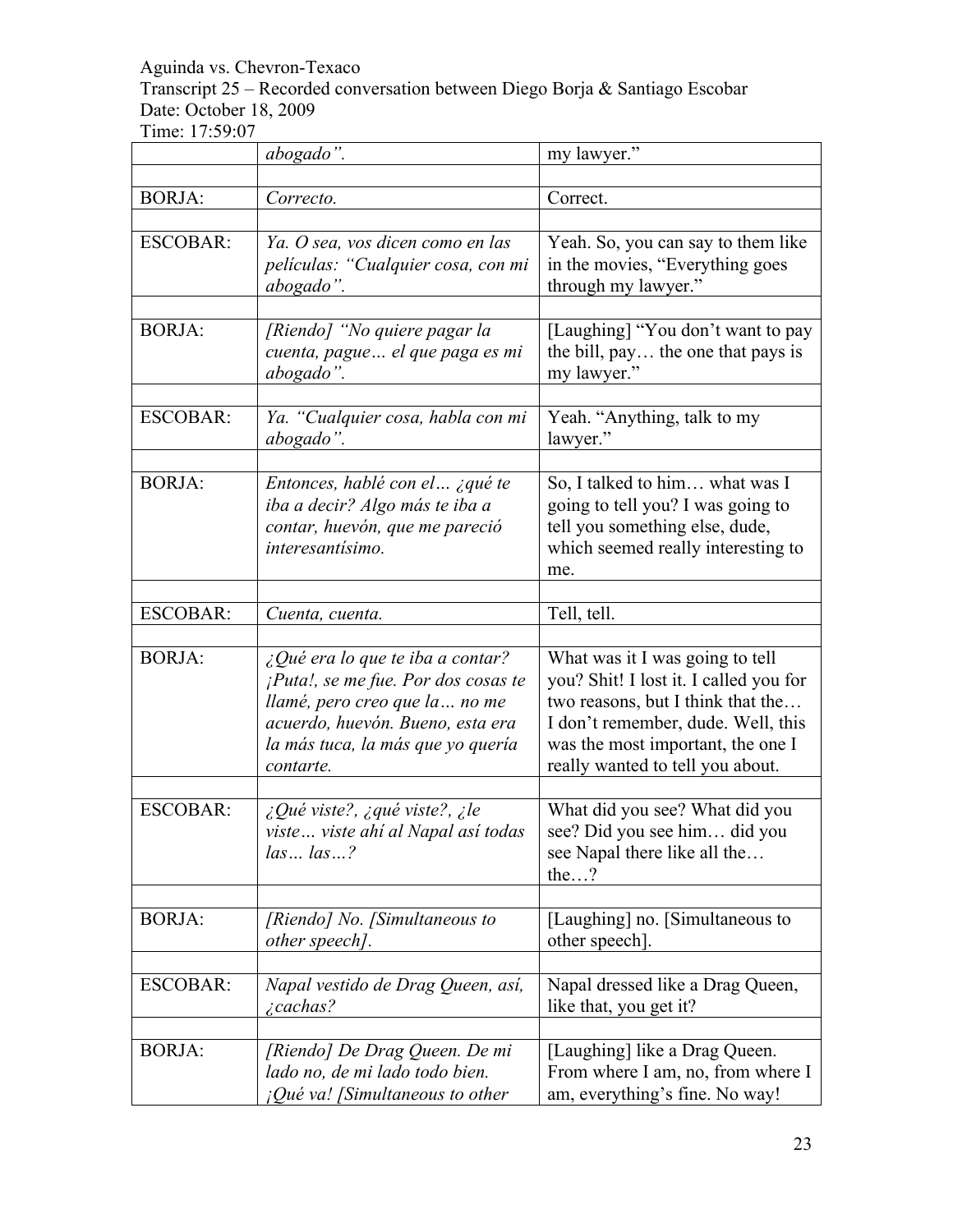Transcript 25 – Recorded conversation between Diego Borja & Santiago Escobar Date: October 18, 2009

|                 | abogado".                                                                                                                                                                                                      | my lawyer."                                                                                                                                                                                                                   |
|-----------------|----------------------------------------------------------------------------------------------------------------------------------------------------------------------------------------------------------------|-------------------------------------------------------------------------------------------------------------------------------------------------------------------------------------------------------------------------------|
| <b>BORJA:</b>   | Correcto.                                                                                                                                                                                                      | Correct.                                                                                                                                                                                                                      |
| <b>ESCOBAR:</b> | Ya. O sea, vos dicen como en las                                                                                                                                                                               |                                                                                                                                                                                                                               |
|                 | películas: "Cualquier cosa, con mi<br>abogado".                                                                                                                                                                | Yeah. So, you can say to them like<br>in the movies, "Everything goes<br>through my lawyer."                                                                                                                                  |
| <b>BORJA:</b>   | [Riendo] "No quiere pagar la<br>cuenta, pague  el que paga es mi<br>abogado".                                                                                                                                  | [Laughing] "You don't want to pay<br>the bill, pay the one that pays is<br>my lawyer."                                                                                                                                        |
| <b>ESCOBAR:</b> | Ya. "Cualquier cosa, habla con mi<br>abogado".                                                                                                                                                                 | Yeah. "Anything, talk to my<br>lawyer."                                                                                                                                                                                       |
| <b>BORJA:</b>   | Entonces, hablé con el ¿qué te<br>iba a decir? Algo más te iba a<br>contar, huevón, que me pareció<br>interesantísimo.                                                                                         | So, I talked to him what was I<br>going to tell you? I was going to<br>tell you something else, dude,<br>which seemed really interesting to<br>me.                                                                            |
| <b>ESCOBAR:</b> | Cuenta, cuenta.                                                                                                                                                                                                | Tell, tell.                                                                                                                                                                                                                   |
| <b>BORJA:</b>   | $\Omega$ <i>Qué era lo que te iba a contar?</i><br>¡Puta!, se me fue. Por dos cosas te<br>llamé, pero creo que la  no me<br>acuerdo, huevón. Bueno, esta era<br>la más tuca, la más que yo quería<br>contarte. | What was it I was going to tell<br>you? Shit! I lost it. I called you for<br>two reasons, but I think that the<br>I don't remember, dude. Well, this<br>was the most important, the one I<br>really wanted to tell you about. |
| <b>ESCOBAR:</b> | $\zeta$ Qué viste?, $\zeta$ qué viste?, $\zeta$ le<br>viste viste ahí al Napal así todas<br>laslas?                                                                                                            | What did you see? What did you<br>see? Did you see him did you<br>see Napal there like all the<br>the?                                                                                                                        |
| <b>BORJA:</b>   | [Riendo] No. [Simultaneous to<br>other speech].                                                                                                                                                                | [Laughing] no. [Simultaneous to<br>other speech]                                                                                                                                                                              |
| <b>ESCOBAR:</b> | Napal vestido de Drag Queen, así,<br><i>i</i> cachas?                                                                                                                                                          | Napal dressed like a Drag Queen,<br>like that, you get it?                                                                                                                                                                    |
| <b>BORJA:</b>   | [Riendo] De Drag Queen. De mi<br>lado no, de mi lado todo bien.<br>$i$ Qué va! [Simultaneous to other                                                                                                          | [Laughing] like a Drag Queen.<br>From where I am, no, from where I<br>am, everything's fine. No way!                                                                                                                          |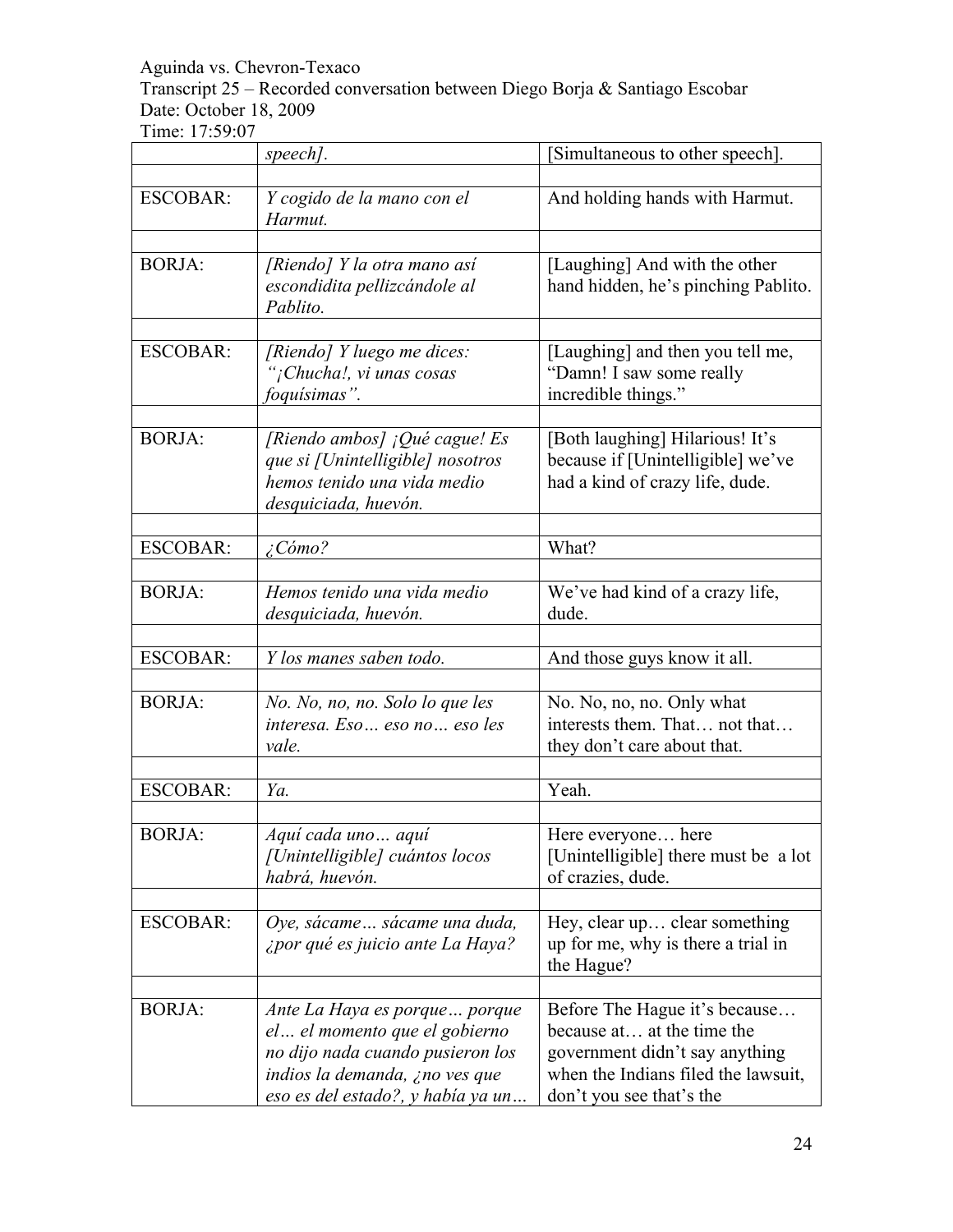Transcript 25 – Recorded conversation between Diego Borja & Santiago Escobar Date: October 18, 2009

|                 | speech].                                                                                                                                                                   | Simultaneous to other speech].                                                                                                                                   |
|-----------------|----------------------------------------------------------------------------------------------------------------------------------------------------------------------------|------------------------------------------------------------------------------------------------------------------------------------------------------------------|
| <b>ESCOBAR:</b> | Y cogido de la mano con el<br>Harmut.                                                                                                                                      | And holding hands with Harmut.                                                                                                                                   |
| <b>BORJA:</b>   | [Riendo] Y la otra mano así<br>escondidita pellizcándole al<br>Pablito.                                                                                                    | [Laughing] And with the other<br>hand hidden, he's pinching Pablito.                                                                                             |
| <b>ESCOBAR:</b> | [Riendo] Y luego me dices:<br>"¡Chucha!, vi unas cosas<br>foquísimas".                                                                                                     | [Laughing] and then you tell me,<br>"Damn! I saw some really<br>incredible things."                                                                              |
| <b>BORJA:</b>   | [Riendo ambos] $i$ Qué cague! Es<br>que si [Unintelligible] nosotros<br>hemos tenido una vida medio<br>desquiciada, huevón.                                                | [Both laughing] Hilarious! It's<br>because if [Unintelligible] we've<br>had a kind of crazy life, dude.                                                          |
| <b>ESCOBAR:</b> | $\angle$ Cómo?                                                                                                                                                             | What?                                                                                                                                                            |
| <b>BORJA:</b>   | Hemos tenido una vida medio<br>desquiciada, huevón.                                                                                                                        | We've had kind of a crazy life,<br>dude.                                                                                                                         |
| <b>ESCOBAR:</b> | Y los manes saben todo.                                                                                                                                                    | And those guys know it all.                                                                                                                                      |
| <b>BORJA:</b>   | No. No, no, no. Solo lo que les<br>interesa. Eso  eso no  eso les<br>vale.                                                                                                 | No. No, no, no. Only what<br>interests them. That not that<br>they don't care about that.                                                                        |
| <b>ESCOBAR:</b> | Ya.                                                                                                                                                                        | Yeah.                                                                                                                                                            |
| <b>BORJA:</b>   | Aquí cada uno aquí<br>[Unintelligible] cuántos locos<br>habrá, huevón.                                                                                                     | Here everyone<br>here<br>[Unintelligible] there must be a lot<br>of crazies, dude.                                                                               |
| <b>ESCOBAR:</b> | Oye, sácame sácame una duda,<br>¿por qué es juicio ante La Haya?                                                                                                           | Hey, clear up clear something<br>up for me, why is there a trial in<br>the Hague?                                                                                |
| <b>BORJA:</b>   | Ante La Haya es porque porque<br>el  el momento que el gobierno<br>no dijo nada cuando pusieron los<br>indios la demanda, ¿no ves que<br>eso es del estado?, y había ya un | Before The Hague it's because<br>because at at the time the<br>government didn't say anything<br>when the Indians filed the lawsuit,<br>don't you see that's the |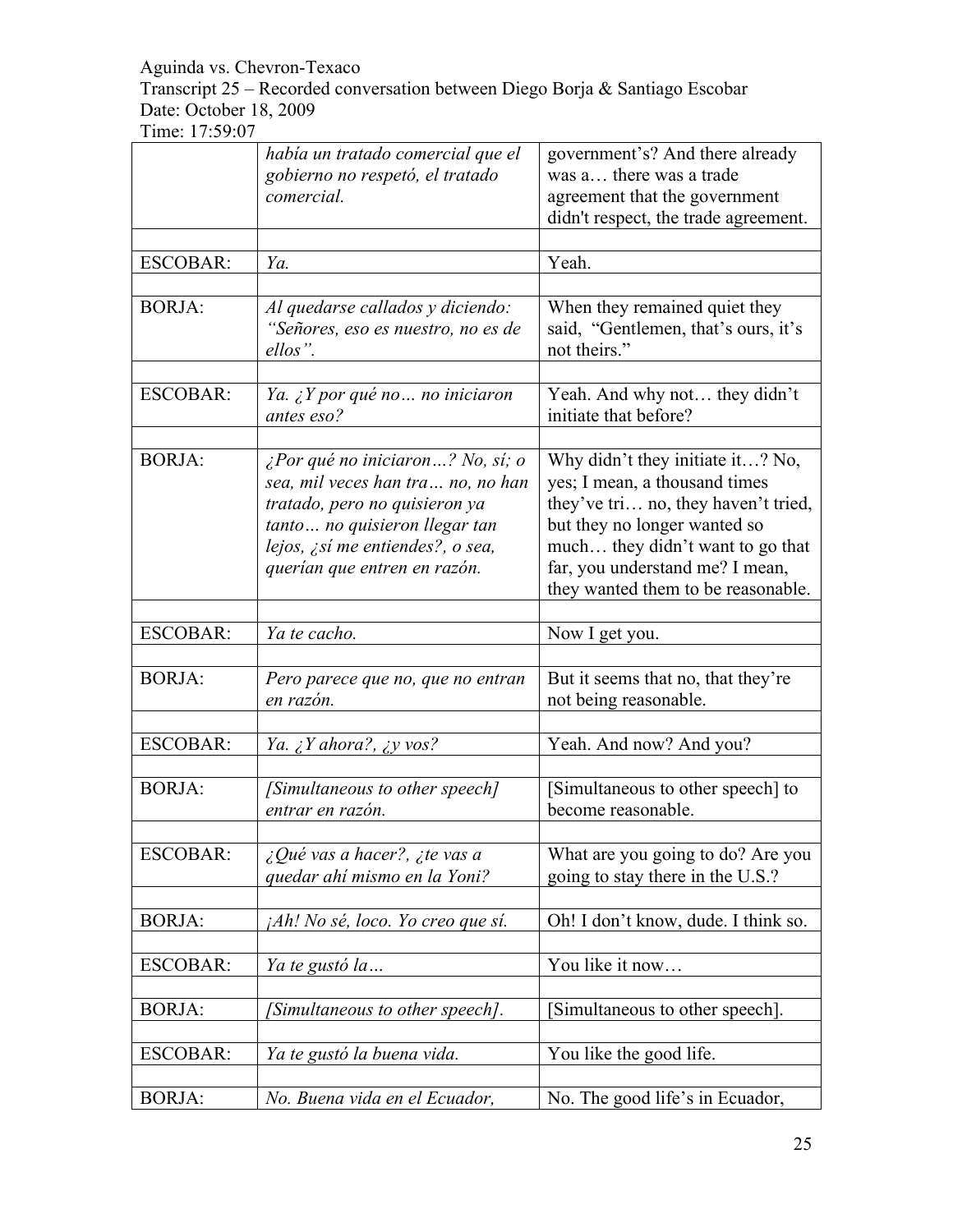Transcript 25 – Recorded conversation between Diego Borja & Santiago Escobar Date: October 18, 2009

|                 | había un tratado comercial que el                                                                                                                                                                           | government's? And there already                                                                                                                                                                                                                       |
|-----------------|-------------------------------------------------------------------------------------------------------------------------------------------------------------------------------------------------------------|-------------------------------------------------------------------------------------------------------------------------------------------------------------------------------------------------------------------------------------------------------|
|                 | gobierno no respetó, el tratado                                                                                                                                                                             | was a there was a trade                                                                                                                                                                                                                               |
|                 | comercial.                                                                                                                                                                                                  | agreement that the government                                                                                                                                                                                                                         |
|                 |                                                                                                                                                                                                             | didn't respect, the trade agreement.                                                                                                                                                                                                                  |
|                 |                                                                                                                                                                                                             |                                                                                                                                                                                                                                                       |
| <b>ESCOBAR:</b> | Ya.                                                                                                                                                                                                         | Yeah.                                                                                                                                                                                                                                                 |
|                 |                                                                                                                                                                                                             |                                                                                                                                                                                                                                                       |
| <b>BORJA:</b>   | Al quedarse callados y diciendo:<br>"Señores, eso es nuestro, no es de<br>ellos".                                                                                                                           | When they remained quiet they<br>said, "Gentlemen, that's ours, it's<br>not theirs."                                                                                                                                                                  |
| <b>ESCOBAR:</b> | Ya. ¿Y por qué no  no iniciaron<br>antes eso?                                                                                                                                                               | Yeah. And why not they didn't<br>initiate that before?                                                                                                                                                                                                |
| <b>BORJA:</b>   | ¿Por qué no iniciaron? No, sí; o<br>sea, mil veces han tra no, no han<br>tratado, pero no quisieron ya<br>tanto no quisieron llegar tan<br>lejos, ¿sí me entiendes?, o sea,<br>querían que entren en razón. | Why didn't they initiate it? No,<br>yes; I mean, a thousand times<br>they've tri no, they haven't tried,<br>but they no longer wanted so<br>much they didn't want to go that<br>far, you understand me? I mean,<br>they wanted them to be reasonable. |
|                 |                                                                                                                                                                                                             |                                                                                                                                                                                                                                                       |
| <b>ESCOBAR:</b> | Ya te cacho.                                                                                                                                                                                                | Now I get you.                                                                                                                                                                                                                                        |
| <b>BORJA:</b>   | Pero parece que no, que no entran<br>en razón.                                                                                                                                                              | But it seems that no, that they're<br>not being reasonable.                                                                                                                                                                                           |
|                 |                                                                                                                                                                                                             |                                                                                                                                                                                                                                                       |
| <b>ESCOBAR:</b> | Ya. $\zeta$ Y ahora?, $\zeta$ y vos?                                                                                                                                                                        | Yeah. And now? And you?                                                                                                                                                                                                                               |
| <b>BORJA:</b>   | [Simultaneous to other speech]<br>entrar en razón.                                                                                                                                                          | [Simultaneous to other speech] to<br>become reasonable.                                                                                                                                                                                               |
| <b>ESCOBAR:</b> | ¿Qué vas a hacer?, ¿te vas a<br>quedar ahí mismo en la Yoni?                                                                                                                                                | What are you going to do? Are you<br>going to stay there in the U.S.?                                                                                                                                                                                 |
| <b>BORJA:</b>   | ¡Ah! No sé, loco. Yo creo que sí.                                                                                                                                                                           | Oh! I don't know, dude. I think so.                                                                                                                                                                                                                   |
|                 |                                                                                                                                                                                                             |                                                                                                                                                                                                                                                       |
| <b>ESCOBAR:</b> | Ya te gustó la                                                                                                                                                                                              | You like it now                                                                                                                                                                                                                                       |
| <b>BORJA:</b>   | [Simultaneous to other speech].                                                                                                                                                                             | [Simultaneous to other speech].                                                                                                                                                                                                                       |
| <b>ESCOBAR:</b> | Ya te gustó la buena vida.                                                                                                                                                                                  | You like the good life.                                                                                                                                                                                                                               |
| <b>BORJA:</b>   | No. Buena vida en el Ecuador,                                                                                                                                                                               | No. The good life's in Ecuador,                                                                                                                                                                                                                       |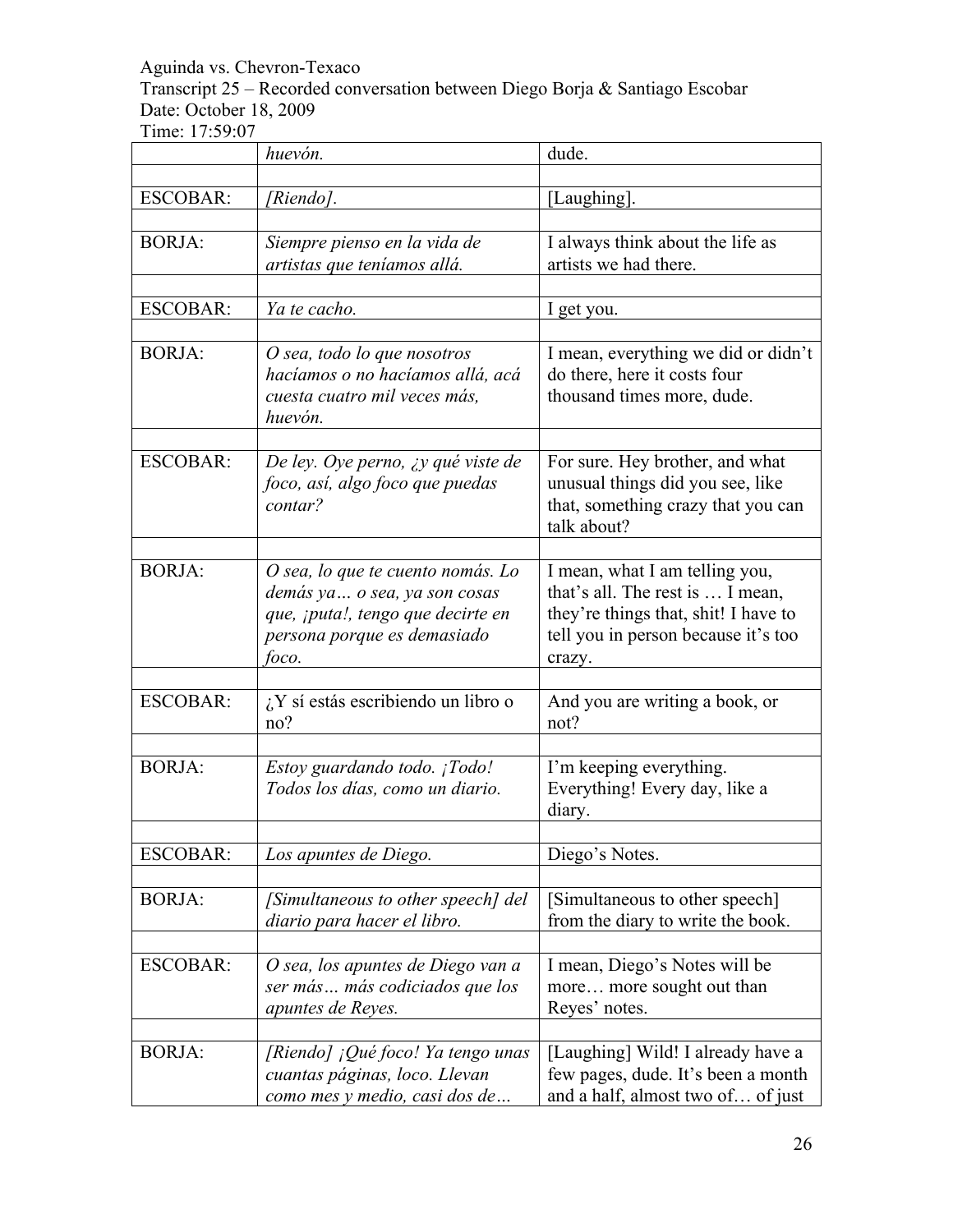Transcript 25 – Recorded conversation between Diego Borja & Santiago Escobar Date: October 18, 2009

|                 | huevón.                                                                                                                                         | dude.                                                                                                                                                       |
|-----------------|-------------------------------------------------------------------------------------------------------------------------------------------------|-------------------------------------------------------------------------------------------------------------------------------------------------------------|
|                 |                                                                                                                                                 |                                                                                                                                                             |
| <b>ESCOBAR:</b> | [Riendo].                                                                                                                                       | [Laughing].                                                                                                                                                 |
| <b>BORJA:</b>   | Siempre pienso en la vida de<br>artistas que teníamos allá.                                                                                     | I always think about the life as<br>artists we had there.                                                                                                   |
| <b>ESCOBAR:</b> | Ya te cacho.                                                                                                                                    | I get you.                                                                                                                                                  |
| <b>BORJA:</b>   | O sea, todo lo que nosotros<br>hacíamos o no hacíamos allá, acá<br>cuesta cuatro mil veces más,<br>huevón.                                      | I mean, everything we did or didn't<br>do there, here it costs four<br>thousand times more, dude.                                                           |
| <b>ESCOBAR:</b> | De ley. Oye perno, ¿y qué viste de<br>foco, así, algo foco que puedas<br>contar?                                                                | For sure. Hey brother, and what<br>unusual things did you see, like<br>that, something crazy that you can<br>talk about?                                    |
| <b>BORJA:</b>   | O sea, lo que te cuento nomás. Lo<br>demás ya  o sea, ya son cosas<br>que, ¡puta!, tengo que decirte en<br>persona porque es demasiado<br>foco. | I mean, what I am telling you,<br>that's all. The rest is  I mean,<br>they're things that, shit! I have to<br>tell you in person because it's too<br>crazy. |
| <b>ESCOBAR:</b> | $i$ , Y sí estás escribiendo un libro o<br>no?                                                                                                  | And you are writing a book, or<br>not?                                                                                                                      |
| <b>BORJA:</b>   | Estoy guardando todo. ¡Todo!<br>Todos los días, como un diario.                                                                                 | I'm keeping everything.<br>Everything! Every day, like a<br>diary.                                                                                          |
| <b>ESCOBAR:</b> | Los apuntes de Diego.                                                                                                                           | Diego's Notes.                                                                                                                                              |
| <b>BORJA:</b>   | [Simultaneous to other speech] del<br>diario para hacer el libro.                                                                               | [Simultaneous to other speech]<br>from the diary to write the book.                                                                                         |
| <b>ESCOBAR:</b> | O sea, los apuntes de Diego van a<br>ser más más codiciados que los<br>apuntes de Reyes.                                                        | I mean, Diego's Notes will be<br>more more sought out than<br>Reyes' notes.                                                                                 |
| <b>BORJA:</b>   | [Riendo] ¡Qué foco! Ya tengo unas<br>cuantas páginas, loco. Llevan<br>como mes y medio, casi dos de                                             | [Laughing] Wild! I already have a<br>few pages, dude. It's been a month<br>and a half, almost two of of just                                                |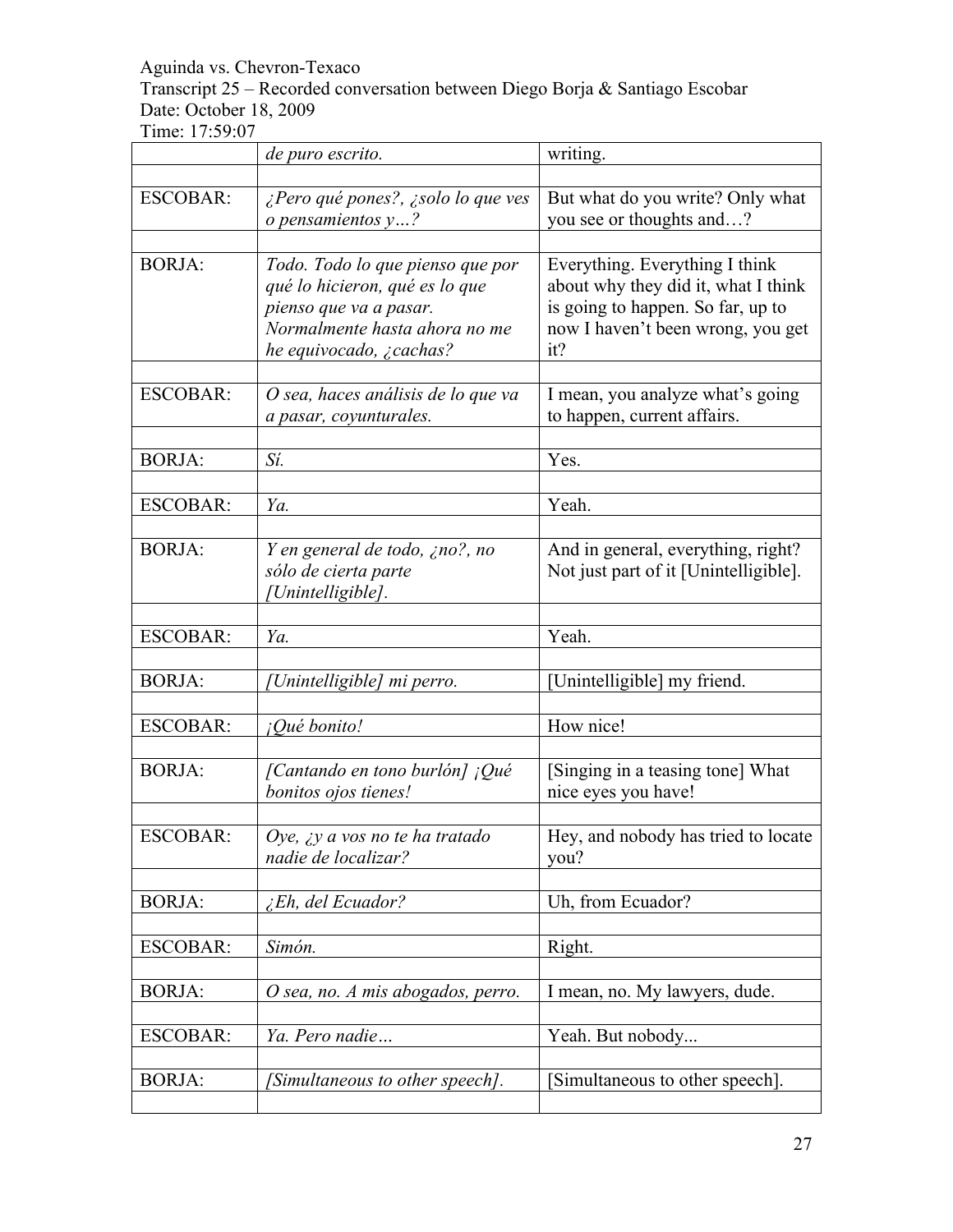## Transcript 25 – Recorded conversation between Diego Borja & Santiago Escobar Date: October 18, 2009

|                 | de puro escrito.                     | writing.                              |
|-----------------|--------------------------------------|---------------------------------------|
|                 |                                      |                                       |
| <b>ESCOBAR:</b> | ¿Pero qué pones?, ¿solo lo que ves   | But what do you write? Only what      |
|                 | $o$ pensamientos $y$ ?               | you see or thoughts and?              |
|                 |                                      |                                       |
| <b>BORJA:</b>   | Todo. Todo lo que pienso que por     | Everything. Everything I think        |
|                 | qué lo hicieron, qué es lo que       | about why they did it, what I think   |
|                 | pienso que va a pasar.               | is going to happen. So far, up to     |
|                 | Normalmente hasta ahora no me        | now I haven't been wrong, you get     |
|                 | he equivocado, $\zeta$ cachas?       | it?                                   |
|                 |                                      |                                       |
| <b>ESCOBAR:</b> | O sea, haces análisis de lo que va   | I mean, you analyze what's going      |
|                 | a pasar, coyunturales.               | to happen, current affairs.           |
|                 |                                      |                                       |
| <b>BORJA:</b>   | Sí.                                  | Yes.                                  |
|                 |                                      |                                       |
| <b>ESCOBAR:</b> | Ya.                                  | Yeah.                                 |
|                 |                                      |                                       |
| <b>BORJA:</b>   | Y en general de todo, ¿no?, no       | And in general, everything, right?    |
|                 | sólo de cierta parte                 | Not just part of it [Unintelligible]. |
|                 | Unintelligible].                     |                                       |
|                 |                                      |                                       |
| <b>ESCOBAR:</b> | Ya.                                  | Yeah.                                 |
|                 |                                      |                                       |
| <b>BORJA:</b>   | [Unintelligible] mi perro.           | [Unintelligible] my friend.           |
|                 |                                      |                                       |
| <b>ESCOBAR:</b> | ¡Qué bonito!                         | How nice!                             |
|                 |                                      |                                       |
| <b>BORJA:</b>   | [Cantando en tono burlón] ¡Qué       | [Singing in a teasing tone] What      |
|                 | bonitos ojos tienes!                 | nice eyes you have!                   |
|                 |                                      |                                       |
| <b>ESCOBAR:</b> | Oye, $\chi y$ a vos no te ha tratado | Hey, and nobody has tried to locate   |
|                 | nadie de localizar?                  | you?                                  |
|                 |                                      |                                       |
| <b>BORJA:</b>   | <i>Eh, del Ecuador?</i>              | Uh, from Ecuador?                     |
|                 |                                      |                                       |
| <b>ESCOBAR:</b> | Simón.                               | Right.                                |
|                 |                                      |                                       |
| <b>BORJA:</b>   | O sea, no. A mis abogados, perro.    | I mean, no. My lawyers, dude.         |
|                 |                                      |                                       |
| <b>ESCOBAR:</b> | Ya. Pero nadie                       | Yeah. But nobody                      |
|                 |                                      |                                       |
| <b>BORJA:</b>   | [Simultaneous to other speech].      | [Simultaneous to other speech].       |
|                 |                                      |                                       |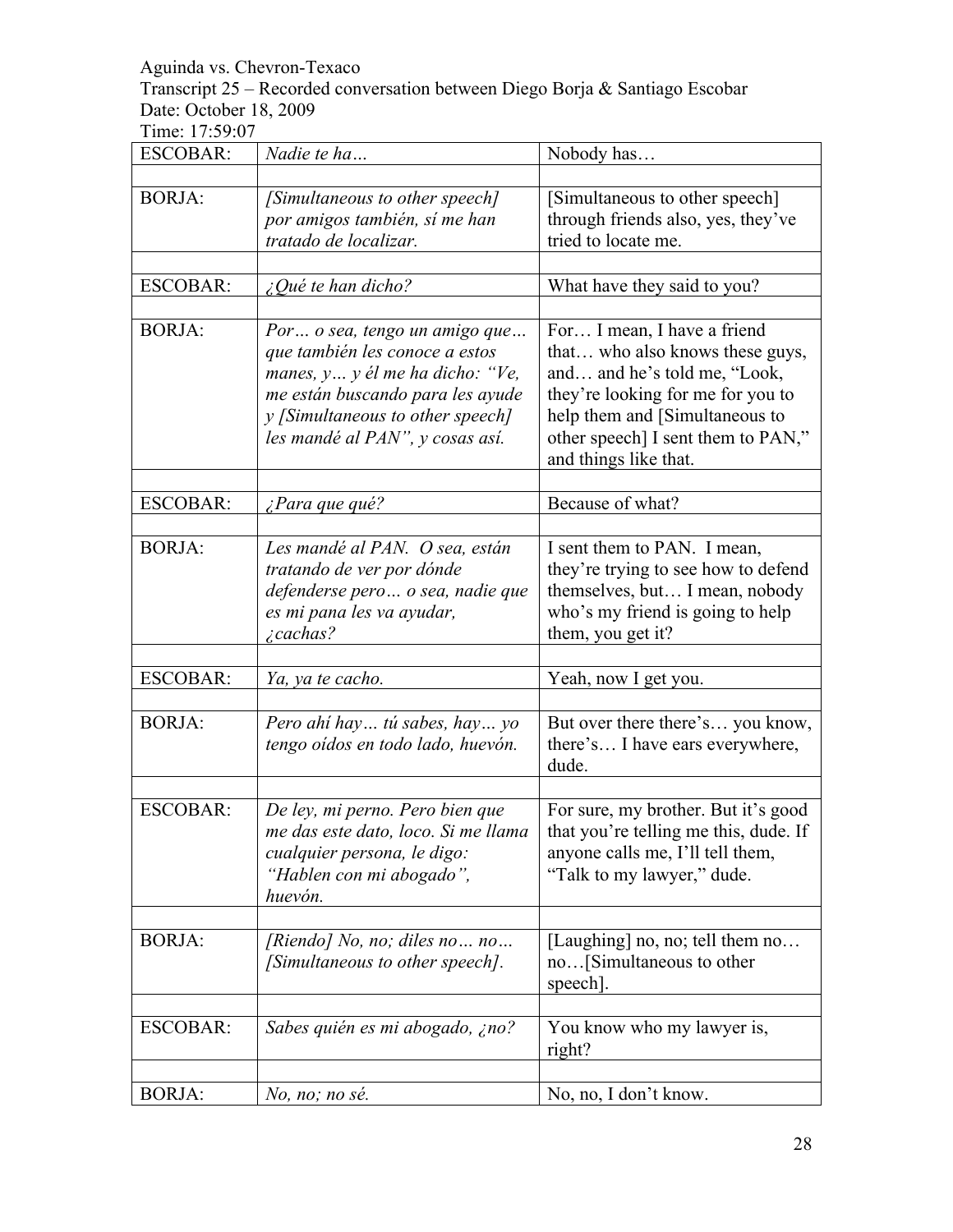Transcript 25 – Recorded conversation between Diego Borja & Santiago Escobar Date: October 18, 2009

| <b>ESCOBAR:</b> | Nadie te ha                                                                                                                                                                                                      | Nobody has                                                                                                                                                                                                                           |
|-----------------|------------------------------------------------------------------------------------------------------------------------------------------------------------------------------------------------------------------|--------------------------------------------------------------------------------------------------------------------------------------------------------------------------------------------------------------------------------------|
|                 |                                                                                                                                                                                                                  |                                                                                                                                                                                                                                      |
| <b>BORJA:</b>   | [Simultaneous to other speech]<br>por amigos también, sí me han<br>tratado de localizar.                                                                                                                         | [Simultaneous to other speech]<br>through friends also, yes, they've<br>tried to locate me.                                                                                                                                          |
|                 |                                                                                                                                                                                                                  |                                                                                                                                                                                                                                      |
| <b>ESCOBAR:</b> | $\zeta$ Qué te han dicho?                                                                                                                                                                                        | What have they said to you?                                                                                                                                                                                                          |
| <b>BORJA:</b>   | Por  o sea, tengo un amigo que<br>que también les conoce a estos<br>manes, $y$ y él me ha dicho: "Ve,<br>me están buscando para les ayude<br>y [Simultaneous to other speech]<br>les mandé al PAN", y cosas así. | For I mean, I have a friend<br>that who also knows these guys,<br>and and he's told me, "Look,<br>they're looking for me for you to<br>help them and [Simultaneous to<br>other speech] I sent them to PAN,"<br>and things like that. |
| <b>ESCOBAR:</b> | ¿Para que qué?                                                                                                                                                                                                   | Because of what?                                                                                                                                                                                                                     |
|                 |                                                                                                                                                                                                                  |                                                                                                                                                                                                                                      |
| <b>BORJA:</b>   | Les mandé al PAN. O sea, están<br>tratando de ver por dónde<br>defenderse pero  o sea, nadie que<br>es mi pana les va ayudar,<br>¿cachas?                                                                        | I sent them to PAN. I mean,<br>they're trying to see how to defend<br>themselves, but I mean, nobody<br>who's my friend is going to help<br>them, you get it?                                                                        |
| <b>ESCOBAR:</b> |                                                                                                                                                                                                                  |                                                                                                                                                                                                                                      |
|                 | Ya, ya te cacho.                                                                                                                                                                                                 | Yeah, now I get you.                                                                                                                                                                                                                 |
| <b>BORJA:</b>   | Pero ahí hay tú sabes, hay yo<br>tengo oídos en todo lado, huevón.                                                                                                                                               | But over there there's you know,<br>there's I have ears everywhere,<br>dude.                                                                                                                                                         |
| <b>ESCOBAR:</b> | De ley, mi perno. Pero bien que<br>me das este dato, loco. Si me llama<br>cualquier persona, le digo:<br>"Hablen con mi abogado",<br>huevón.                                                                     | For sure, my brother. But it's good<br>that you're telling me this, dude. If<br>anyone calls me, I'll tell them,<br>"Talk to my lawyer," dude.                                                                                       |
| <b>BORJA:</b>   | [Riendo] No, no; diles no no<br>[Simultaneous to other speech].                                                                                                                                                  | [Laughing] no, no; tell them no<br>no[Simultaneous to other<br>speech].                                                                                                                                                              |
| <b>ESCOBAR:</b> | Sabes quién es mi abogado, ¿no?                                                                                                                                                                                  | You know who my lawyer is,<br>right?                                                                                                                                                                                                 |
| <b>BORJA:</b>   | No, no; no sé.                                                                                                                                                                                                   | No, no, I don't know.                                                                                                                                                                                                                |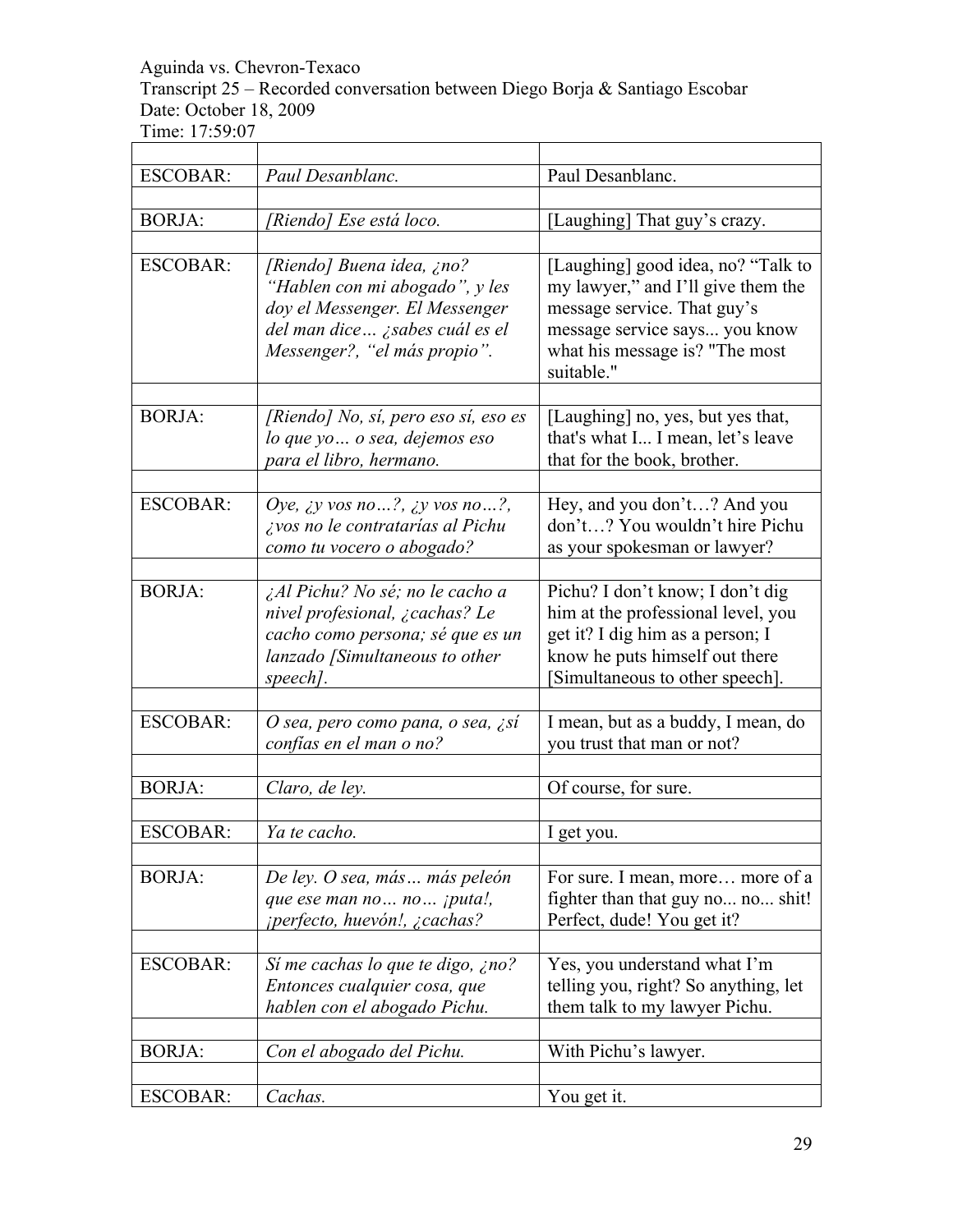Transcript 25 – Recorded conversation between Diego Borja & Santiago Escobar Date: October 18, 2009

Time: 17:59:07 

| <b>ESCOBAR:</b> | Paul Desanblanc.                                                                                                                                                | Paul Desanblanc.                                                                                                                                                                         |
|-----------------|-----------------------------------------------------------------------------------------------------------------------------------------------------------------|------------------------------------------------------------------------------------------------------------------------------------------------------------------------------------------|
| <b>BORJA:</b>   | 'Riendo] Ese está loco.                                                                                                                                         | [Laughing] That guy's crazy.                                                                                                                                                             |
| <b>ESCOBAR:</b> | [Riendo] Buena idea, ¿no?<br>"Hablen con mi abogado", y les<br>doy el Messenger. El Messenger<br>del man dice ¿sabes cuál es el<br>Messenger?, "el más propio". | [Laughing] good idea, no? "Talk to<br>my lawyer," and I'll give them the<br>message service. That guy's<br>message service says you know<br>what his message is? "The most<br>suitable." |
| <b>BORJA:</b>   | [Riendo] No, sí, pero eso sí, eso es<br>lo que yo  o sea, dejemos eso<br>para el libro, hermano.                                                                | [Laughing] no, yes, but yes that,<br>that's what I I mean, let's leave<br>that for the book, brother.                                                                                    |
| <b>ESCOBAR:</b> | Oye, <i>iy</i> vos no?, <i>iy</i> vos no?,<br>¿vos no le contratarías al Pichu<br>como tu vocero o abogado?                                                     | Hey, and you don't? And you<br>don't? You wouldn't hire Pichu<br>as your spokesman or lawyer?                                                                                            |
| <b>BORJA:</b>   | ¿Al Pichu? No sé; no le cacho a<br>nivel profesional, ¿cachas? Le<br>cacho como persona; sé que es un<br>lanzado [Simultaneous to other<br>speech].             | Pichu? I don't know; I don't dig<br>him at the professional level, you<br>get it? I dig him as a person; I<br>know he puts himself out there<br>Simultaneous to other speech].           |
| <b>ESCOBAR:</b> | O sea, pero como pana, o sea, ¿sí<br>confías en el man o no?                                                                                                    | I mean, but as a buddy, I mean, do<br>you trust that man or not?                                                                                                                         |
| <b>BORJA:</b>   | Claro, de ley.                                                                                                                                                  | Of course, for sure.                                                                                                                                                                     |
| <b>ESCOBAR:</b> | Ya te cacho.                                                                                                                                                    | I get vou                                                                                                                                                                                |
| <b>BORJA:</b>   | De ley. O sea, más más peleón<br>que ese man no  no  jputa!,<br><i>iperfecto, huevón!, ¿cachas?</i>                                                             | For sure. I mean, more more of a<br>fighter than that guy no no shit!<br>Perfect, dude! You get it?                                                                                      |
| <b>ESCOBAR:</b> | Sí me cachas lo que te digo, ¿no?<br>Entonces cualquier cosa, que<br>hablen con el abogado Pichu.                                                               | Yes, you understand what I'm<br>telling you, right? So anything, let<br>them talk to my lawyer Pichu.                                                                                    |
| <b>BORJA:</b>   | Con el abogado del Pichu.                                                                                                                                       | With Pichu's lawyer.                                                                                                                                                                     |
| <b>ESCOBAR:</b> | Cachas.                                                                                                                                                         | You get it.                                                                                                                                                                              |

٦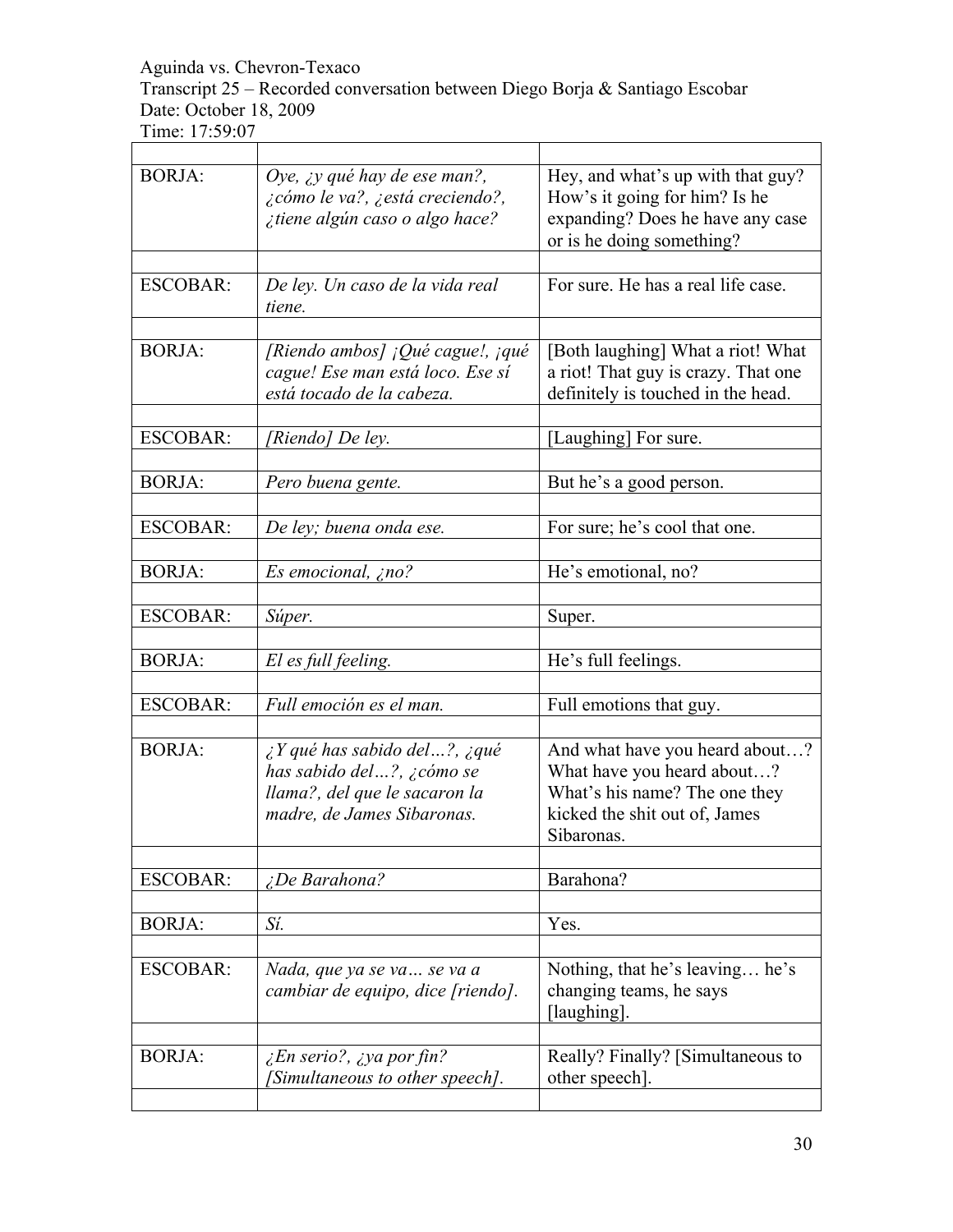Transcript 25 – Recorded conversation between Diego Borja & Santiago Escobar Date: October 18, 2009

| <b>BORJA:</b>   | Oye, $\chi y$ qué hay de ese man?,<br>¿cómo le va?, ¿está creciendo?,<br>¿tiene algún caso o algo hace?                                    | Hey, and what's up with that guy?<br>How's it going for him? Is he<br>expanding? Does he have any case<br>or is he doing something?          |
|-----------------|--------------------------------------------------------------------------------------------------------------------------------------------|----------------------------------------------------------------------------------------------------------------------------------------------|
| <b>ESCOBAR:</b> | De ley. Un caso de la vida real<br>tiene.                                                                                                  | For sure. He has a real life case.                                                                                                           |
| <b>BORJA:</b>   | [Riendo ambos] ¡Qué cague!, ¡qué<br>cague! Ese man está loco. Ese sí<br>está tocado de la cabeza.                                          | [Both laughing] What a riot! What<br>a riot! That guy is crazy. That one<br>definitely is touched in the head.                               |
| ESCOBAR:        | 'Riendo] De ley.                                                                                                                           | [Laughing] For sure.                                                                                                                         |
| <b>BORJA:</b>   | Pero buena gente.                                                                                                                          | But he's a good person.                                                                                                                      |
| <b>ESCOBAR:</b> | De ley; buena onda ese.                                                                                                                    | For sure; he's cool that one.                                                                                                                |
| <b>BORJA:</b>   | Es emocional, ¿no?                                                                                                                         | He's emotional, no?                                                                                                                          |
| <b>ESCOBAR:</b> | Súper.                                                                                                                                     | Super.                                                                                                                                       |
| <b>BORJA:</b>   | El es full feeling.                                                                                                                        | He's full feelings.                                                                                                                          |
| <b>ESCOBAR:</b> | Full emoción es el man.                                                                                                                    | Full emotions that guy.                                                                                                                      |
| <b>BORJA:</b>   | $\lambda$ Y qué has sabido del?, $\lambda$ qué<br>has sabido del?, ¿cómo se<br>llama?, del que le sacaron la<br>madre, de James Sibaronas. | And what have you heard about?<br>What have you heard about?<br>What's his name? The one they<br>kicked the shit out of, James<br>Sibaronas. |
| <b>ESCOBAR:</b> | ¿De Barahona?                                                                                                                              | Barahona?                                                                                                                                    |
| <b>BORJA:</b>   | Sí.                                                                                                                                        | Yes.                                                                                                                                         |
| <b>ESCOBAR:</b> | Nada, que ya se va  se va a<br>cambiar de equipo, dice [riendo].                                                                           | Nothing, that he's leaving he's<br>changing teams, he says<br>[laughing].                                                                    |
| <b>BORJA:</b>   | $\zeta$ En serio?, $\zeta$ ya por fin?<br>[Simultaneous to other speech].                                                                  | Really? Finally? [Simultaneous to<br>other speech]                                                                                           |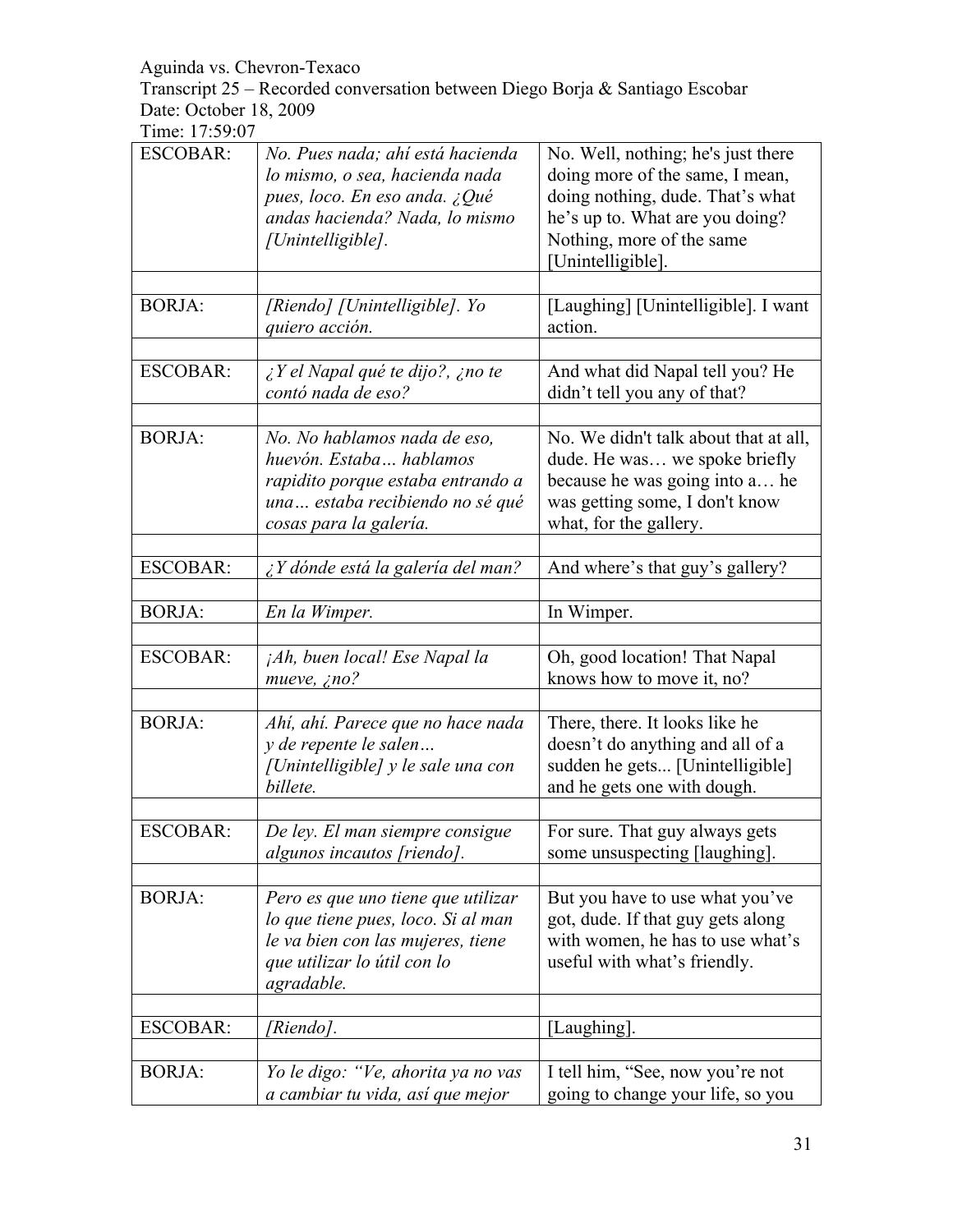Transcript 25 – Recorded conversation between Diego Borja & Santiago Escobar Date: October 18, 2009

| <b>ESCOBAR:</b> | No. Pues nada; ahí está hacienda<br>lo mismo, o sea, hacienda nada<br>pues, loco. En eso anda. ¿Qué<br>andas hacienda? Nada, lo mismo<br>[Unintelligible]. | No. Well, nothing; he's just there<br>doing more of the same, I mean,<br>doing nothing, dude. That's what<br>he's up to. What are you doing?<br>Nothing, more of the same<br>[Unintelligible]. |
|-----------------|------------------------------------------------------------------------------------------------------------------------------------------------------------|------------------------------------------------------------------------------------------------------------------------------------------------------------------------------------------------|
| <b>BORJA:</b>   | [Riendo] [Unintelligible]. Yo<br>quiero acción.                                                                                                            | [Laughing] [Unintelligible]. I want<br>action.                                                                                                                                                 |
| <b>ESCOBAR:</b> | $\zeta$ Y el Napal qué te dijo?, $\zeta$ no te<br>contó nada de eso?                                                                                       | And what did Napal tell you? He<br>didn't tell you any of that?                                                                                                                                |
| <b>BORJA:</b>   | No. No hablamos nada de eso,<br>huevón. Estaba hablamos<br>rapidito porque estaba entrando a<br>una estaba recibiendo no sé qué<br>cosas para la galería.  | No. We didn't talk about that at all,<br>dude. He was we spoke briefly<br>because he was going into a he<br>was getting some, I don't know<br>what, for the gallery.                           |
| <b>ESCOBAR:</b> | ¿Y dónde está la galería del man?                                                                                                                          | And where's that guy's gallery?                                                                                                                                                                |
| <b>BORJA:</b>   | En la Wimper.                                                                                                                                              | In Wimper.                                                                                                                                                                                     |
| <b>ESCOBAR:</b> | jAh, buen local! Ese Napal la<br>mueve, $\zeta$ no?                                                                                                        | Oh, good location! That Napal<br>knows how to move it, no?                                                                                                                                     |
| <b>BORJA:</b>   | Ahí, ahí. Parece que no hace nada<br>y de repente le salen<br>[Unintelligible] y le sale una con<br>billete.                                               | There, there. It looks like he<br>doesn't do anything and all of a<br>sudden he gets [Unintelligible]<br>and he gets one with dough.                                                           |
| <b>ESCOBAR:</b> | De ley. El man siempre consigue<br>algunos incautos [riendo].                                                                                              | For sure. That guy always gets<br>some unsuspecting [laughing].                                                                                                                                |
| <b>BORJA:</b>   | Pero es que uno tiene que utilizar<br>lo que tiene pues, loco. Si al man<br>le va bien con las mujeres, tiene<br>que utilizar lo útil con lo<br>agradable. | But you have to use what you've<br>got, dude. If that guy gets along<br>with women, he has to use what's<br>useful with what's friendly.                                                       |
| <b>ESCOBAR:</b> | [Riendo].                                                                                                                                                  | [Laughing].                                                                                                                                                                                    |
| <b>BORJA:</b>   | Yo le digo: "Ve, ahorita ya no vas<br>a cambiar tu vida, así que mejor                                                                                     | I tell him, "See, now you're not<br>going to change your life, so you                                                                                                                          |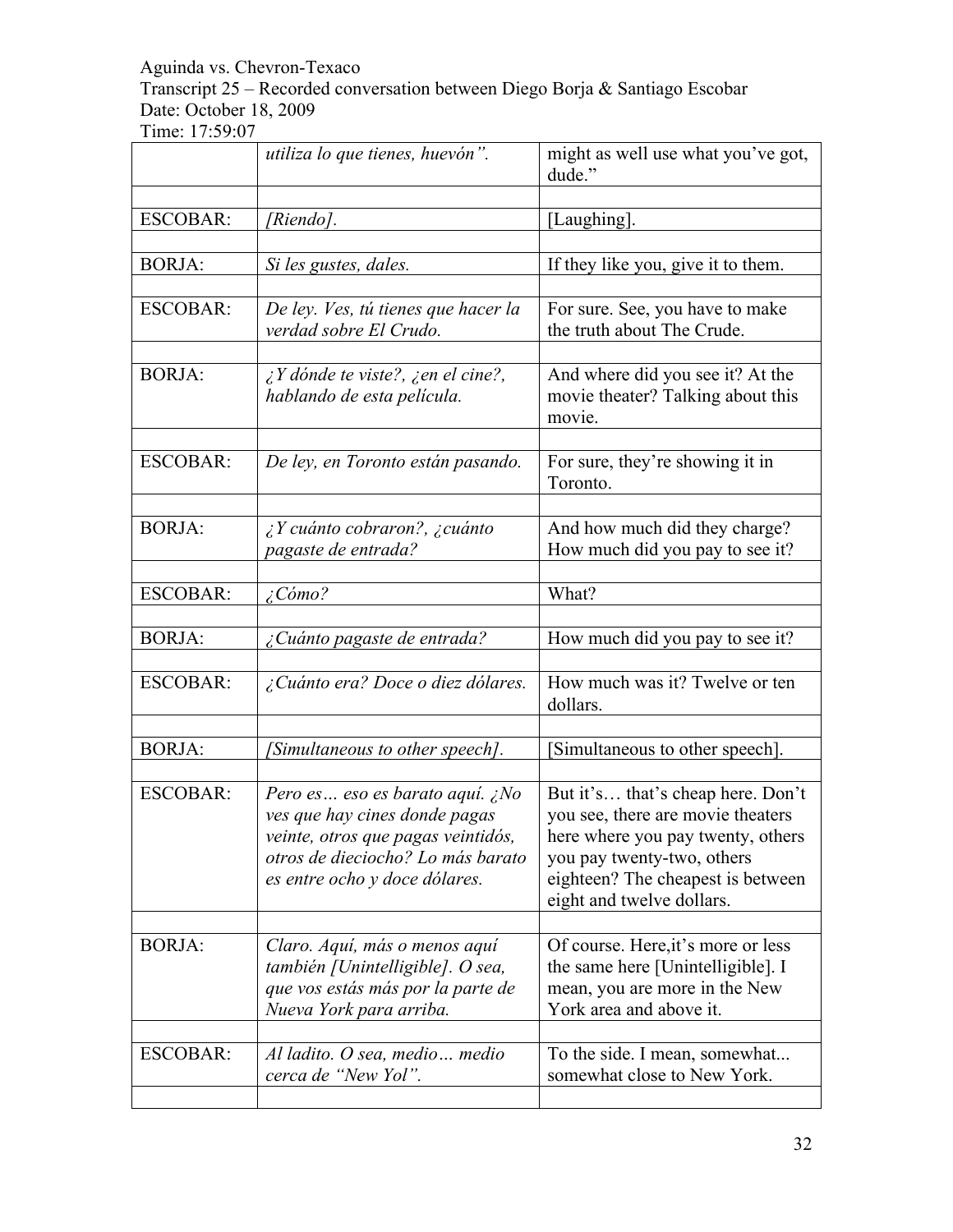Transcript 25 – Recorded conversation between Diego Borja & Santiago Escobar Date: October 18, 2009

| <b>ESCOBAR:</b><br>[Riendo].<br>[Laughing].<br><b>BORJA:</b><br>If they like you, give it to them.<br>Si les gustes, dales.<br><b>ESCOBAR:</b><br>De ley. Ves, tú tienes que hacer la<br>For sure. See, you have to make<br>verdad sobre El Crudo.<br>the truth about The Crude.<br><b>BORJA:</b><br>$\lambda$ Y dónde te viste?, $\lambda$ en el cine?,<br>And where did you see it? At the<br>hablando de esta película.<br>movie theater? Talking about this<br>movie.<br><b>ESCOBAR:</b><br>De ley, en Toronto están pasando.<br>For sure, they're showing it in<br>Toronto.<br><b>BORJA:</b><br>$\lambda$ Y cuánto cobraron?, $\lambda$ cuánto<br>And how much did they charge?<br>pagaste de entrada?<br>How much did you pay to see it?<br><b>ESCOBAR:</b><br>$\zeta$ Cómo?<br>What?<br><b>BORJA:</b><br>How much did you pay to see it?<br>¿Cuánto pagaste de entrada?<br>How much was it? Twelve or ten<br><b>ESCOBAR:</b><br>¿Cuánto era? Doce o diez dólares.<br>dollars.<br><b>BORJA:</b><br>Simultaneous to other speech].<br>Simultaneous to other speech].<br><b>ESCOBAR:</b><br>Pero es eso es barato aquí. ¿No<br>But it's that's cheap here. Don't<br>you see, there are movie theaters<br>ves que hay cines donde pagas<br>here where you pay twenty, others<br>veinte, otros que pagas veintidós,<br>otros de dieciocho? Lo más barato<br>you pay twenty-two, others<br>eighteen? The cheapest is between<br>es entre ocho y doce dólares.<br>eight and twelve dollars.<br><b>BORJA:</b><br>Of course. Here, it's more or less<br>Claro. Aquí, más o menos aquí<br>the same here [Unintelligible]. I<br>también [Unintelligible]. O sea,<br>que vos estás más por la parte de<br>mean, you are more in the New<br>York area and above it.<br>Nueva York para arriba.<br><b>ESCOBAR:</b><br>Al ladito. O sea, medio medio<br>To the side. I mean, somewhat | utiliza lo que tienes, huevón". | might as well use what you've got,<br>dude." |
|-------------------------------------------------------------------------------------------------------------------------------------------------------------------------------------------------------------------------------------------------------------------------------------------------------------------------------------------------------------------------------------------------------------------------------------------------------------------------------------------------------------------------------------------------------------------------------------------------------------------------------------------------------------------------------------------------------------------------------------------------------------------------------------------------------------------------------------------------------------------------------------------------------------------------------------------------------------------------------------------------------------------------------------------------------------------------------------------------------------------------------------------------------------------------------------------------------------------------------------------------------------------------------------------------------------------------------------------------------------------------------------------------------------------------------------------------------------------------------------------------------------------------------------------------------------------------------------------------------------------------------------------------------------------------------------------------------------------------------------------------------------------------------------------------------------------------------------------------------------------------------|---------------------------------|----------------------------------------------|
|                                                                                                                                                                                                                                                                                                                                                                                                                                                                                                                                                                                                                                                                                                                                                                                                                                                                                                                                                                                                                                                                                                                                                                                                                                                                                                                                                                                                                                                                                                                                                                                                                                                                                                                                                                                                                                                                               |                                 |                                              |
|                                                                                                                                                                                                                                                                                                                                                                                                                                                                                                                                                                                                                                                                                                                                                                                                                                                                                                                                                                                                                                                                                                                                                                                                                                                                                                                                                                                                                                                                                                                                                                                                                                                                                                                                                                                                                                                                               |                                 |                                              |
|                                                                                                                                                                                                                                                                                                                                                                                                                                                                                                                                                                                                                                                                                                                                                                                                                                                                                                                                                                                                                                                                                                                                                                                                                                                                                                                                                                                                                                                                                                                                                                                                                                                                                                                                                                                                                                                                               |                                 |                                              |
|                                                                                                                                                                                                                                                                                                                                                                                                                                                                                                                                                                                                                                                                                                                                                                                                                                                                                                                                                                                                                                                                                                                                                                                                                                                                                                                                                                                                                                                                                                                                                                                                                                                                                                                                                                                                                                                                               |                                 |                                              |
|                                                                                                                                                                                                                                                                                                                                                                                                                                                                                                                                                                                                                                                                                                                                                                                                                                                                                                                                                                                                                                                                                                                                                                                                                                                                                                                                                                                                                                                                                                                                                                                                                                                                                                                                                                                                                                                                               |                                 |                                              |
|                                                                                                                                                                                                                                                                                                                                                                                                                                                                                                                                                                                                                                                                                                                                                                                                                                                                                                                                                                                                                                                                                                                                                                                                                                                                                                                                                                                                                                                                                                                                                                                                                                                                                                                                                                                                                                                                               |                                 |                                              |
|                                                                                                                                                                                                                                                                                                                                                                                                                                                                                                                                                                                                                                                                                                                                                                                                                                                                                                                                                                                                                                                                                                                                                                                                                                                                                                                                                                                                                                                                                                                                                                                                                                                                                                                                                                                                                                                                               |                                 |                                              |
|                                                                                                                                                                                                                                                                                                                                                                                                                                                                                                                                                                                                                                                                                                                                                                                                                                                                                                                                                                                                                                                                                                                                                                                                                                                                                                                                                                                                                                                                                                                                                                                                                                                                                                                                                                                                                                                                               |                                 |                                              |
|                                                                                                                                                                                                                                                                                                                                                                                                                                                                                                                                                                                                                                                                                                                                                                                                                                                                                                                                                                                                                                                                                                                                                                                                                                                                                                                                                                                                                                                                                                                                                                                                                                                                                                                                                                                                                                                                               |                                 |                                              |
|                                                                                                                                                                                                                                                                                                                                                                                                                                                                                                                                                                                                                                                                                                                                                                                                                                                                                                                                                                                                                                                                                                                                                                                                                                                                                                                                                                                                                                                                                                                                                                                                                                                                                                                                                                                                                                                                               |                                 |                                              |
|                                                                                                                                                                                                                                                                                                                                                                                                                                                                                                                                                                                                                                                                                                                                                                                                                                                                                                                                                                                                                                                                                                                                                                                                                                                                                                                                                                                                                                                                                                                                                                                                                                                                                                                                                                                                                                                                               |                                 |                                              |
|                                                                                                                                                                                                                                                                                                                                                                                                                                                                                                                                                                                                                                                                                                                                                                                                                                                                                                                                                                                                                                                                                                                                                                                                                                                                                                                                                                                                                                                                                                                                                                                                                                                                                                                                                                                                                                                                               |                                 |                                              |
|                                                                                                                                                                                                                                                                                                                                                                                                                                                                                                                                                                                                                                                                                                                                                                                                                                                                                                                                                                                                                                                                                                                                                                                                                                                                                                                                                                                                                                                                                                                                                                                                                                                                                                                                                                                                                                                                               |                                 |                                              |
|                                                                                                                                                                                                                                                                                                                                                                                                                                                                                                                                                                                                                                                                                                                                                                                                                                                                                                                                                                                                                                                                                                                                                                                                                                                                                                                                                                                                                                                                                                                                                                                                                                                                                                                                                                                                                                                                               |                                 |                                              |
|                                                                                                                                                                                                                                                                                                                                                                                                                                                                                                                                                                                                                                                                                                                                                                                                                                                                                                                                                                                                                                                                                                                                                                                                                                                                                                                                                                                                                                                                                                                                                                                                                                                                                                                                                                                                                                                                               |                                 |                                              |
|                                                                                                                                                                                                                                                                                                                                                                                                                                                                                                                                                                                                                                                                                                                                                                                                                                                                                                                                                                                                                                                                                                                                                                                                                                                                                                                                                                                                                                                                                                                                                                                                                                                                                                                                                                                                                                                                               |                                 |                                              |
|                                                                                                                                                                                                                                                                                                                                                                                                                                                                                                                                                                                                                                                                                                                                                                                                                                                                                                                                                                                                                                                                                                                                                                                                                                                                                                                                                                                                                                                                                                                                                                                                                                                                                                                                                                                                                                                                               |                                 |                                              |
|                                                                                                                                                                                                                                                                                                                                                                                                                                                                                                                                                                                                                                                                                                                                                                                                                                                                                                                                                                                                                                                                                                                                                                                                                                                                                                                                                                                                                                                                                                                                                                                                                                                                                                                                                                                                                                                                               |                                 |                                              |
|                                                                                                                                                                                                                                                                                                                                                                                                                                                                                                                                                                                                                                                                                                                                                                                                                                                                                                                                                                                                                                                                                                                                                                                                                                                                                                                                                                                                                                                                                                                                                                                                                                                                                                                                                                                                                                                                               |                                 |                                              |
|                                                                                                                                                                                                                                                                                                                                                                                                                                                                                                                                                                                                                                                                                                                                                                                                                                                                                                                                                                                                                                                                                                                                                                                                                                                                                                                                                                                                                                                                                                                                                                                                                                                                                                                                                                                                                                                                               |                                 |                                              |
|                                                                                                                                                                                                                                                                                                                                                                                                                                                                                                                                                                                                                                                                                                                                                                                                                                                                                                                                                                                                                                                                                                                                                                                                                                                                                                                                                                                                                                                                                                                                                                                                                                                                                                                                                                                                                                                                               |                                 |                                              |
|                                                                                                                                                                                                                                                                                                                                                                                                                                                                                                                                                                                                                                                                                                                                                                                                                                                                                                                                                                                                                                                                                                                                                                                                                                                                                                                                                                                                                                                                                                                                                                                                                                                                                                                                                                                                                                                                               |                                 |                                              |
|                                                                                                                                                                                                                                                                                                                                                                                                                                                                                                                                                                                                                                                                                                                                                                                                                                                                                                                                                                                                                                                                                                                                                                                                                                                                                                                                                                                                                                                                                                                                                                                                                                                                                                                                                                                                                                                                               |                                 |                                              |
|                                                                                                                                                                                                                                                                                                                                                                                                                                                                                                                                                                                                                                                                                                                                                                                                                                                                                                                                                                                                                                                                                                                                                                                                                                                                                                                                                                                                                                                                                                                                                                                                                                                                                                                                                                                                                                                                               |                                 |                                              |
|                                                                                                                                                                                                                                                                                                                                                                                                                                                                                                                                                                                                                                                                                                                                                                                                                                                                                                                                                                                                                                                                                                                                                                                                                                                                                                                                                                                                                                                                                                                                                                                                                                                                                                                                                                                                                                                                               |                                 |                                              |
|                                                                                                                                                                                                                                                                                                                                                                                                                                                                                                                                                                                                                                                                                                                                                                                                                                                                                                                                                                                                                                                                                                                                                                                                                                                                                                                                                                                                                                                                                                                                                                                                                                                                                                                                                                                                                                                                               |                                 |                                              |
|                                                                                                                                                                                                                                                                                                                                                                                                                                                                                                                                                                                                                                                                                                                                                                                                                                                                                                                                                                                                                                                                                                                                                                                                                                                                                                                                                                                                                                                                                                                                                                                                                                                                                                                                                                                                                                                                               |                                 |                                              |
|                                                                                                                                                                                                                                                                                                                                                                                                                                                                                                                                                                                                                                                                                                                                                                                                                                                                                                                                                                                                                                                                                                                                                                                                                                                                                                                                                                                                                                                                                                                                                                                                                                                                                                                                                                                                                                                                               |                                 |                                              |
|                                                                                                                                                                                                                                                                                                                                                                                                                                                                                                                                                                                                                                                                                                                                                                                                                                                                                                                                                                                                                                                                                                                                                                                                                                                                                                                                                                                                                                                                                                                                                                                                                                                                                                                                                                                                                                                                               |                                 |                                              |
|                                                                                                                                                                                                                                                                                                                                                                                                                                                                                                                                                                                                                                                                                                                                                                                                                                                                                                                                                                                                                                                                                                                                                                                                                                                                                                                                                                                                                                                                                                                                                                                                                                                                                                                                                                                                                                                                               |                                 |                                              |
|                                                                                                                                                                                                                                                                                                                                                                                                                                                                                                                                                                                                                                                                                                                                                                                                                                                                                                                                                                                                                                                                                                                                                                                                                                                                                                                                                                                                                                                                                                                                                                                                                                                                                                                                                                                                                                                                               |                                 |                                              |
|                                                                                                                                                                                                                                                                                                                                                                                                                                                                                                                                                                                                                                                                                                                                                                                                                                                                                                                                                                                                                                                                                                                                                                                                                                                                                                                                                                                                                                                                                                                                                                                                                                                                                                                                                                                                                                                                               |                                 |                                              |
|                                                                                                                                                                                                                                                                                                                                                                                                                                                                                                                                                                                                                                                                                                                                                                                                                                                                                                                                                                                                                                                                                                                                                                                                                                                                                                                                                                                                                                                                                                                                                                                                                                                                                                                                                                                                                                                                               |                                 |                                              |
|                                                                                                                                                                                                                                                                                                                                                                                                                                                                                                                                                                                                                                                                                                                                                                                                                                                                                                                                                                                                                                                                                                                                                                                                                                                                                                                                                                                                                                                                                                                                                                                                                                                                                                                                                                                                                                                                               |                                 |                                              |
|                                                                                                                                                                                                                                                                                                                                                                                                                                                                                                                                                                                                                                                                                                                                                                                                                                                                                                                                                                                                                                                                                                                                                                                                                                                                                                                                                                                                                                                                                                                                                                                                                                                                                                                                                                                                                                                                               |                                 |                                              |
|                                                                                                                                                                                                                                                                                                                                                                                                                                                                                                                                                                                                                                                                                                                                                                                                                                                                                                                                                                                                                                                                                                                                                                                                                                                                                                                                                                                                                                                                                                                                                                                                                                                                                                                                                                                                                                                                               |                                 |                                              |
|                                                                                                                                                                                                                                                                                                                                                                                                                                                                                                                                                                                                                                                                                                                                                                                                                                                                                                                                                                                                                                                                                                                                                                                                                                                                                                                                                                                                                                                                                                                                                                                                                                                                                                                                                                                                                                                                               |                                 |                                              |
|                                                                                                                                                                                                                                                                                                                                                                                                                                                                                                                                                                                                                                                                                                                                                                                                                                                                                                                                                                                                                                                                                                                                                                                                                                                                                                                                                                                                                                                                                                                                                                                                                                                                                                                                                                                                                                                                               |                                 |                                              |
|                                                                                                                                                                                                                                                                                                                                                                                                                                                                                                                                                                                                                                                                                                                                                                                                                                                                                                                                                                                                                                                                                                                                                                                                                                                                                                                                                                                                                                                                                                                                                                                                                                                                                                                                                                                                                                                                               |                                 |                                              |
|                                                                                                                                                                                                                                                                                                                                                                                                                                                                                                                                                                                                                                                                                                                                                                                                                                                                                                                                                                                                                                                                                                                                                                                                                                                                                                                                                                                                                                                                                                                                                                                                                                                                                                                                                                                                                                                                               |                                 |                                              |
|                                                                                                                                                                                                                                                                                                                                                                                                                                                                                                                                                                                                                                                                                                                                                                                                                                                                                                                                                                                                                                                                                                                                                                                                                                                                                                                                                                                                                                                                                                                                                                                                                                                                                                                                                                                                                                                                               |                                 |                                              |
|                                                                                                                                                                                                                                                                                                                                                                                                                                                                                                                                                                                                                                                                                                                                                                                                                                                                                                                                                                                                                                                                                                                                                                                                                                                                                                                                                                                                                                                                                                                                                                                                                                                                                                                                                                                                                                                                               | cerca de "New Yol".             | somewhat close to New York.                  |
|                                                                                                                                                                                                                                                                                                                                                                                                                                                                                                                                                                                                                                                                                                                                                                                                                                                                                                                                                                                                                                                                                                                                                                                                                                                                                                                                                                                                                                                                                                                                                                                                                                                                                                                                                                                                                                                                               |                                 |                                              |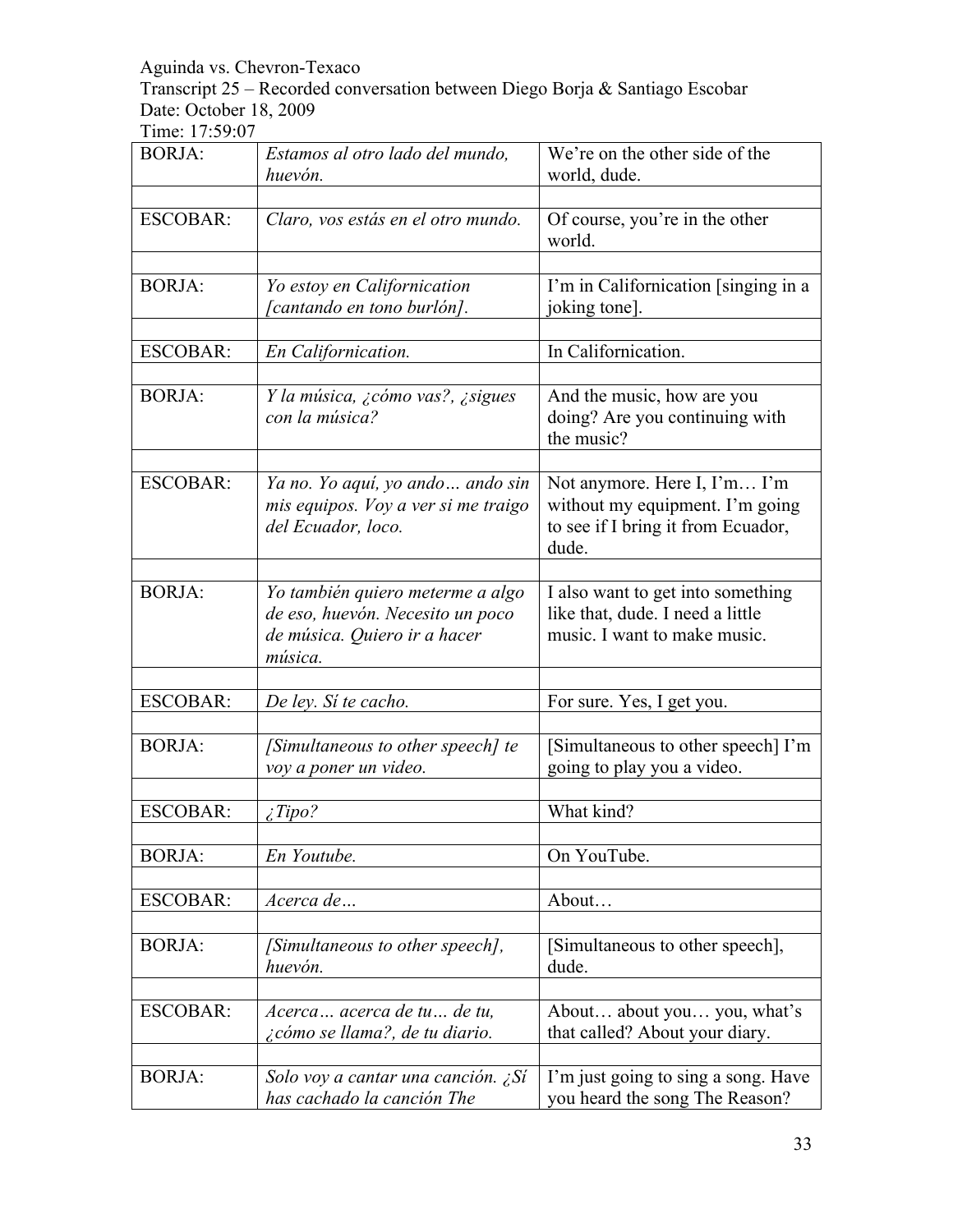Transcript 25 – Recorded conversation between Diego Borja & Santiago Escobar Date: October 18, 2009

| <b>BORJA:</b>   | Estamos al otro lado del mundo,<br>huevón.                                                                      | We're on the other side of the<br>world, dude.                                                                 |
|-----------------|-----------------------------------------------------------------------------------------------------------------|----------------------------------------------------------------------------------------------------------------|
| <b>ESCOBAR:</b> | Claro, vos estás en el otro mundo.                                                                              | Of course, you're in the other<br>world.                                                                       |
| <b>BORJA:</b>   | Yo estoy en Californication<br>[cantando en tono burlón].                                                       | I'm in Californication [singing in a<br>joking tone].                                                          |
| <b>ESCOBAR:</b> | En Californication.                                                                                             | In Californication.                                                                                            |
| <b>BORJA:</b>   | Y la música, ¿cómo vas?, ¿sigues<br>con la música?                                                              | And the music, how are you<br>doing? Are you continuing with<br>the music?                                     |
| <b>ESCOBAR:</b> | Ya no. Yo aquí, yo ando ando sin<br>mis equipos. Voy a ver si me traigo<br>del Ecuador, loco.                   | Not anymore. Here I, I'm I'm<br>without my equipment. I'm going<br>to see if I bring it from Ecuador,<br>dude. |
| <b>BORJA:</b>   | Yo también quiero meterme a algo<br>de eso, huevón. Necesito un poco<br>de música. Quiero ir a hacer<br>música. | I also want to get into something<br>like that, dude. I need a little<br>music. I want to make music.          |
| <b>ESCOBAR:</b> | De ley. Sí te cacho.                                                                                            | For sure. Yes, I get you.                                                                                      |
| <b>BORJA:</b>   | [Simultaneous to other speech] te<br>voy a poner un video.                                                      | [Simultaneous to other speech] I'm<br>going to play you a video.                                               |
| <b>ESCOBAR:</b> | $\angle$ Tipo?                                                                                                  | What kind?                                                                                                     |
| <b>BORJA:</b>   | En Youtube.                                                                                                     | On YouTube.                                                                                                    |
| <b>ESCOBAR:</b> | Acerca de                                                                                                       | About                                                                                                          |
| <b>BORJA:</b>   | [Simultaneous to other speech],<br>huevón.                                                                      | [Simultaneous to other speech],<br>dude.                                                                       |
| <b>ESCOBAR:</b> | Acerca acerca de tu de tu,<br>¿cómo se llama?, de tu diario.                                                    | About about you you, what's<br>that called? About your diary.                                                  |
| <b>BORJA:</b>   | Solo voy a cantar una canción. ¿Sí<br>has cachado la canción The                                                | I'm just going to sing a song. Have<br>you heard the song The Reason?                                          |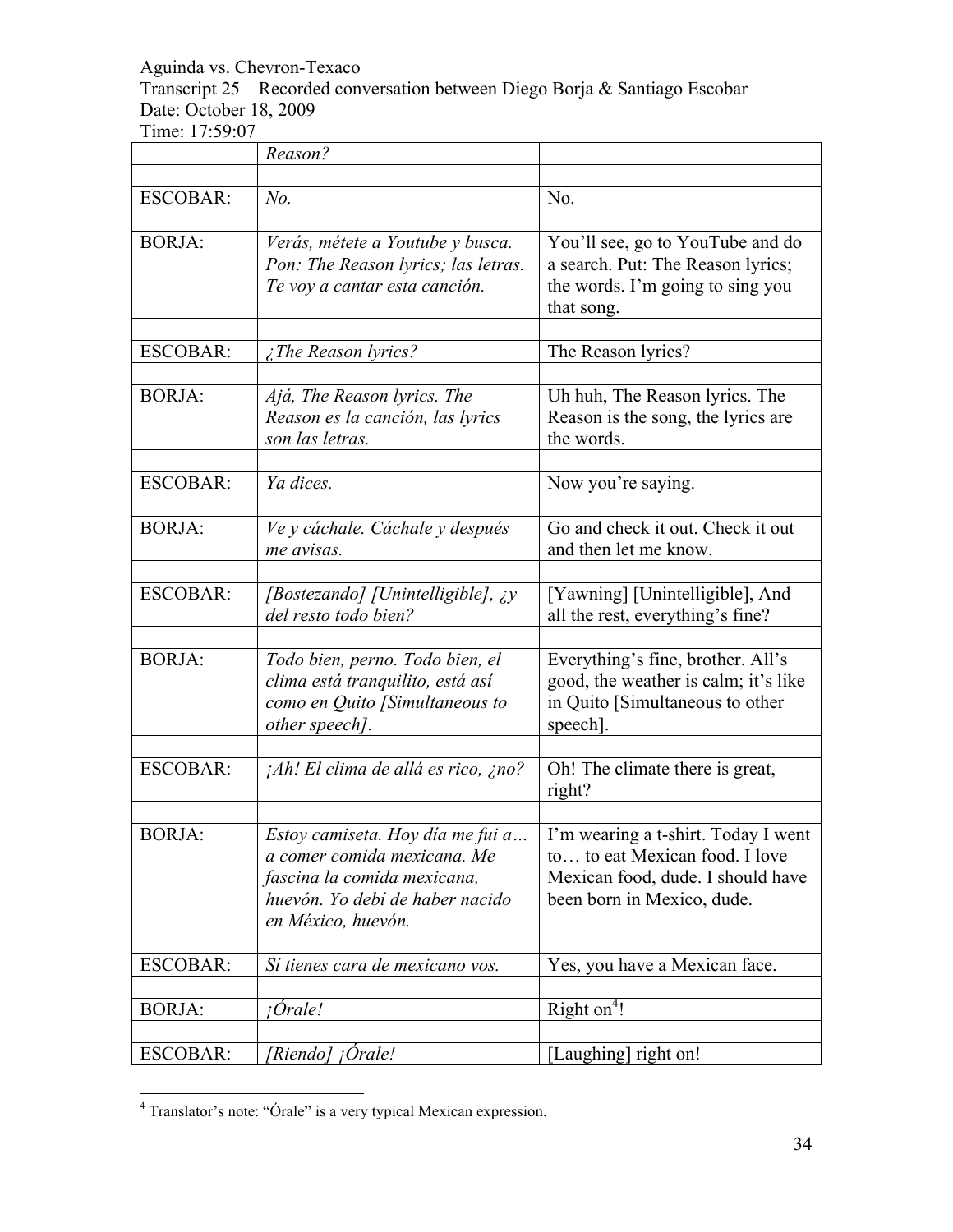Transcript 25 – Recorded conversation between Diego Borja & Santiago Escobar Date: October 18, 2009

|                 | Reason?                                                                                                                                                 |                                                                                                                                          |
|-----------------|---------------------------------------------------------------------------------------------------------------------------------------------------------|------------------------------------------------------------------------------------------------------------------------------------------|
|                 |                                                                                                                                                         |                                                                                                                                          |
| <b>ESCOBAR:</b> | No.                                                                                                                                                     | No.                                                                                                                                      |
|                 |                                                                                                                                                         |                                                                                                                                          |
| <b>BORJA:</b>   | Verás, métete a Youtube y busca.<br>Pon: The Reason lyrics; las letras.<br>Te voy a cantar esta canción.                                                | You'll see, go to YouTube and do<br>a search. Put: The Reason lyrics;<br>the words. I'm going to sing you<br>that song.                  |
| <b>ESCOBAR:</b> |                                                                                                                                                         | The Reason lyrics?                                                                                                                       |
|                 | The Reason lyrics?                                                                                                                                      |                                                                                                                                          |
| <b>BORJA:</b>   | Ajá, The Reason lyrics. The<br>Reason es la canción, las lyrics<br>son las letras.                                                                      | Uh huh, The Reason lyrics. The<br>Reason is the song, the lyrics are<br>the words.                                                       |
| <b>ESCOBAR:</b> | Ya dices.                                                                                                                                               | Now you're saying.                                                                                                                       |
|                 |                                                                                                                                                         |                                                                                                                                          |
| <b>BORJA:</b>   | Ve y cáchale. Cáchale y después<br>me avisas.                                                                                                           | Go and check it out. Check it out<br>and then let me know.                                                                               |
| <b>ESCOBAR:</b> | [Bostezando] [Unintelligible], ¿y<br>del resto todo bien?                                                                                               | [Yawning] [Unintelligible], And<br>all the rest, everything's fine?                                                                      |
| <b>BORJA:</b>   | Todo bien, perno. Todo bien, el<br>clima está tranquilito, está así<br>como en Quito [Simultaneous to<br>other speech].                                 | Everything's fine, brother. All's<br>good, the weather is calm; it's like<br>in Quito [Simultaneous to other<br>speech].                 |
| <b>ESCOBAR:</b> | <i>Ah! El clima de allá es rico, ¿no?</i>                                                                                                               | Oh! The climate there is great,<br>right?                                                                                                |
|                 |                                                                                                                                                         |                                                                                                                                          |
| <b>BORJA:</b>   | Estoy camiseta. Hoy día me fui a<br>a comer comida mexicana. Me<br>fascina la comida mexicana,<br>huevón. Yo debí de haber nacido<br>en México, huevón. | I'm wearing a t-shirt. Today I went<br>to to eat Mexican food. I love<br>Mexican food, dude. I should have<br>been born in Mexico, dude. |
| <b>ESCOBAR:</b> | Sí tienes cara de mexicano vos.                                                                                                                         | Yes, you have a Mexican face.                                                                                                            |
|                 |                                                                                                                                                         |                                                                                                                                          |
| <b>BORJA:</b>   | <i>i</i> Orale!                                                                                                                                         | Right $on4!$                                                                                                                             |
| <b>ESCOBAR:</b> | [Riendo] ¡Orale!                                                                                                                                        | [Laughing] right on!                                                                                                                     |

 $\frac{1}{4}$ Translator's note: "Órale" is a very typical Mexican expression.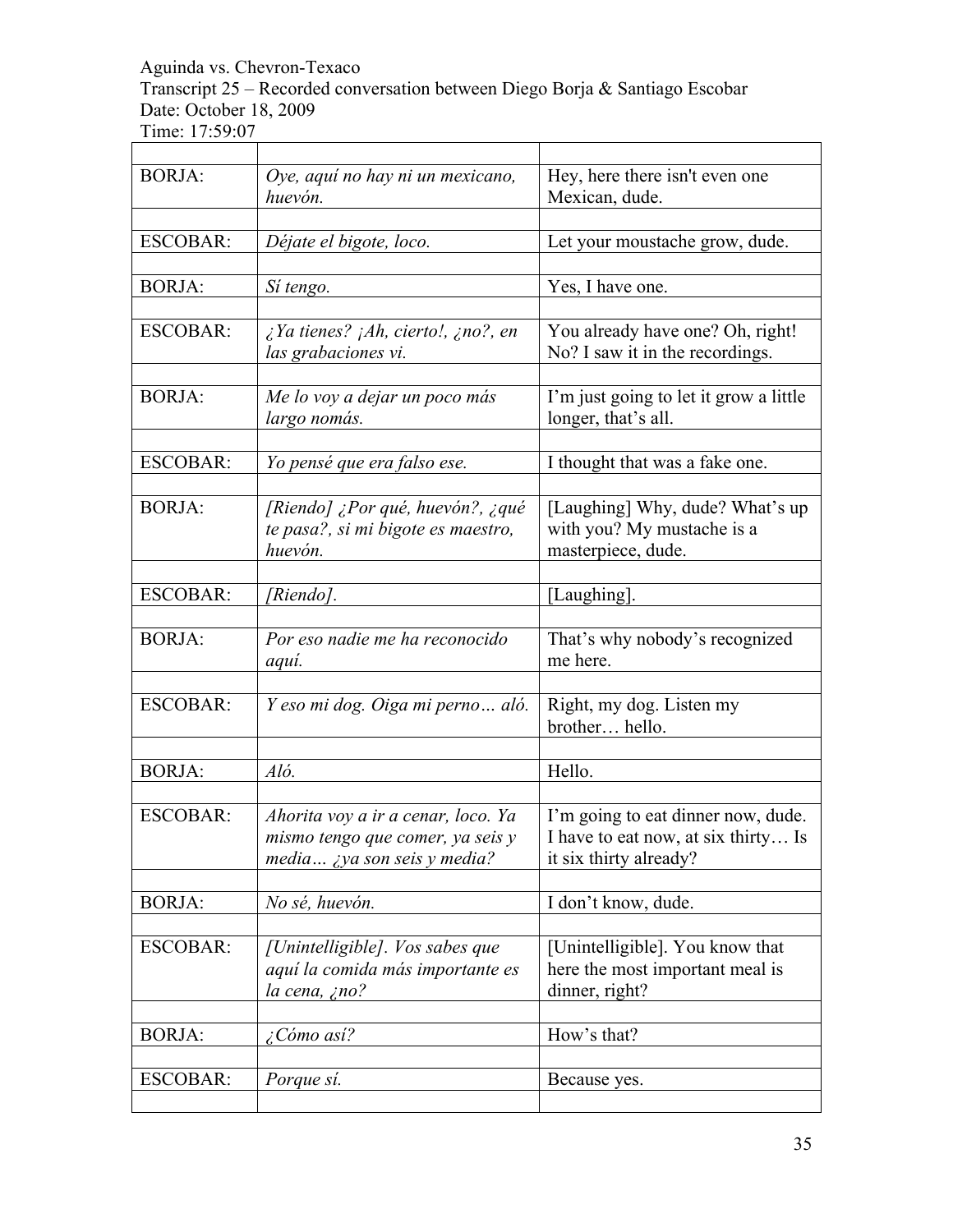Transcript 25 – Recorded conversation between Diego Borja & Santiago Escobar Date: October 18, 2009 Time: 17:59:07

| <b>BORJA:</b>   | Oye, aquí no hay ni un mexicano,<br>huevón.                                                                   | Hey, here there isn't even one<br>Mexican, dude.                                                    |
|-----------------|---------------------------------------------------------------------------------------------------------------|-----------------------------------------------------------------------------------------------------|
|                 |                                                                                                               |                                                                                                     |
| <b>ESCOBAR:</b> | Déjate el bigote, loco.                                                                                       | Let your moustache grow, dude.                                                                      |
| <b>BORJA:</b>   | Sí tengo.                                                                                                     | Yes, I have one.                                                                                    |
|                 |                                                                                                               |                                                                                                     |
| <b>ESCOBAR:</b> | $\lambda$ Ya tienes? $\lambda$ Ah, cierto!, $\lambda$ no?, en<br>las grabaciones vi.                          | You already have one? Oh, right!<br>No? I saw it in the recordings.                                 |
| <b>BORJA:</b>   | Me lo voy a dejar un poco más<br>largo nomás.                                                                 | I'm just going to let it grow a little<br>longer, that's all.                                       |
|                 |                                                                                                               |                                                                                                     |
| <b>ESCOBAR:</b> | Yo pensé que era falso ese.                                                                                   | I thought that was a fake one.                                                                      |
| <b>BORJA:</b>   | [Riendo] ¿Por qué, huevón?, ¿qué<br>te pasa?, si mi bigote es maestro,<br>huevón.                             | [Laughing] Why, dude? What's up<br>with you? My mustache is a<br>masterpiece, dude.                 |
|                 |                                                                                                               |                                                                                                     |
| <b>ESCOBAR:</b> | [Riendo].                                                                                                     | [Laughing].                                                                                         |
| <b>BORJA:</b>   | Por eso nadie me ha reconocido<br>aqui.                                                                       | That's why nobody's recognized<br>me here.                                                          |
|                 |                                                                                                               |                                                                                                     |
| <b>ESCOBAR:</b> | Y eso mi dog. Oiga mi perno aló.                                                                              | Right, my dog. Listen my<br>brother hello.                                                          |
|                 |                                                                                                               |                                                                                                     |
| <b>BORJA:</b>   | Aló.                                                                                                          | Hello.                                                                                              |
| <b>ESCOBAR:</b> | Ahorita voy a ir a cenar, loco. Ya<br>mismo tengo que comer, ya seis y<br>media <i>iya son seis y media</i> ? | I'm going to eat dinner now, dude.<br>I have to eat now, at six thirty Is<br>it six thirty already? |
| <b>BORJA:</b>   | No sé, huevón.                                                                                                | I don't know, dude.                                                                                 |
|                 |                                                                                                               |                                                                                                     |
| <b>ESCOBAR:</b> | [Unintelligible]. Vos sabes que<br>aquí la comida más importante es<br>la cena, ¿no?                          | [Unintelligible]. You know that<br>here the most important meal is<br>dinner, right?                |
| <b>BORJA:</b>   | ¿Cómo así?                                                                                                    | How's that?                                                                                         |
|                 |                                                                                                               |                                                                                                     |
| <b>ESCOBAR:</b> | Porque sí.                                                                                                    | Because yes.                                                                                        |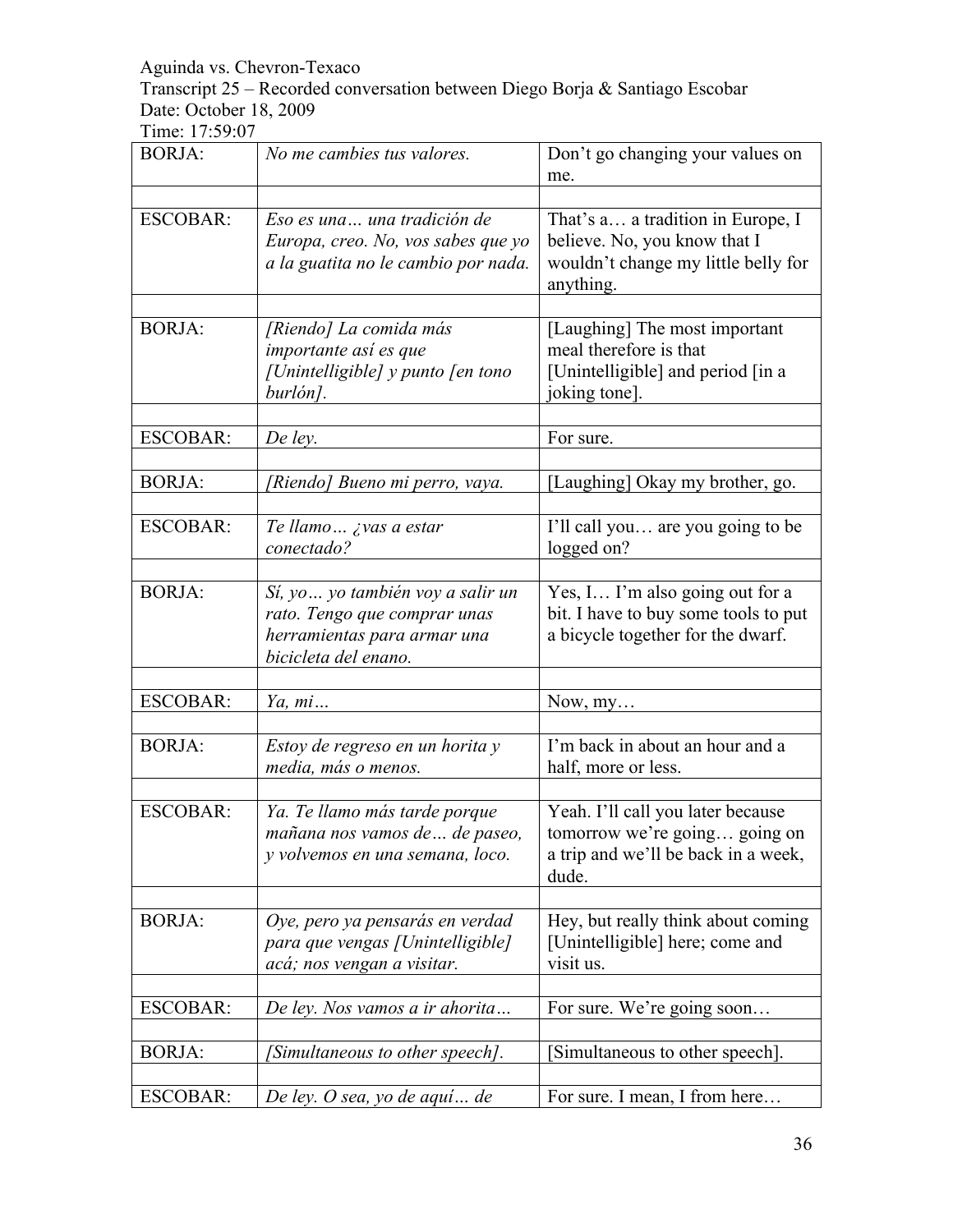Transcript 25 – Recorded conversation between Diego Borja & Santiago Escobar Date: October 18, 2009

| <b>BORJA:</b>   | No me cambies tus valores.                                                                                               | Don't go changing your values on<br>me.                                                                               |
|-----------------|--------------------------------------------------------------------------------------------------------------------------|-----------------------------------------------------------------------------------------------------------------------|
| <b>ESCOBAR:</b> | Eso es una una tradición de<br>Europa, creo. No, vos sabes que yo<br>a la guatita no le cambio por nada.                 | That's a a tradition in Europe, I<br>believe. No, you know that I<br>wouldn't change my little belly for<br>anything. |
| <b>BORJA:</b>   | [Riendo] La comida más<br>importante así es que<br>[Unintelligible] y punto [en tono<br>burlón].                         | [Laughing] The most important<br>meal therefore is that<br>[Unintelligible] and period [in a<br>joking tone].         |
| <b>ESCOBAR:</b> | De ley.                                                                                                                  | For sure.                                                                                                             |
| <b>BORJA:</b>   | [Riendo] Bueno mi perro, vaya.                                                                                           | [Laughing] Okay my brother, go.                                                                                       |
| <b>ESCOBAR:</b> | Te llamo ¿vas a estar<br>conectado?                                                                                      | I'll call you are you going to be<br>logged on?                                                                       |
| <b>BORJA:</b>   | Sí, yo  yo también voy a salir un<br>rato. Tengo que comprar unas<br>herramientas para armar una<br>bicicleta del enano. | Yes, I I'm also going out for a<br>bit. I have to buy some tools to put<br>a bicycle together for the dwarf.          |
| <b>ESCOBAR:</b> | Ya, mi                                                                                                                   | Now, my                                                                                                               |
| <b>BORJA:</b>   | Estoy de regreso en un horita y<br>media, más o menos.                                                                   | I'm back in about an hour and a<br>half, more or less.                                                                |
| <b>ESCOBAR:</b> | Ya. Te llamo más tarde porque<br>mañana nos vamos de  de paseo.<br>y volvemos en una semana, loco.                       | Yeah. I'll call you later because<br>tomorrow we're going going on<br>a trip and we'll be back in a week,<br>dude.    |
| <b>BORJA:</b>   | Oye, pero ya pensarás en verdad<br>para que vengas [Unintelligible]<br>acá; nos vengan a visitar.                        | Hey, but really think about coming<br>[Unintelligible] here; come and<br>visit us.                                    |
| <b>ESCOBAR:</b> | De ley. Nos vamos a ir ahorita                                                                                           | For sure. We're going soon                                                                                            |
| <b>BORJA:</b>   | [Simultaneous to other speech].                                                                                          | Simultaneous to other speech].                                                                                        |
| <b>ESCOBAR:</b> | De ley. O sea, yo de aquí de                                                                                             | For sure. I mean, I from here                                                                                         |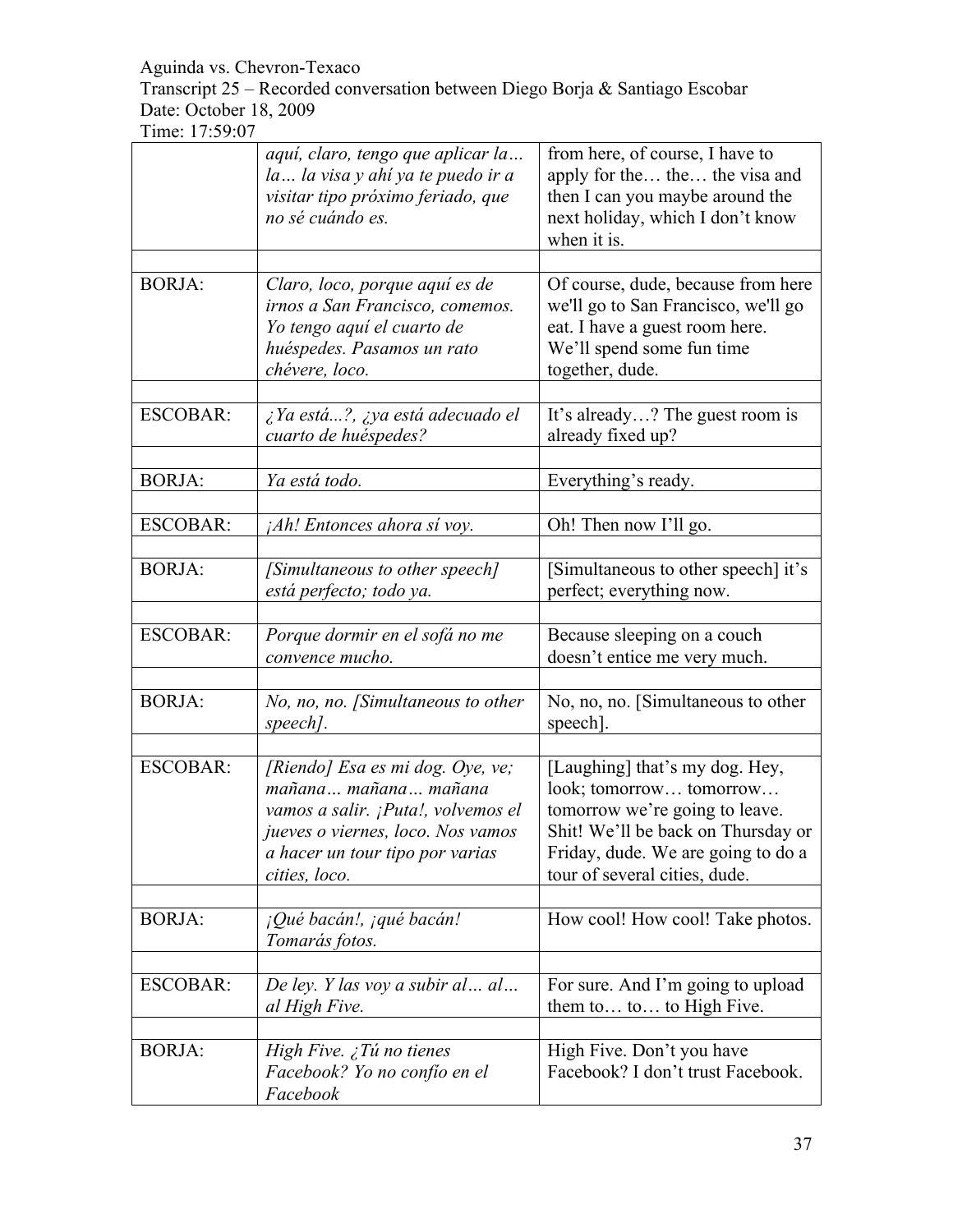Transcript 25 – Recorded conversation between Diego Borja & Santiago Escobar Date: October 18, 2009

|                 | aquí, claro, tengo que aplicar la<br>la la visa y ahí ya te puedo ir a<br>visitar tipo próximo feriado, que<br>no sé cuándo es.                                                         | from here, of course, I have to<br>apply for the the the visa and<br>then I can you maybe around the<br>next holiday, which I don't know<br>when it is.                                                  |
|-----------------|-----------------------------------------------------------------------------------------------------------------------------------------------------------------------------------------|----------------------------------------------------------------------------------------------------------------------------------------------------------------------------------------------------------|
| <b>BORJA:</b>   | Claro, loco, porque aquí es de<br>irnos a San Francisco, comemos.<br>Yo tengo aquí el cuarto de<br>huéspedes. Pasamos un rato<br>chévere, loco.                                         | Of course, dude, because from here<br>we'll go to San Francisco, we'll go<br>eat. I have a guest room here.<br>We'll spend some fun time<br>together, dude.                                              |
| <b>ESCOBAR:</b> | ¿Ya está?, ¿ya está adecuado el<br>cuarto de huéspedes?                                                                                                                                 | It's already? The guest room is<br>already fixed up?                                                                                                                                                     |
| <b>BORJA:</b>   | Ya está todo.                                                                                                                                                                           | Everything's ready.                                                                                                                                                                                      |
| <b>ESCOBAR:</b> | <i>Ah! Entonces ahora si voy.</i>                                                                                                                                                       | Oh! Then now I'll go.                                                                                                                                                                                    |
| <b>BORJA:</b>   | [Simultaneous to other speech]<br>está perfecto; todo ya.                                                                                                                               | [Simultaneous to other speech] it's<br>perfect; everything now.                                                                                                                                          |
| <b>ESCOBAR:</b> | Porque dormir en el sofá no me<br>convence mucho.                                                                                                                                       | Because sleeping on a couch<br>doesn't entice me very much.                                                                                                                                              |
| <b>BORJA:</b>   | No, no, no. [Simultaneous to other<br>speech].                                                                                                                                          | No, no, no. [Simultaneous to other<br>speech].                                                                                                                                                           |
| <b>ESCOBAR:</b> | [Riendo] Esa es mi dog. Oye, ve;<br>mañana mañana mañana<br>vamos a salir. ¡Puta!, volvemos el<br>jueves o viernes, loco. Nos vamos<br>a hacer un tour tipo por varias<br>cities, loco. | [Laughing] that's my dog. Hey,<br>look; tomorrow tomorrow<br>tomorrow we're going to leave.<br>Shit! We'll be back on Thursday or<br>Friday, dude. We are going to do a<br>tour of several cities, dude. |
| <b>BORJA:</b>   | ¡Qué bacán!, ¡qué bacán!<br>Tomarás fotos.                                                                                                                                              | How cool! How cool! Take photos.                                                                                                                                                                         |
| <b>ESCOBAR:</b> | De ley. Y las voy a subir al al<br>al High Five.                                                                                                                                        | For sure. And I'm going to upload<br>them to to to High Five.                                                                                                                                            |
| <b>BORJA:</b>   | High Five. $\zeta$ Tú no tienes<br>Facebook? Yo no confío en el<br>Facebook                                                                                                             | High Five. Don't you have<br>Facebook? I don't trust Facebook.                                                                                                                                           |